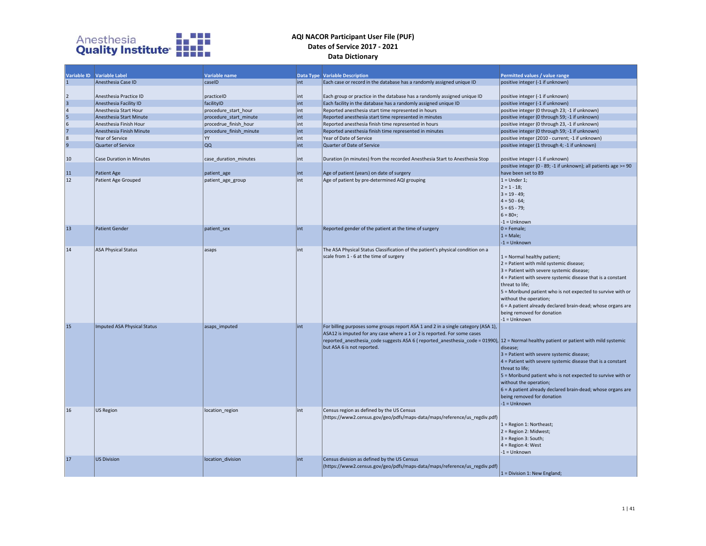

|                                            | Variable ID Variable Label         | Variable name           |     | <b>Data Type Variable Description</b>                                                                                                                                                                                                                                                                                                    | Permitted values / value range                                                                                                                                                                                                                                                                                                                                                                                        |
|--------------------------------------------|------------------------------------|-------------------------|-----|------------------------------------------------------------------------------------------------------------------------------------------------------------------------------------------------------------------------------------------------------------------------------------------------------------------------------------------|-----------------------------------------------------------------------------------------------------------------------------------------------------------------------------------------------------------------------------------------------------------------------------------------------------------------------------------------------------------------------------------------------------------------------|
| 11                                         | Anesthesia Case ID                 | caseID                  | int | Each case or record in the database has a randomly assigned unique ID                                                                                                                                                                                                                                                                    | positive integer (-1 if unknown)                                                                                                                                                                                                                                                                                                                                                                                      |
| $ 2\rangle$                                | Anesthesia Practice ID             | practiceID              | int | Each group or practice in the database has a randomly assigned unique ID                                                                                                                                                                                                                                                                 | positive integer (-1 if unknown)                                                                                                                                                                                                                                                                                                                                                                                      |
| $\frac{3}{4}$                              | Anesthesia Facility ID             | facilityID              | int | Each facility in the database has a randomly assigned unique ID                                                                                                                                                                                                                                                                          | positive integer (-1 if unknown)                                                                                                                                                                                                                                                                                                                                                                                      |
|                                            | Anesthesia Start Hour              | procedure start hour    | int | Reported anesthesia start time represented in hours                                                                                                                                                                                                                                                                                      | positive integer (0 through 23; -1 if unknown)                                                                                                                                                                                                                                                                                                                                                                        |
|                                            | Anesthesia Start Minute            | procedure_start_minute  | int | Reported anesthesia start time represented in minutes                                                                                                                                                                                                                                                                                    | positive integer (0 through 59; -1 if unknown)                                                                                                                                                                                                                                                                                                                                                                        |
| $\begin{array}{c} 5 \\ 6 \\ 7 \end{array}$ | Anesthesia Finish Hour             | procedrue finish hour   | int | Reported anesthesia finish time represented in hours                                                                                                                                                                                                                                                                                     | positive integer (0 through 23, -1 if unknown)                                                                                                                                                                                                                                                                                                                                                                        |
|                                            | Anesthesia Finish Minute           | procedure_finish_minute | int | Reported anesthesia finish time represented in minutes                                                                                                                                                                                                                                                                                   | positive integer (0 through 59; -1 if unknown)                                                                                                                                                                                                                                                                                                                                                                        |
| 8                                          | Year of Service                    | YY                      | int | Year of Date of Service                                                                                                                                                                                                                                                                                                                  | positive integer (2010 - current; -1 if unknown)                                                                                                                                                                                                                                                                                                                                                                      |
| 9                                          | Quarter of Service                 | QQ                      | int | Quarter of Date of Service                                                                                                                                                                                                                                                                                                               | positive integer (1 through 4; -1 if unknown)                                                                                                                                                                                                                                                                                                                                                                         |
| 10                                         | Case Duration in Minutes           | case duration minutes   | int | Duration (in minutes) from the recorded Anesthesia Start to Anesthesia Stop                                                                                                                                                                                                                                                              | positive integer (-1 if unknown)                                                                                                                                                                                                                                                                                                                                                                                      |
|                                            |                                    |                         |     |                                                                                                                                                                                                                                                                                                                                          | positive integer (0 - 89; -1 if unknown); all patients age >= 90                                                                                                                                                                                                                                                                                                                                                      |
| 11                                         | Patient Age                        | patient age             | int | Age of patient (years) on date of surgery                                                                                                                                                                                                                                                                                                | have been set to 89                                                                                                                                                                                                                                                                                                                                                                                                   |
| 12                                         | Patient Age Grouped                | patient_age_group       | int | Age of patient by pre-determined AQI grouping                                                                                                                                                                                                                                                                                            | $1 =$ Under 1;<br>$ 2 = 1 - 18;$<br>$3 = 19 - 49$ ;<br>$4 = 50 - 64$ ;<br>$5 = 65 - 79;$<br>$6 = 80+$<br>$-1 =$ Unknown                                                                                                                                                                                                                                                                                               |
| 13                                         | <b>Patient Gender</b>              | patient sex             | int | Reported gender of the patient at the time of surgery                                                                                                                                                                                                                                                                                    | $ 0 =$ Female;                                                                                                                                                                                                                                                                                                                                                                                                        |
|                                            |                                    |                         |     |                                                                                                                                                                                                                                                                                                                                          | $1 = Male;$                                                                                                                                                                                                                                                                                                                                                                                                           |
|                                            |                                    |                         |     |                                                                                                                                                                                                                                                                                                                                          | $-1 =$ Unknown                                                                                                                                                                                                                                                                                                                                                                                                        |
| 14                                         | <b>ASA Physical Status</b>         | asaps                   | int | The ASA Physical Status Classification of the patient's physical condition on a<br>scale from 1 - 6 at the time of surgery                                                                                                                                                                                                               | $1 =$ Normal healthy patient;<br>$2$ = Patient with mild systemic disease;<br>3 = Patient with severe systemic disease;<br>$4$ = Patient with severe systemic disease that is a constant<br>threat to life;<br>5 = Moribund patient who is not expected to survive with or<br>without the operation;<br>$6$ = A patient already declared brain-dead; whose organs are<br>being removed for donation<br>$-1 =$ Unknown |
| 15                                         | <b>Imputed ASA Physical Status</b> | asaps imputed           | int | For billing purposes some groups report ASA 1 and 2 in a single category (ASA 1),<br>ASA12 is imputed for any case where a 1 or 2 is reported. For some cases<br>reported anesthesia code suggests ASA 6 (reported anesthesia code = 01990), $ 12 $ = Normal healthy patient or patient with mild systemic<br>but ASA 6 is not reported. | disease;<br>$3$ = Patient with severe systemic disease;<br>$4$ = Patient with severe systemic disease that is a constant<br>threat to life;<br>5 = Moribund patient who is not expected to survive with or<br>without the operation;<br>$6$ = A patient already declared brain-dead; whose organs are<br>being removed for donation<br>$-1 =$ Unknown                                                                 |
| 16                                         | <b>US Region</b>                   | location_region         | int | Census region as defined by the US Census<br>(https://www2.census.gov/geo/pdfs/maps-data/maps/reference/us_regdiv.pdf)                                                                                                                                                                                                                   | 1 = Region 1: Northeast;<br>$2 = Region 2: Midwest;$<br>$3$ = Region 3: South;<br>$4$ = Region 4: West<br>$-1 =$ Unknown                                                                                                                                                                                                                                                                                              |
| <b>17</b>                                  | US Division                        | location division       | int | Census division as defined by the US Census<br>(https://www2.census.gov/geo/pdfs/maps-data/maps/reference/us_regdiv.pdf)                                                                                                                                                                                                                 | $1 = Division 1$ : New England;                                                                                                                                                                                                                                                                                                                                                                                       |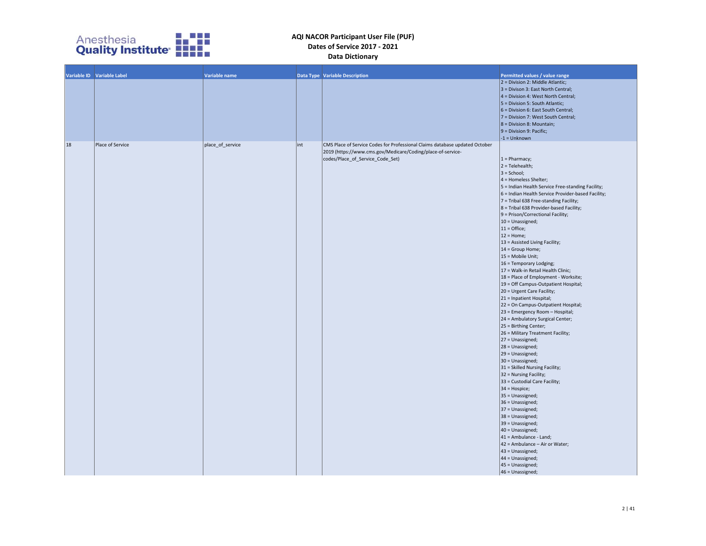

|    | Variable ID Variable Label | Variable name    |     | <b>Data Type   Variable Description</b>                                                                                                                                        | Permitted values / value range<br>$2 = Division 2$ : Middle Atlantic;<br>3 = Divison 3: East North Central;<br>4 = Division 4: West North Central;<br>5 = Division 5: South Atlantic;<br>$6$ = Division 6: East South Central;<br>7 = Division 7: West South Central;<br>$8 = Division 8: Mountain;$<br>$9 = Division 9: Pacific;$<br>$-1 =$ Unknown                                                                                                                                                                                                                                                                                                                                                                                                                                                                                                                                                                                                                                                                                                                                                                                                                                                                                                                                                                        |
|----|----------------------------|------------------|-----|--------------------------------------------------------------------------------------------------------------------------------------------------------------------------------|-----------------------------------------------------------------------------------------------------------------------------------------------------------------------------------------------------------------------------------------------------------------------------------------------------------------------------------------------------------------------------------------------------------------------------------------------------------------------------------------------------------------------------------------------------------------------------------------------------------------------------------------------------------------------------------------------------------------------------------------------------------------------------------------------------------------------------------------------------------------------------------------------------------------------------------------------------------------------------------------------------------------------------------------------------------------------------------------------------------------------------------------------------------------------------------------------------------------------------------------------------------------------------------------------------------------------------|
| 18 | Place of Service           | place_of_service | int | CMS Place of Service Codes for Professional Claims database updated October<br>2019 (https://www.cms.gov/Medicare/Coding/place-of-service-<br>codes/Place_of_Service_Code_Set) | $1 =$ Pharmacy;<br>$2 =$ Telehealth;<br>$3 =$ School;<br>4 = Homeless Shelter;<br>5 = Indian Health Service Free-standing Facility;<br>6 = Indian Health Service Provider-based Facility;<br>7 = Tribal 638 Free-standing Facility;<br>8 = Tribal 638 Provider-based Facility;<br>9 = Prison/Correctional Facility;<br>10 = Unassigned;<br>$11 =$ Office;<br>$12 =$ Home;<br>13 = Assisted Living Facility;<br>14 = Group Home;<br>$15$ = Mobile Unit;<br>16 = Temporary Lodging;<br>17 = Walk-in Retail Health Clinic;<br>18 = Place of Employment - Worksite;<br>19 = Off Campus-Outpatient Hospital;<br>20 = Urgent Care Facility;<br>21 = Inpatient Hospital;<br>22 = On Campus-Outpatient Hospital;<br>23 = Emergency Room - Hospital;<br>24 = Ambulatory Surgical Center;<br>25 = Birthing Center;<br>26 = Military Treatment Facility;<br>27 = Unassigned;<br>$28 = Unassigned;$<br>$29$ = Unassigned;<br>30 = Unassigned;<br>31 = Skilled Nursing Facility;<br>32 = Nursing Facility;<br>33 = Custodial Care Facility;<br>34 = Hospice;<br>$35 = Unassigned;$<br>36 = Unassigned;<br>$37 = Unassigned;$<br>38 = Unassigned;<br>$39$ = Unassigned;<br>40 = Unassigned;<br>41 = Ambulance - Land;<br>42 = Ambulance - Air or Water;<br>43 = Unassigned;<br>44 = Unassigned;<br>45 = Unassigned;<br>$46$ = Unassigned; |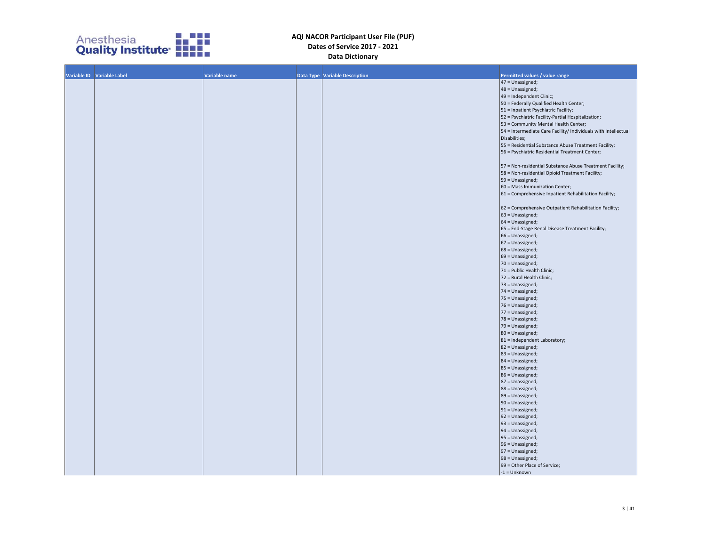

| Variable ID Variable Label | Variable name | Data Type Variable Description | Permitted values / value range                                 |
|----------------------------|---------------|--------------------------------|----------------------------------------------------------------|
|                            |               |                                | 47 = Unassigned;                                               |
|                            |               |                                | 48 = Unassigned;                                               |
|                            |               |                                | 49 = Independent Clinic;                                       |
|                            |               |                                | 50 = Federally Qualified Health Center;                        |
|                            |               |                                | 51 = Inpatient Psychiatric Facility;                           |
|                            |               |                                | 52 = Psychiatric Facility-Partial Hospitalization;             |
|                            |               |                                | 53 = Community Mental Health Center;                           |
|                            |               |                                | 54 = Intermediate Care Facility/ Individuals with Intellectual |
|                            |               |                                | Disabilities;                                                  |
|                            |               |                                | 55 = Residential Substance Abuse Treatment Facility;           |
|                            |               |                                |                                                                |
|                            |               |                                | 56 = Psychiatric Residential Treatment Center;                 |
|                            |               |                                |                                                                |
|                            |               |                                | 57 = Non-residential Substance Abuse Treatment Facility;       |
|                            |               |                                | 58 = Non-residential Opioid Treatment Facility;                |
|                            |               |                                | 59 = Unassigned;                                               |
|                            |               |                                | 60 = Mass Immunization Center;                                 |
|                            |               |                                | 61 = Comprehensive Inpatient Rehabilitation Facility;          |
|                            |               |                                |                                                                |
|                            |               |                                | 62 = Comprehensive Outpatient Rehabilitation Facility;         |
|                            |               |                                | 63 = Unassigned;                                               |
|                            |               |                                | 64 = Unassigned;                                               |
|                            |               |                                | 65 = End-Stage Renal Disease Treatment Facility;               |
|                            |               |                                | 66 = Unassigned;                                               |
|                            |               |                                |                                                                |
|                            |               |                                | 67 = Unassigned;                                               |
|                            |               |                                | 68 = Unassigned;                                               |
|                            |               |                                | 69 = Unassigned;                                               |
|                            |               |                                | 70 = Unassigned;                                               |
|                            |               |                                | 71 = Public Health Clinic;                                     |
|                            |               |                                | 72 = Rural Health Clinic;                                      |
|                            |               |                                | 73 = Unassigned;                                               |
|                            |               |                                | 74 = Unassigned;                                               |
|                            |               |                                | 75 = Unassigned;                                               |
|                            |               |                                | 76 = Unassigned;                                               |
|                            |               |                                | 77 = Unassigned;                                               |
|                            |               |                                | 78 = Unassigned;                                               |
|                            |               |                                |                                                                |
|                            |               |                                | 79 = Unassigned;                                               |
|                            |               |                                | 80 = Unassigned;                                               |
|                            |               |                                | 81 = Independent Laboratory;                                   |
|                            |               |                                | 82 = Unassigned;                                               |
|                            |               |                                | 83 = Unassigned;                                               |
|                            |               |                                | $84 = Unassigned;$                                             |
|                            |               |                                | 85 = Unassigned;                                               |
|                            |               |                                | 86 = Unassigned;                                               |
|                            |               |                                | 87 = Unassigned;                                               |
|                            |               |                                | 88 = Unassigned;                                               |
|                            |               |                                | 89 = Unassigned;                                               |
|                            |               |                                | 90 = Unassigned;                                               |
|                            |               |                                | $91 = Unassigned;$                                             |
|                            |               |                                | 92 = Unassigned;                                               |
|                            |               |                                | $93$ = Unassigned;                                             |
|                            |               |                                |                                                                |
|                            |               |                                | $94 = Unassigned;$                                             |
|                            |               |                                | $95 = Unassigned;$                                             |
|                            |               |                                | 96 = Unassigned;                                               |
|                            |               |                                | $97 = Unassigned;$                                             |
|                            |               |                                | 98 = Unassigned;                                               |
|                            |               |                                | 99 = Other Place of Service;                                   |
|                            |               |                                | $-1 =$ Unknown                                                 |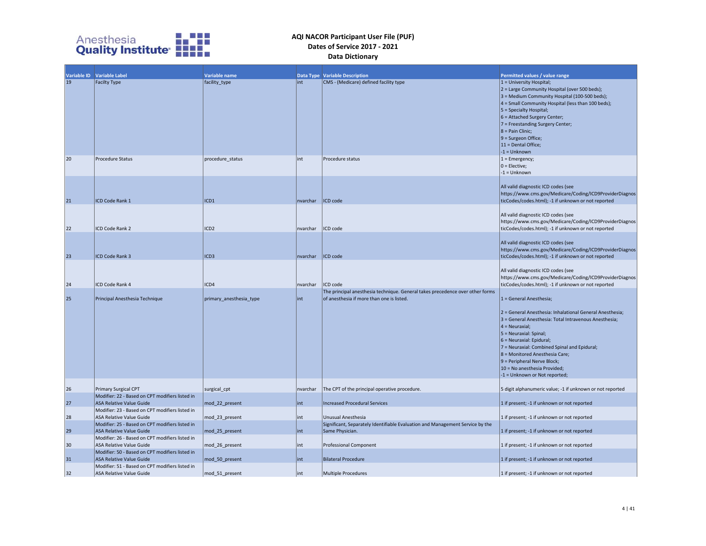

|    | Variable ID Variable Label                                                         | Variable name           |          |                                                                                                                            |                                                                                                                                                                                                                                                                                                                                                                                                              |
|----|------------------------------------------------------------------------------------|-------------------------|----------|----------------------------------------------------------------------------------------------------------------------------|--------------------------------------------------------------------------------------------------------------------------------------------------------------------------------------------------------------------------------------------------------------------------------------------------------------------------------------------------------------------------------------------------------------|
| 19 | <b>Facilty Type</b>                                                                | facility_type           | lint     | <b>Data Type Variable Description</b><br>CMS - (Medicare) defined facility type                                            | Permitted values / value range<br>$1 =$ University Hospital;<br>2 = Large Community Hospital (over 500 beds);<br>3 = Medium Community Hospital (100-500 beds);<br>$4 =$ Small Community Hospital (less than 100 beds);<br>5 = Specialty Hospital;<br>6 = Attached Surgery Center;<br>7 = Freestanding Surgery Center;<br>$8 =$ Pain Clinic;<br>9 = Surgeon Office;<br>11 = Dental Office;<br>$-1 =$ Unknown  |
| 20 | <b>Procedure Status</b>                                                            | procedure status        | lint     | Procedure status                                                                                                           | $1 =$ Emergency;<br>$0 =$ Elective;<br>$-1 =$ Unknown                                                                                                                                                                                                                                                                                                                                                        |
| 21 | ICD Code Rank 1                                                                    | ICD1                    | nvarchar | ICD code                                                                                                                   | All valid diagnostic ICD codes (see<br>https://www.cms.gov/Medicare/Coding/ICD9ProviderDiagnos<br>ticCodes/codes.html); -1 if unknown or not reported                                                                                                                                                                                                                                                        |
| 22 | ICD Code Rank 2                                                                    | ICD <sub>2</sub>        | nvarchar | ICD code                                                                                                                   | All valid diagnostic ICD codes (see<br>https://www.cms.gov/Medicare/Coding/ICD9ProviderDiagnos<br>ticCodes/codes.html); -1 if unknown or not reported                                                                                                                                                                                                                                                        |
| 23 | ICD Code Rank 3                                                                    | ICD <sub>3</sub>        | nvarchar | ICD code                                                                                                                   | All valid diagnostic ICD codes (see<br>https://www.cms.gov/Medicare/Coding/ICD9ProviderDiagnos<br>ticCodes/codes.html); -1 if unknown or not reported                                                                                                                                                                                                                                                        |
| 24 | ICD Code Rank 4                                                                    | ICD4                    | nvarchar | ICD code                                                                                                                   | All valid diagnostic ICD codes (see<br>https://www.cms.gov/Medicare/Coding/ICD9ProviderDiagnos<br>ticCodes/codes.html); -1 if unknown or not reported                                                                                                                                                                                                                                                        |
| 25 | Principal Anesthesia Technique                                                     | primary_anesthesia_type | lint     | The principal anesthesia technique. General takes precedence over other forms<br>of anesthesia if more than one is listed. | $1 = General Anesthesia;$<br>2 = General Anesthesia: Inhalational General Anesthesia;<br>3 = General Anesthesia: Total Intravenous Anesthesia;<br>$4 =$ Neuraxial;<br>5 = Neuraxial: Spinal;<br>6 = Neuraxial: Epidural;<br>7 = Neuraxial: Combined Spinal and Epidural;<br>8 = Monitored Anesthesia Care;<br>9 = Peripheral Nerve Block;<br>10 = No anesthesia Provided;<br>$-1$ = Unknown or Not reported; |
| 26 | Primary Surgical CPT                                                               | surgical cpt            | nvarchar | The CPT of the principal operative procedure.                                                                              | 5 digit alphanumeric value; -1 if unknown or not reported                                                                                                                                                                                                                                                                                                                                                    |
| 27 | Modifier: 22 - Based on CPT modifiers listed in<br><b>ASA Relative Value Guide</b> | mod 22 present          | int      | <b>Increased Procedural Services</b>                                                                                       | 1 if present; -1 if unknown or not reported                                                                                                                                                                                                                                                                                                                                                                  |
| 28 | Modifier: 23 - Based on CPT modifiers listed in<br>ASA Relative Value Guide        | mod 23 present          | int      | Unusual Anesthesia                                                                                                         | 1 if present; -1 if unknown or not reported                                                                                                                                                                                                                                                                                                                                                                  |
| 29 | Modifier: 25 - Based on CPT modifiers listed in<br><b>ASA Relative Value Guide</b> | mod_25_present          | int      | Significant, Separately Identifiable Evaluation and Management Service by the<br>Same Physician.                           | 1 if present; -1 if unknown or not reported                                                                                                                                                                                                                                                                                                                                                                  |
| 30 | Modifier: 26 - Based on CPT modifiers listed in<br><b>ASA Relative Value Guide</b> | mod 26 present          | int      | Professional Component                                                                                                     | 1 if present; -1 if unknown or not reported                                                                                                                                                                                                                                                                                                                                                                  |
| 31 | Modifier: 50 - Based on CPT modifiers listed in<br><b>ASA Relative Value Guide</b> | mod 50 present          | lint     | <b>Bilateral Procedure</b>                                                                                                 | 1 if present; -1 if unknown or not reported                                                                                                                                                                                                                                                                                                                                                                  |
| 32 | Modifier: 51 - Based on CPT modifiers listed in<br>ASA Relative Value Guide        | mod 51 present          | lint     | Multiple Procedures                                                                                                        | 1 if present; -1 if unknown or not reported                                                                                                                                                                                                                                                                                                                                                                  |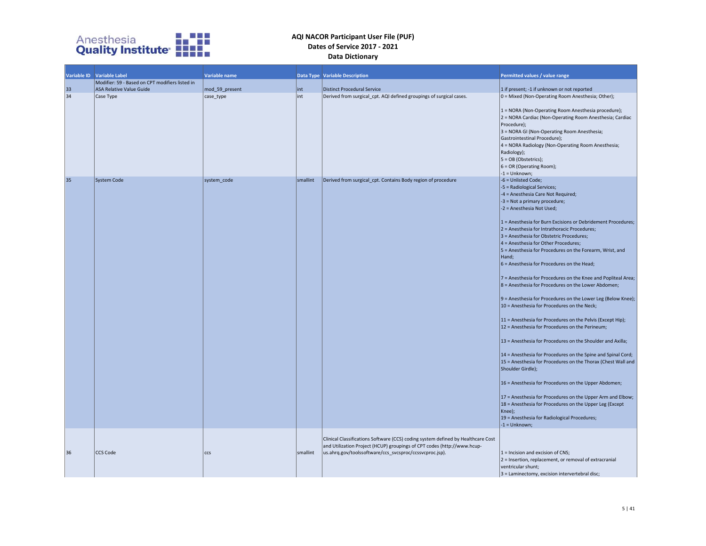

|          | Variable ID Variable Label                      | Variable name  |          | <b>Data Type Variable Description</b>                                                                                                                                                                                  | Permitted values / value range                                                                                                                                                                                                                                                                                                                                                                                                                                                                                                                                                                                                                                                                                                                                                                                                                                                                                                                                                                                                                                                                                                                                                                                                                                                                                                 |
|----------|-------------------------------------------------|----------------|----------|------------------------------------------------------------------------------------------------------------------------------------------------------------------------------------------------------------------------|--------------------------------------------------------------------------------------------------------------------------------------------------------------------------------------------------------------------------------------------------------------------------------------------------------------------------------------------------------------------------------------------------------------------------------------------------------------------------------------------------------------------------------------------------------------------------------------------------------------------------------------------------------------------------------------------------------------------------------------------------------------------------------------------------------------------------------------------------------------------------------------------------------------------------------------------------------------------------------------------------------------------------------------------------------------------------------------------------------------------------------------------------------------------------------------------------------------------------------------------------------------------------------------------------------------------------------|
|          | Modifier: 59 - Based on CPT modifiers listed in |                |          |                                                                                                                                                                                                                        |                                                                                                                                                                                                                                                                                                                                                                                                                                                                                                                                                                                                                                                                                                                                                                                                                                                                                                                                                                                                                                                                                                                                                                                                                                                                                                                                |
| 33<br>34 | <b>ASA Relative Value Guide</b>                 | mod 59 present | int      | Distinct Procedural Service                                                                                                                                                                                            | 1 if present; -1 if unknown or not reported                                                                                                                                                                                                                                                                                                                                                                                                                                                                                                                                                                                                                                                                                                                                                                                                                                                                                                                                                                                                                                                                                                                                                                                                                                                                                    |
|          | Case Type                                       | case_type      | int      | Derived from surgical_cpt. AQI defined groupings of surgical cases.                                                                                                                                                    | 0 = Mixed (Non-Operating Room Anesthesia; Other);<br>1 = NORA (Non-Operating Room Anesthesia procedure);<br>2 = NORA Cardiac (Non-Operating Room Anesthesia; Cardiac<br>Procedure);<br>3 = NORA GI (Non-Operating Room Anesthesia;<br>Gastrointestinal Procedure);<br>4 = NORA Radiology (Non-Operating Room Anesthesia;<br>Radiology);<br>$5 = OB$ (Obstetrics);<br>$6 = OR$ (Operating Room);<br>$-1 =$ Unknown;                                                                                                                                                                                                                                                                                                                                                                                                                                                                                                                                                                                                                                                                                                                                                                                                                                                                                                             |
| 35       | System Code                                     | system_code    | smallint | Derived from surgical cpt. Contains Body region of procedure                                                                                                                                                           | -6 = Unlisted Code;<br>-5 = Radiological Services;<br>-4 = Anesthesia Care Not Required;<br>$-3$ = Not a primary procedure;<br>-2 = Anesthesia Not Used;<br>1 = Anesthesia for Burn Excisions or Debridement Procedures;<br>2 = Anesthesia for Intrathoracic Procedures;<br>3 = Anesthesia for Obstetric Procedures;<br>4 = Anesthesia for Other Procedures;<br>5 = Anesthesia for Procedures on the Forearm, Wrist, and<br>Hand;<br>$6$ = Anesthesia for Procedures on the Head;<br>7 = Anesthesia for Procedures on the Knee and Popliteal Area;<br>$8$ = Anesthesia for Procedures on the Lower Abdomen;<br>$9$ = Anesthesia for Procedures on the Lower Leg (Below Knee);<br>10 = Anesthesia for Procedures on the Neck;<br>11 = Anesthesia for Procedures on the Pelvis (Except Hip);<br>12 = Anesthesia for Procedures on the Perineum;<br>13 = Anesthesia for Procedures on the Shoulder and Axilla;<br>14 = Anesthesia for Procedures on the Spine and Spinal Cord;<br>15 = Anesthesia for Procedures on the Thorax (Chest Wall and<br>Shoulder Girdle);<br>16 = Anesthesia for Procedures on the Upper Abdomen;<br>17 = Anesthesia for Procedures on the Upper Arm and Elbow;<br>18 = Anesthesia for Procedures on the Upper Leg (Except<br>Knee);<br>19 = Anesthesia for Radiological Procedures;<br>$-1 =$ Unknown; |
| 36       | CCS Code                                        | ccs            | smallint | Clinical Classifications Software (CCS) coding system defined by Healthcare Cost<br>and Utilization Project (HCUP) groupings of CPT codes (http://www.hcup-<br>us.ahrq.gov/toolssoftware/ccs_svcsproc/ccssvcproc.jsp). | $1 =$ Incision and excision of CNS;<br>$ 2$ = Insertion, replacement, or removal of extracranial<br>ventricular shunt;<br>$3 =$ Laminectomy, excision intervertebral disc;                                                                                                                                                                                                                                                                                                                                                                                                                                                                                                                                                                                                                                                                                                                                                                                                                                                                                                                                                                                                                                                                                                                                                     |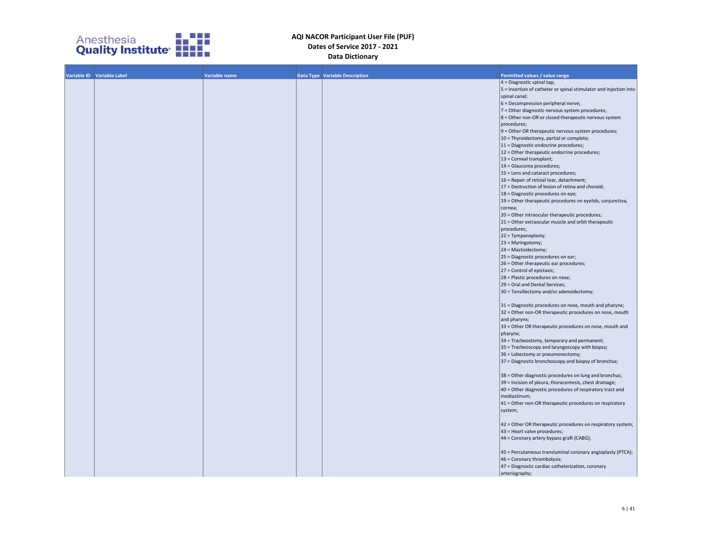

| Variable ID Variable Label | <b>Variable name</b> | <b>Data Type   Variable Description</b> | Permitted values / value range                                    |
|----------------------------|----------------------|-----------------------------------------|-------------------------------------------------------------------|
|                            |                      |                                         | $4 =$ Diagnostic spinal tap;                                      |
|                            |                      |                                         | 5 = Insertion of catheter or spinal stimulator and injection into |
|                            |                      |                                         | spinal canal;                                                     |
|                            |                      |                                         | 6 = Decompression peripheral nerve;                               |
|                            |                      |                                         | 7 = Other diagnostic nervous system procedures;                   |
|                            |                      |                                         |                                                                   |
|                            |                      |                                         | $ 8$ = Other non-OR or closed therapeutic nervous system          |
|                            |                      |                                         | procedures;                                                       |
|                            |                      |                                         | $9$ = Other OR therapeutic nervous system procedures;             |
|                            |                      |                                         | 10 = Thyroidectomy, partial or complete;                          |
|                            |                      |                                         | 11 = Diagnostic endocrine procedures;                             |
|                            |                      |                                         | $12$ = Other therapeutic endocrine procedures;                    |
|                            |                      |                                         | 13 = Corneal transplant;                                          |
|                            |                      |                                         | 14 = Glaucoma procedures;                                         |
|                            |                      |                                         | 15 = Lens and cataract procedures;                                |
|                            |                      |                                         | 16 = Repair of retinal tear, detachment;                          |
|                            |                      |                                         | $17$ = Destruction of lesion of retina and choroid;               |
|                            |                      |                                         | 18 = Diagnostic procedures on eye;                                |
|                            |                      |                                         | 19 = Other therapeutic procedures on eyelids, conjunctiva,        |
|                            |                      |                                         | cornea;                                                           |
|                            |                      |                                         | 20 = Other intraocular therapeutic procedures;                    |
|                            |                      |                                         | 21 = Other extraocular muscle and orbit therapeutic               |
|                            |                      |                                         | procedures;                                                       |
|                            |                      |                                         | 22 = Tympanoplasty;                                               |
|                            |                      |                                         | $23$ = Myringotomy;                                               |
|                            |                      |                                         | 24 = Mastoidectomy;                                               |
|                            |                      |                                         | 25 = Diagnostic procedures on ear;                                |
|                            |                      |                                         | 26 = Other therapeutic ear procedures;                            |
|                            |                      |                                         | 27 = Control of epistaxis;                                        |
|                            |                      |                                         | 28 = Plastic procedures on nose;                                  |
|                            |                      |                                         | 29 = Oral and Dental Services;                                    |
|                            |                      |                                         | 30 = Tonsillectomy and/or adenoidectomy;                          |
|                            |                      |                                         |                                                                   |
|                            |                      |                                         | 31 = Diagnostic procedures on nose, mouth and pharynx;            |
|                            |                      |                                         | 32 = Other non-OR therapeutic procedures on nose, mouth           |
|                            |                      |                                         | and pharynx;                                                      |
|                            |                      |                                         | 33 = Other OR therapeutic procedures on nose, mouth and           |
|                            |                      |                                         | pharynx;                                                          |
|                            |                      |                                         | 34 = Tracheostomy, temporary and permanent;                       |
|                            |                      |                                         | 35 = Tracheoscopy and laryngoscopy with biopsy;                   |
|                            |                      |                                         | 36 = Lobectomy or pneumonectomy;                                  |
|                            |                      |                                         | $37$ = Diagnostic bronchoscopy and biopsy of bronchus;            |
|                            |                      |                                         |                                                                   |
|                            |                      |                                         | 38 = Other diagnostic procedures on lung and bronchus;            |
|                            |                      |                                         | 39 = Incision of pleura, thoracentesis, chest drainage;           |
|                            |                      |                                         | 40 = Other diagnostic procedures of respiratory tract and         |
|                            |                      |                                         | mediastinum;                                                      |
|                            |                      |                                         | 41 = Other non-OR therapeutic procedures on respiratory           |
|                            |                      |                                         | system;                                                           |
|                            |                      |                                         |                                                                   |
|                            |                      |                                         | 42 = Other OR therapeutic procedures on respiratory system;       |
|                            |                      |                                         | 43 = Heart valve procedures;                                      |
|                            |                      |                                         | 44 = Coronary artery bypass graft (CABG);                         |
|                            |                      |                                         |                                                                   |
|                            |                      |                                         | 45 = Percutaneous transluminal coronary angioplasty (PTCA);       |
|                            |                      |                                         | 46 = Coronary thrombolysis;                                       |
|                            |                      |                                         | $47$ = Diagnostic cardiac catheterization, coronary               |
|                            |                      |                                         | arteriography;                                                    |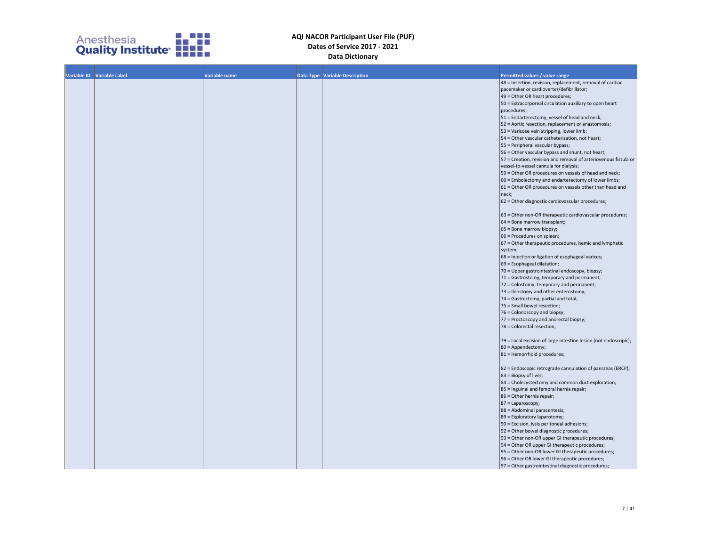

| Variable ID Variable Label | Variable name | Data Type Variable Description | Permitted values / value range                                    |
|----------------------------|---------------|--------------------------------|-------------------------------------------------------------------|
|                            |               |                                | 48 = Insertion, revision, replacement, removal of cardiac         |
|                            |               |                                | pacemaker or cardioverter/defibrillator;                          |
|                            |               |                                | $49$ = Other OR heart procedures;                                 |
|                            |               |                                | 50 = Extracorporeal circulation auxiliary to open heart           |
|                            |               |                                | procedures;                                                       |
|                            |               |                                | $51$ = Endarterectomy, vessel of head and neck;                   |
|                            |               |                                | 52 = Aortic resection, replacement or anastomosis;                |
|                            |               |                                | 53 = Varicose vein stripping, lower limb;                         |
|                            |               |                                | 54 = Other vascular catheterization, not heart;                   |
|                            |               |                                | 55 = Peripheral vascular bypass;                                  |
|                            |               |                                | 56 = Other vascular bypass and shunt, not heart;                  |
|                            |               |                                | $57$ = Creation, revision and removal of arteriovenous fistula or |
|                            |               |                                | vessel-to-vessel cannula for dialysis;                            |
|                            |               |                                | 59 = Other OR procedures on vessels of head and neck;             |
|                            |               |                                | 60 = Embolectomy and endarterectomy of lower limbs;               |
|                            |               |                                | $61$ = Other OR procedures on vessels other than head and         |
|                            |               |                                | neck;                                                             |
|                            |               |                                | $62$ = Other diagnostic cardiovascular procedures;                |
|                            |               |                                |                                                                   |
|                            |               |                                | 63 = Other non-OR therapeutic cardiovascular procedures;          |
|                            |               |                                | $64$ = Bone marrow transplant;                                    |
|                            |               |                                | $65$ = Bone marrow biopsy;                                        |
|                            |               |                                | 66 = Procedures on spleen;                                        |
|                            |               |                                | $ 67$ = Other therapeutic procedures, hemic and lymphatic         |
|                            |               |                                | system;                                                           |
|                            |               |                                | 68 = Injection or ligation of esophageal varices;                 |
|                            |               |                                | $69$ = Esophageal dilatation;                                     |
|                            |               |                                | 70 = Upper gastrointestinal endoscopy, biopsy;                    |
|                            |               |                                | 71 = Gastrostomy, temporary and permanent;                        |
|                            |               |                                | 72 = Colostomy, temporary and permanent;                          |
|                            |               |                                | 73 = Ileostomy and other enterostomy;                             |
|                            |               |                                | 74 = Gastrectomy, partial and total;                              |
|                            |               |                                | 75 = Small bowel resection;                                       |
|                            |               |                                | 76 = Colonoscopy and biopsy;                                      |
|                            |               |                                | 77 = Proctoscopy and anorectal biopsy;                            |
|                            |               |                                | 78 = Colorectal resection;                                        |
|                            |               |                                |                                                                   |
|                            |               |                                | 79 = Local excision of large intestine lesion (not endoscopic);   |
|                            |               |                                | $80 = Appendix$                                                   |
|                            |               |                                | $81$ = Hemorrhoid procedures;                                     |
|                            |               |                                |                                                                   |
|                            |               |                                | 82 = Endoscopic retrograde cannulation of pancreas (ERCP);        |
|                            |               |                                | $ 83$ = Biopsy of liver;                                          |
|                            |               |                                | 84 = Cholecystectomy and common duct exploration;                 |
|                            |               |                                | 85 = Inguinal and femoral hernia repair;                          |
|                            |               |                                | $86$ = Other hernia repair;                                       |
|                            |               |                                | $ 87$ = Laparoscopy;                                              |
|                            |               |                                | 88 = Abdominal paracentesis;                                      |
|                            |               |                                | 89 = Exploratory laparotomy;                                      |
|                            |               |                                | 90 = Excision, lysis peritoneal adhesions;                        |
|                            |               |                                | $ 92$ = Other bowel diagnostic procedures;                        |
|                            |               |                                | [93 = Other non-OR upper GI therapeutic procedures;               |
|                            |               |                                | 94 = Other OR upper GI therapeutic procedures;                    |
|                            |               |                                | 95 = Other non-OR lower GI therapeutic procedures;                |
|                            |               |                                | 96 = Other OR lower GI therapeutic procedures;                    |
|                            |               |                                | $ 97 $ = Other gastrointestinal diagnostic procedures;            |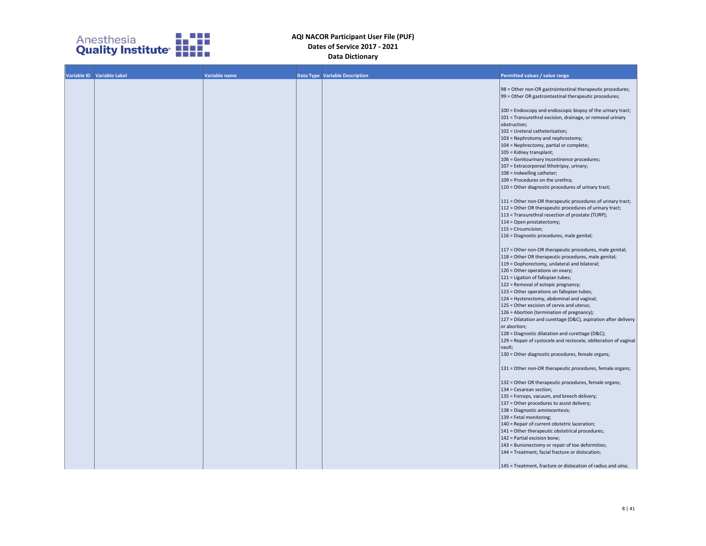

| Variable ID Variable Label | Variable name | <b>Data Type Variable Description</b> | Permitted values / value range                                      |
|----------------------------|---------------|---------------------------------------|---------------------------------------------------------------------|
|                            |               |                                       |                                                                     |
|                            |               |                                       | 98 = Other non-OR gastrointestinal therapeutic procedures;          |
|                            |               |                                       | 99 = Other OR gastrointestinal therapeutic procedures;              |
|                            |               |                                       |                                                                     |
|                            |               |                                       | 100 = Endoscopy and endoscopic biopsy of the urinary tract;         |
|                            |               |                                       | 101 = Transurethral excision, drainage, or removal urinary          |
|                            |               |                                       | obstruction;                                                        |
|                            |               |                                       | 102 = Ureteral catheterization;                                     |
|                            |               |                                       | 103 = Nephrotomy and nephrostomy;                                   |
|                            |               |                                       | 104 = Nephrectomy, partial or complete;<br>105 = Kidney transplant; |
|                            |               |                                       | 106 = Genitourinary incontinence procedures;                        |
|                            |               |                                       | 107 = Extracorporeal lithotripsy, urinary;                          |
|                            |               |                                       | 108 = Indwelling catheter;                                          |
|                            |               |                                       | 109 = Procedures on the urethra;                                    |
|                            |               |                                       | 110 = Other diagnostic procedures of urinary tract;                 |
|                            |               |                                       |                                                                     |
|                            |               |                                       | 111 = Other non-OR therapeutic procedures of urinary tract;         |
|                            |               |                                       | 112 = Other OR therapeutic procedures of urinary tract;             |
|                            |               |                                       | 113 = Transurethral resection of prostate (TURP);                   |
|                            |               |                                       | 114 = Open prostatectomy;                                           |
|                            |               |                                       | 115 = Circumcision;                                                 |
|                            |               |                                       | 116 = Diagnostic procedures, male genital;                          |
|                            |               |                                       |                                                                     |
|                            |               |                                       | 117 = Other non-OR therapeutic procedures, male genital;            |
|                            |               |                                       | 118 = Other OR therapeutic procedures, male genital;                |
|                            |               |                                       | 119 = Oophorectomy, unilateral and bilateral;                       |
|                            |               |                                       | 120 = Other operations on ovary;                                    |
|                            |               |                                       | 121 = Ligation of fallopian tubes;                                  |
|                            |               |                                       | 122 = Removal of ectopic pregnancy;                                 |
|                            |               |                                       | 123 = Other operations on fallopian tubes;                          |
|                            |               |                                       | 124 = Hysterectomy, abdominal and vaginal;                          |
|                            |               |                                       | 125 = Other excision of cervix and uterus;                          |
|                            |               |                                       | 126 = Abortion (termination of pregnancy);                          |
|                            |               |                                       | 127 = Dilatation and curettage (D&C), aspiration after delivery     |
|                            |               |                                       | or abortion;<br>128 = Diagnostic dilatation and curettage (D&C);    |
|                            |               |                                       | 129 = Repair of cystocele and rectocele, obliteration of vaginal    |
|                            |               |                                       | vault;                                                              |
|                            |               |                                       | 130 = Other diagnostic procedures, female organs;                   |
|                            |               |                                       |                                                                     |
|                            |               |                                       | 131 = Other non-OR therapeutic procedures, female organs;           |
|                            |               |                                       | 132 = Other OR therapeutic procedures, female organs;               |
|                            |               |                                       | 134 = Cesarean section;                                             |
|                            |               |                                       | 135 = Forceps, vacuum, and breech delivery;                         |
|                            |               |                                       | 137 = Other procedures to assist delivery;                          |
|                            |               |                                       | 138 = Diagnostic amniocentesis;                                     |
|                            |               |                                       | 139 = Fetal monitoring;                                             |
|                            |               |                                       | 140 = Repair of current obstetric laceration;                       |
|                            |               |                                       | 141 = Other therapeutic obstetrical procedures;                     |
|                            |               |                                       | 142 = Partial excision bone;                                        |
|                            |               |                                       | 143 = Bunionectomy or repair of toe deformities;                    |
|                            |               |                                       | 144 = Treatment, facial fracture or dislocation;                    |
|                            |               |                                       |                                                                     |
|                            |               |                                       | 145 = Treatment, fracture or dislocation of radius and ulna;        |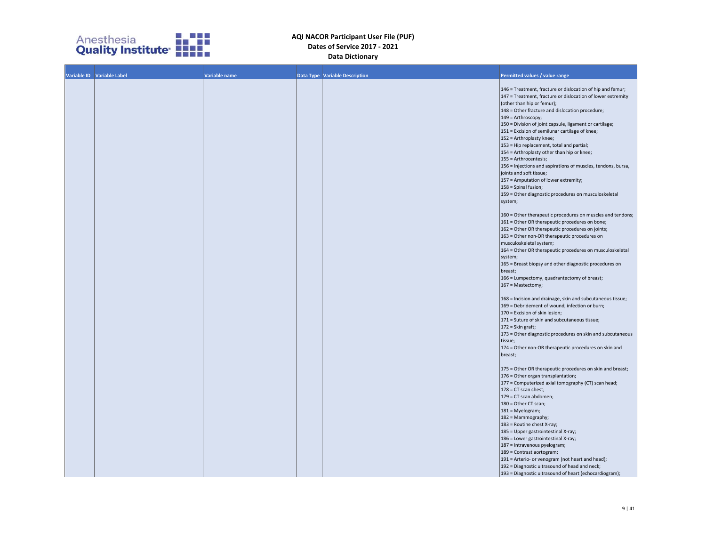

| Variable ID Variable Label | <b>Variable name</b> | Data Type Variable Description | Permitted values / value range                                                                    |
|----------------------------|----------------------|--------------------------------|---------------------------------------------------------------------------------------------------|
|                            |                      |                                |                                                                                                   |
|                            |                      |                                | 146 = Treatment, fracture or dislocation of hip and femur;                                        |
|                            |                      |                                | 147 = Treatment, fracture or dislocation of lower extremity                                       |
|                            |                      |                                | (other than hip or femur);                                                                        |
|                            |                      |                                | 148 = Other fracture and dislocation procedure;                                                   |
|                            |                      |                                | 149 = Arthroscopy;                                                                                |
|                            |                      |                                | 150 = Division of joint capsule, ligament or cartilage;                                           |
|                            |                      |                                | 151 = Excision of semilunar cartilage of knee;                                                    |
|                            |                      |                                | 152 = Arthroplasty knee;                                                                          |
|                            |                      |                                | 153 = Hip replacement, total and partial;                                                         |
|                            |                      |                                | 154 = Arthroplasty other than hip or knee;<br>155 = Arthrocentesis;                               |
|                            |                      |                                | 156 = Injections and aspirations of muscles, tendons, bursa,                                      |
|                            |                      |                                | joints and soft tissue;                                                                           |
|                            |                      |                                | 157 = Amputation of lower extremity;                                                              |
|                            |                      |                                | 158 = Spinal fusion;                                                                              |
|                            |                      |                                | 159 = Other diagnostic procedures on musculoskeletal                                              |
|                            |                      |                                | system;                                                                                           |
|                            |                      |                                |                                                                                                   |
|                            |                      |                                | 160 = Other therapeutic procedures on muscles and tendons;                                        |
|                            |                      |                                | 161 = Other OR therapeutic procedures on bone;                                                    |
|                            |                      |                                | 162 = Other OR therapeutic procedures on joints;                                                  |
|                            |                      |                                | 163 = Other non-OR therapeutic procedures on                                                      |
|                            |                      |                                | musculoskeletal system;                                                                           |
|                            |                      |                                | 164 = Other OR therapeutic procedures on musculoskeletal                                          |
|                            |                      |                                | system;                                                                                           |
|                            |                      |                                | 165 = Breast biopsy and other diagnostic procedures on<br>breast;                                 |
|                            |                      |                                | 166 = Lumpectomy, quadrantectomy of breast;                                                       |
|                            |                      |                                | 167 = Mastectomy;                                                                                 |
|                            |                      |                                |                                                                                                   |
|                            |                      |                                | 168 = Incision and drainage, skin and subcutaneous tissue;                                        |
|                            |                      |                                | 169 = Debridement of wound, infection or burn;                                                    |
|                            |                      |                                | 170 = Excision of skin lesion;                                                                    |
|                            |                      |                                | 171 = Suture of skin and subcutaneous tissue;                                                     |
|                            |                      |                                | 172 = Skin graft;                                                                                 |
|                            |                      |                                | 173 = Other diagnostic procedures on skin and subcutaneous                                        |
|                            |                      |                                | tissue;                                                                                           |
|                            |                      |                                | 174 = Other non-OR therapeutic procedures on skin and                                             |
|                            |                      |                                | breast;                                                                                           |
|                            |                      |                                | 175 = Other OR therapeutic procedures on skin and breast;                                         |
|                            |                      |                                | 176 = Other organ transplantation;                                                                |
|                            |                      |                                | 177 = Computerized axial tomography (CT) scan head;                                               |
|                            |                      |                                | $178$ = CT scan chest;                                                                            |
|                            |                      |                                | 179 = CT scan abdomen;                                                                            |
|                            |                      |                                | 180 = Other CT scan;                                                                              |
|                            |                      |                                | 181 = Myelogram;                                                                                  |
|                            |                      |                                | 182 = Mammography;                                                                                |
|                            |                      |                                | 183 = Routine chest X-ray;                                                                        |
|                            |                      |                                | 185 = Upper gastrointestinal X-ray;                                                               |
|                            |                      |                                | 186 = Lower gastrointestinal X-ray;                                                               |
|                            |                      |                                | 187 = Intravenous pyelogram;                                                                      |
|                            |                      |                                | 189 = Contrast aortogram;                                                                         |
|                            |                      |                                | 191 = Arterio- or venogram (not heart and head);<br>192 = Diagnostic ultrasound of head and neck; |
|                            |                      |                                | 193 = Diagnostic ultrasound of heart (echocardiogram);                                            |
|                            |                      |                                |                                                                                                   |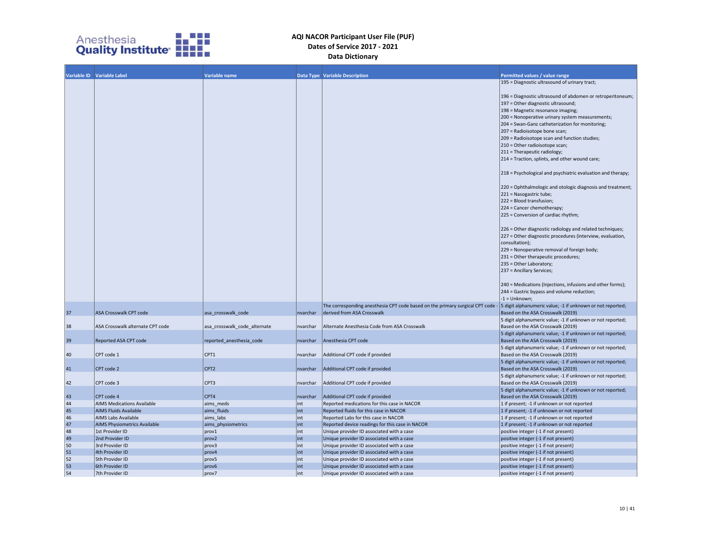

|                                                          | Variable ID Variable Label          | Variable name                |          | <b>Data Type Variable Description</b>                                          | Permitted values / value range                                                                                                                                                                                                                                                                                                                                                                                                                                                                                                                                                                                                                                                                                                                                                                                                                                                                       |
|----------------------------------------------------------|-------------------------------------|------------------------------|----------|--------------------------------------------------------------------------------|------------------------------------------------------------------------------------------------------------------------------------------------------------------------------------------------------------------------------------------------------------------------------------------------------------------------------------------------------------------------------------------------------------------------------------------------------------------------------------------------------------------------------------------------------------------------------------------------------------------------------------------------------------------------------------------------------------------------------------------------------------------------------------------------------------------------------------------------------------------------------------------------------|
|                                                          |                                     |                              |          |                                                                                | 195 = Diagnostic ultrasound of urinary tract;                                                                                                                                                                                                                                                                                                                                                                                                                                                                                                                                                                                                                                                                                                                                                                                                                                                        |
|                                                          |                                     |                              |          |                                                                                | 196 = Diagnostic ultrasound of abdomen or retroperitoneum;<br>197 = Other diagnostic ultrasound;<br>198 = Magnetic resonance imaging;<br>200 = Nonoperative urinary system measurements;<br>204 = Swan-Ganz catheterization for monitoring;<br>207 = Radioisotope bone scan;<br>209 = Radioisotope scan and function studies;<br>210 = Other radioisotope scan;<br>211 = Therapeutic radiology;<br>214 = Traction, splints, and other wound care;<br>218 = Psychological and psychiatric evaluation and therapy;<br>220 = Ophthalmologic and otologic diagnosis and treatment;<br>221 = Nasogastric tube;<br>222 = Blood transfusion;<br>224 = Cancer chemotherapy;<br>225 = Conversion of cardiac rhythm;<br>226 = Other diagnostic radiology and related techniques;<br>227 = Other diagnostic procedures (interview, evaluation,<br>consultation);<br>229 = Nonoperative removal of foreign body; |
|                                                          |                                     |                              |          |                                                                                | 231 = Other therapeutic procedures;<br>235 = Other Laboratory;<br>237 = Ancillary Services;                                                                                                                                                                                                                                                                                                                                                                                                                                                                                                                                                                                                                                                                                                                                                                                                          |
|                                                          |                                     |                              |          |                                                                                | 240 = Medications (Injections, infusions and other forms);<br>244 = Gastric bypass and volume reduction;                                                                                                                                                                                                                                                                                                                                                                                                                                                                                                                                                                                                                                                                                                                                                                                             |
|                                                          |                                     |                              |          |                                                                                | $-1 =$ Unknown:                                                                                                                                                                                                                                                                                                                                                                                                                                                                                                                                                                                                                                                                                                                                                                                                                                                                                      |
|                                                          |                                     |                              |          | The corresponding anesthesia CPT code based on the primary surgical CPT code - | 5 digit alphanumeric value; -1 if unknown or not reported;                                                                                                                                                                                                                                                                                                                                                                                                                                                                                                                                                                                                                                                                                                                                                                                                                                           |
| 37                                                       | ASA Crosswalk CPT code              | asa crosswalk code           | nvarchar | derived from ASA Crosswalk                                                     | Based on the ASA Crosswalk (2019)                                                                                                                                                                                                                                                                                                                                                                                                                                                                                                                                                                                                                                                                                                                                                                                                                                                                    |
| 38                                                       | ASA Crosswalk alternate CPT code    | asa crosswalk code alternate | nvarchar | Alternate Anesthesia Code from ASA Crosswalk                                   | 5 digit alphanumeric value; -1 if unknown or not reported;<br>Based on the ASA Crosswalk (2019)                                                                                                                                                                                                                                                                                                                                                                                                                                                                                                                                                                                                                                                                                                                                                                                                      |
| 39                                                       | <b>Reported ASA CPT code</b>        | reported anesthesia code     | nvarchar | Anesthesia CPT code                                                            | 5 digit alphanumeric value; -1 if unknown or not reported;<br>Based on the ASA Crosswalk (2019)                                                                                                                                                                                                                                                                                                                                                                                                                                                                                                                                                                                                                                                                                                                                                                                                      |
|                                                          |                                     |                              |          |                                                                                | 5 digit alphanumeric value; -1 if unknown or not reported;                                                                                                                                                                                                                                                                                                                                                                                                                                                                                                                                                                                                                                                                                                                                                                                                                                           |
| 40                                                       | CPT code 1                          | CPT1                         | nvarchar | Additional CPT code if provided                                                | Based on the ASA Crosswalk (2019)                                                                                                                                                                                                                                                                                                                                                                                                                                                                                                                                                                                                                                                                                                                                                                                                                                                                    |
| 41                                                       | CPT code 2                          | CPT <sub>2</sub>             | nvarchar | Additional CPT code if provided                                                | 5 digit alphanumeric value; -1 if unknown or not reported;                                                                                                                                                                                                                                                                                                                                                                                                                                                                                                                                                                                                                                                                                                                                                                                                                                           |
|                                                          |                                     |                              |          |                                                                                | Based on the ASA Crosswalk (2019)<br>5 digit alphanumeric value; -1 if unknown or not reported;                                                                                                                                                                                                                                                                                                                                                                                                                                                                                                                                                                                                                                                                                                                                                                                                      |
| 42                                                       | CPT code 3                          | CPT3                         | nvarchar | Additional CPT code if provided                                                | Based on the ASA Crosswalk (2019)                                                                                                                                                                                                                                                                                                                                                                                                                                                                                                                                                                                                                                                                                                                                                                                                                                                                    |
| 43                                                       | CPT code 4                          | CPT4                         | nvarchar | Additional CPT code if provided                                                | 5 digit alphanumeric value; -1 if unknown or not reported;<br>Based on the ASA Crosswalk (2019)                                                                                                                                                                                                                                                                                                                                                                                                                                                                                                                                                                                                                                                                                                                                                                                                      |
|                                                          | <b>AIMS Medications Available</b>   | aims meds                    | int      | Reported medications for this case in NACOR                                    | 1 if present; -1 if unknown or not reported                                                                                                                                                                                                                                                                                                                                                                                                                                                                                                                                                                                                                                                                                                                                                                                                                                                          |
| 44 45 46 47 48 49 50 51 52                               | <b>AIMS Fluids Available</b>        | aims fluids                  | int      | Reported fluids for this case in NACOR                                         | 1 if present; -1 if unknown or not reported                                                                                                                                                                                                                                                                                                                                                                                                                                                                                                                                                                                                                                                                                                                                                                                                                                                          |
|                                                          | AIMS Labs Available                 | aims labs                    | int      | Reported Labs for this case in NACOR                                           | 1 if present; -1 if unknown or not reported                                                                                                                                                                                                                                                                                                                                                                                                                                                                                                                                                                                                                                                                                                                                                                                                                                                          |
|                                                          | <b>AIMS Physiometrics Available</b> | aims_physiometrics           | int      | Reported device readings for this case in NACOR                                | 1 if present; -1 if unknown or not reported                                                                                                                                                                                                                                                                                                                                                                                                                                                                                                                                                                                                                                                                                                                                                                                                                                                          |
|                                                          | 1st Provider ID                     | prov1                        | int      | Unique provider ID associated with a case                                      | positive integer (-1 if not present)                                                                                                                                                                                                                                                                                                                                                                                                                                                                                                                                                                                                                                                                                                                                                                                                                                                                 |
|                                                          | 2nd Provider ID                     | prov <sub>2</sub>            | int      | Unique provider ID associated with a case                                      | positive integer (-1 if not present)                                                                                                                                                                                                                                                                                                                                                                                                                                                                                                                                                                                                                                                                                                                                                                                                                                                                 |
|                                                          | 3rd Provider ID                     | prov3                        | int      | Unique provider ID associated with a case                                      | positive integer (-1 if not present)                                                                                                                                                                                                                                                                                                                                                                                                                                                                                                                                                                                                                                                                                                                                                                                                                                                                 |
|                                                          | 4th Provider ID                     | prov4                        | int      | Unique provider ID associated with a case                                      | positive integer (-1 if not present)                                                                                                                                                                                                                                                                                                                                                                                                                                                                                                                                                                                                                                                                                                                                                                                                                                                                 |
|                                                          | 5th Provider ID                     | prov5                        | int      | Unique provider ID associated with a case                                      | positive integer (-1 if not present)                                                                                                                                                                                                                                                                                                                                                                                                                                                                                                                                                                                                                                                                                                                                                                                                                                                                 |
| $\begin{array}{ c c }\n 53 \\ \hline\n 54\n \end{array}$ | 6th Provider ID                     | prov <sub>6</sub>            | int      | Unique provider ID associated with a case                                      | positive integer (-1 if not present)                                                                                                                                                                                                                                                                                                                                                                                                                                                                                                                                                                                                                                                                                                                                                                                                                                                                 |
|                                                          | 7th Provider ID                     | prov7                        | lint     | Unique provider ID associated with a case                                      | positive integer (-1 if not present)                                                                                                                                                                                                                                                                                                                                                                                                                                                                                                                                                                                                                                                                                                                                                                                                                                                                 |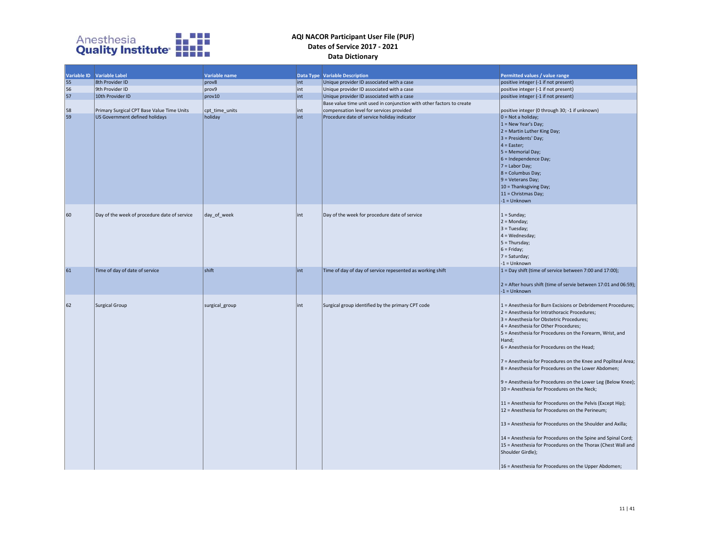

|    | Variable ID Variable Label                   | Variable name  |      | <b>Data Type Variable Description</b>                                 | Permitted values / value range                                                                                                                                                                                                                                                                                                                                                                                                                                                                                                                                                                                                                                                                                                                                                                                                                                                                                                                         |
|----|----------------------------------------------|----------------|------|-----------------------------------------------------------------------|--------------------------------------------------------------------------------------------------------------------------------------------------------------------------------------------------------------------------------------------------------------------------------------------------------------------------------------------------------------------------------------------------------------------------------------------------------------------------------------------------------------------------------------------------------------------------------------------------------------------------------------------------------------------------------------------------------------------------------------------------------------------------------------------------------------------------------------------------------------------------------------------------------------------------------------------------------|
| 55 | 8th Provider ID                              | prov8          | lint | Unique provider ID associated with a case                             | positive integer (-1 if not present)                                                                                                                                                                                                                                                                                                                                                                                                                                                                                                                                                                                                                                                                                                                                                                                                                                                                                                                   |
| 56 | 9th Provider ID                              | prov9          | int  | Unique provider ID associated with a case                             | positive integer (-1 if not present)                                                                                                                                                                                                                                                                                                                                                                                                                                                                                                                                                                                                                                                                                                                                                                                                                                                                                                                   |
| 57 | 10th Provider ID                             | prov10         | int  | Unique provider ID associated with a case                             | positive integer (-1 if not present)                                                                                                                                                                                                                                                                                                                                                                                                                                                                                                                                                                                                                                                                                                                                                                                                                                                                                                                   |
|    |                                              |                |      | Base value time unit used in conjunction with other factors to create |                                                                                                                                                                                                                                                                                                                                                                                                                                                                                                                                                                                                                                                                                                                                                                                                                                                                                                                                                        |
| 58 | Primary Surgical CPT Base Value Time Units   | cpt time units | lint | compensation level for services provided                              | positive integer (0 through 30; -1 if unknown)                                                                                                                                                                                                                                                                                                                                                                                                                                                                                                                                                                                                                                                                                                                                                                                                                                                                                                         |
| 59 | US Government defined holidays               | holiday        | int  | Procedure date of service holiday indicator                           | $0 = Not$ a holiday;<br>$1 = New Year's Day;$<br>2 = Martin Luther King Day;<br>3 = Presidents' Day;<br>$4 =$ Easter;<br>5 = Memorial Day;<br>$6$ = Independence Day;<br>$7 =$ Labor Day;<br>8 = Columbus Day;<br>9 = Veterans Day;<br>10 = Thanksgiving Day;<br>11 = Christmas Day;<br>$-1 =$ Unknown                                                                                                                                                                                                                                                                                                                                                                                                                                                                                                                                                                                                                                                 |
| 60 | Day of the week of procedure date of service | day of week    | lint | Day of the week for procedure date of service                         | $1 =$ Sunday;<br>$2 = Monday;$<br>$3 = Tuesday;$<br>$4 = Wednesday;$<br>$5 = Thursday;$<br>$6 =$ Friday;<br>7 = Saturday;<br>$-1 =$ Unknown                                                                                                                                                                                                                                                                                                                                                                                                                                                                                                                                                                                                                                                                                                                                                                                                            |
| 61 | Time of day of date of service               | shift          | int  | Time of day of day of service repesented as working shift             | 1 = Day shift (time of service between 7:00 and 17:00);<br>2 = After hours shift (time of servie between 17:01 and 06:59);<br>$-1 =$ Unknown                                                                                                                                                                                                                                                                                                                                                                                                                                                                                                                                                                                                                                                                                                                                                                                                           |
| 62 | Surgical Group                               | surgical_group | int  | Surgical group identified by the primary CPT code                     | 1 = Anesthesia for Burn Excisions or Debridement Procedures;<br>2 = Anesthesia for Intrathoracic Procedures;<br>3 = Anesthesia for Obstetric Procedures;<br>4 = Anesthesia for Other Procedures;<br>5 = Anesthesia for Procedures on the Forearm, Wrist, and<br>Hand;<br>6 = Anesthesia for Procedures on the Head;<br>7 = Anesthesia for Procedures on the Knee and Popliteal Area;<br>8 = Anesthesia for Procedures on the Lower Abdomen;<br>9 = Anesthesia for Procedures on the Lower Leg (Below Knee);<br>10 = Anesthesia for Procedures on the Neck;<br>11 = Anesthesia for Procedures on the Pelvis (Except Hip);<br>12 = Anesthesia for Procedures on the Perineum;<br>13 = Anesthesia for Procedures on the Shoulder and Axilla;<br>14 = Anesthesia for Procedures on the Spine and Spinal Cord;<br>15 = Anesthesia for Procedures on the Thorax (Chest Wall and<br>Shoulder Girdle);<br>16 = Anesthesia for Procedures on the Upper Abdomen; |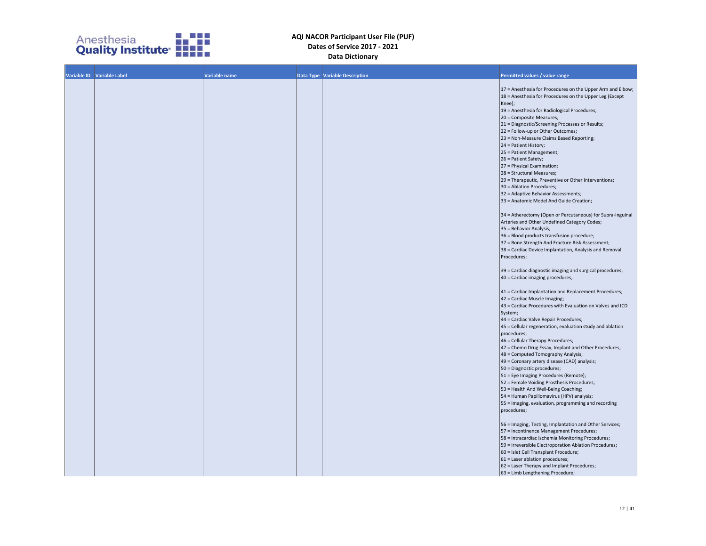

| Variable ID Variable Label | Variable name | <b>Data Type Variable Description</b> | Permitted values / value range                                                                  |
|----------------------------|---------------|---------------------------------------|-------------------------------------------------------------------------------------------------|
|                            |               |                                       | 17 = Anesthesia for Procedures on the Upper Arm and Elbow;                                      |
|                            |               |                                       | 18 = Anesthesia for Procedures on the Upper Leg (Except                                         |
|                            |               |                                       | Knee);                                                                                          |
|                            |               |                                       | 19 = Anesthesia for Radiological Procedures;                                                    |
|                            |               |                                       | 20 = Composite Measures;<br>21 = Diagnostic/Screening Processes or Results;                     |
|                            |               |                                       | 22 = Follow-up or Other Outcomes;                                                               |
|                            |               |                                       | 23 = Non-Measure Claims Based Reporting;                                                        |
|                            |               |                                       | 24 = Patient History;                                                                           |
|                            |               |                                       | 25 = Patient Management;                                                                        |
|                            |               |                                       | 26 = Patient Safety;<br>27 = Physical Examination;                                              |
|                            |               |                                       | 28 = Structural Measures;                                                                       |
|                            |               |                                       | 29 = Therapeutic, Preventive or Other Interventions;                                            |
|                            |               |                                       | 30 = Ablation Procedures;                                                                       |
|                            |               |                                       | 32 = Adaptive Behavior Assessments;                                                             |
|                            |               |                                       | 33 = Anatomic Model And Guide Creation;                                                         |
|                            |               |                                       | 34 = Atherectomy (Open or Percutaneous) for Supra-Inguinal                                      |
|                            |               |                                       | Arteries and Other Undefined Category Codes;                                                    |
|                            |               |                                       | 35 = Behavior Analysis;<br>36 = Blood products transfusion procedure;                           |
|                            |               |                                       | 37 = Bone Strength And Fracture Risk Assessment;                                                |
|                            |               |                                       | 38 = Cardiac Device Implantation, Analysis and Removal                                          |
|                            |               |                                       | Procedures;                                                                                     |
|                            |               |                                       | 39 = Cardiac diagnostic imaging and surgical procedures;                                        |
|                            |               |                                       | 40 = Cardiac imaging procedures;                                                                |
|                            |               |                                       | 41 = Cardiac Implantation and Replacement Procedures;                                           |
|                            |               |                                       | 42 = Cardiac Muscle Imaging;                                                                    |
|                            |               |                                       | 43 = Cardiac Procedures with Evaluation on Valves and ICD                                       |
|                            |               |                                       | System;<br>44 = Cardiac Valve Repair Procedures;                                                |
|                            |               |                                       | 45 = Cellular regeneration, evaluation study and ablation                                       |
|                            |               |                                       | procedures;                                                                                     |
|                            |               |                                       | 46 = Cellular Therapy Procedures;                                                               |
|                            |               |                                       | 47 = Chemo Drug Essay, Implant and Other Procedures;                                            |
|                            |               |                                       | 48 = Computed Tomography Analysis;                                                              |
|                            |               |                                       | 49 = Coronary artery disease (CAD) analysis;<br>50 = Diagnostic procedures;                     |
|                            |               |                                       | 51 = Eye Imaging Procedures (Remote);                                                           |
|                            |               |                                       | 52 = Female Voiding Prosthesis Procedures;                                                      |
|                            |               |                                       | 53 = Health And Well-Being Coaching;                                                            |
|                            |               |                                       | 54 = Human Papillomavirus (HPV) analysis;                                                       |
|                            |               |                                       | 55 = Imaging, evaluation, programming and recording                                             |
|                            |               |                                       | procedures;                                                                                     |
|                            |               |                                       | 56 = Imaging, Testing, Implantation and Other Services;                                         |
|                            |               |                                       | 57 = Incontinence Management Procedures;                                                        |
|                            |               |                                       | 58 = Intracardiac Ischemia Monitoring Procedures;                                               |
|                            |               |                                       | 59 = Irreversible Electroporation Ablation Procedures;<br>60 = Islet Cell Transplant Procedure; |
|                            |               |                                       | 61 = Laser ablation procedures;                                                                 |
|                            |               |                                       | 62 = Laser Therapy and Implant Procedures;                                                      |
|                            |               |                                       | 63 = Limb Lengthening Procedure;                                                                |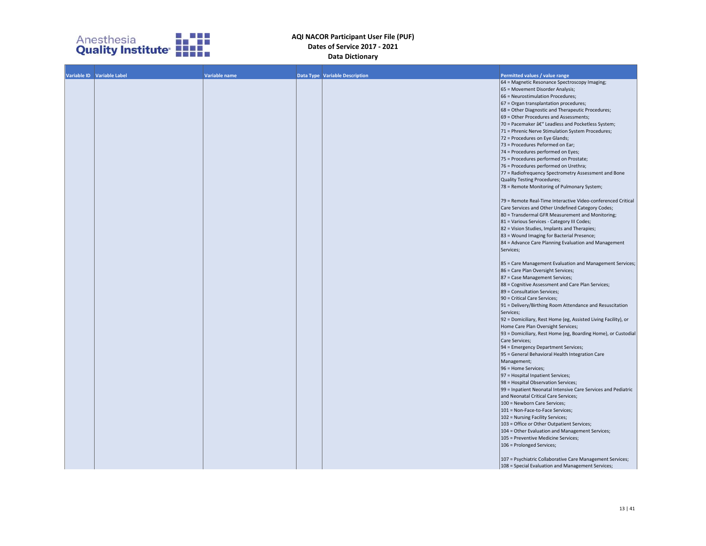

| Variable ID Variable Label | Variable name | Data Type Variable Description | Permitted values / value range                                 |  |
|----------------------------|---------------|--------------------------------|----------------------------------------------------------------|--|
|                            |               |                                | 64 = Magnetic Resonance Spectroscopy Imaging;                  |  |
|                            |               |                                | 65 = Movement Disorder Analysis;                               |  |
|                            |               |                                | 66 = Neurostimulation Procedures;                              |  |
|                            |               |                                | 67 = Organ transplantation procedures;                         |  |
|                            |               |                                | 68 = Other Diagnostic and Therapeutic Procedures;              |  |
|                            |               |                                | 69 = Other Procedures and Assessments;                         |  |
|                            |               |                                | 70 = Pacemaker â€" Leadless and Pocketless System;             |  |
|                            |               |                                | 71 = Phrenic Nerve Stimulation System Procedures;              |  |
|                            |               |                                | 72 = Procedures on Eye Glands;                                 |  |
|                            |               |                                | 73 = Procedures Peformed on Ear;                               |  |
|                            |               |                                | 74 = Procedures performed on Eyes;                             |  |
|                            |               |                                | 75 = Procedures performed on Prostate;                         |  |
|                            |               |                                |                                                                |  |
|                            |               |                                | 76 = Procedures performed on Urethra;                          |  |
|                            |               |                                | 77 = Radiofrequency Spectrometry Assessment and Bone           |  |
|                            |               |                                | Quality Testing Procedures;                                    |  |
|                            |               |                                | 78 = Remote Monitoring of Pulmonary System;                    |  |
|                            |               |                                |                                                                |  |
|                            |               |                                | 79 = Remote Real-Time Interactive Video-conferenced Critical   |  |
|                            |               |                                | Care Services and Other Undefined Category Codes;              |  |
|                            |               |                                | 80 = Transdermal GFR Measurement and Monitoring;               |  |
|                            |               |                                | 81 = Various Services - Category III Codes;                    |  |
|                            |               |                                | 82 = Vision Studies, Implants and Therapies;                   |  |
|                            |               |                                | 83 = Wound Imaging for Bacterial Presence;                     |  |
|                            |               |                                | 84 = Advance Care Planning Evaluation and Management           |  |
|                            |               |                                | Services;                                                      |  |
|                            |               |                                |                                                                |  |
|                            |               |                                | 85 = Care Management Evaluation and Management Services;       |  |
|                            |               |                                |                                                                |  |
|                            |               |                                | 86 = Care Plan Oversight Services;                             |  |
|                            |               |                                | 87 = Case Management Services;                                 |  |
|                            |               |                                | 88 = Cognitive Assessment and Care Plan Services;              |  |
|                            |               |                                | 89 = Consultation Services;                                    |  |
|                            |               |                                | 90 = Critical Care Services;                                   |  |
|                            |               |                                | 91 = Delivery/Birthing Room Attendance and Resuscitation       |  |
|                            |               |                                | Services;                                                      |  |
|                            |               |                                | 92 = Domiciliary, Rest Home (eg, Assisted Living Facility), or |  |
|                            |               |                                | Home Care Plan Oversight Services;                             |  |
|                            |               |                                | 93 = Domiciliary, Rest Home (eg, Boarding Home), or Custodial  |  |
|                            |               |                                | Care Services;                                                 |  |
|                            |               |                                | 94 = Emergency Department Services;                            |  |
|                            |               |                                | 95 = General Behavioral Health Integration Care                |  |
|                            |               |                                | Management;                                                    |  |
|                            |               |                                | 96 = Home Services;                                            |  |
|                            |               |                                |                                                                |  |
|                            |               |                                | 97 = Hospital Inpatient Services;                              |  |
|                            |               |                                | 98 = Hospital Observation Services;                            |  |
|                            |               |                                | 99 = Inpatient Neonatal Intensive Care Services and Pediatric  |  |
|                            |               |                                | and Neonatal Critical Care Services;                           |  |
|                            |               |                                | 100 = Newborn Care Services;                                   |  |
|                            |               |                                | 101 = Non-Face-to-Face Services;                               |  |
|                            |               |                                | 102 = Nursing Facility Services;                               |  |
|                            |               |                                | 103 = Office or Other Outpatient Services;                     |  |
|                            |               |                                | 104 = Other Evaluation and Management Services;                |  |
|                            |               |                                | 105 = Preventive Medicine Services;                            |  |
|                            |               |                                | 106 = Prolonged Services;                                      |  |
|                            |               |                                |                                                                |  |
|                            |               |                                | 107 = Psychiatric Collaborative Care Management Services;      |  |
|                            |               |                                | 108 = Special Evaluation and Management Services;              |  |
|                            |               |                                |                                                                |  |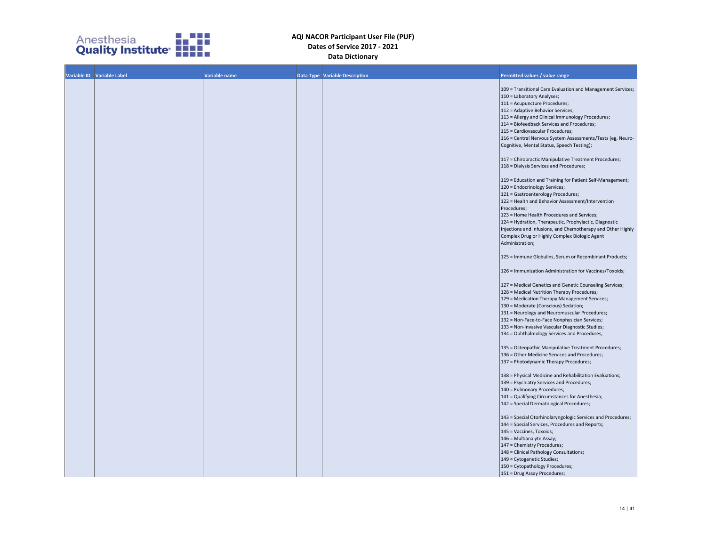

| Variable ID Variable Label | Variable name |                                       |                                                             |
|----------------------------|---------------|---------------------------------------|-------------------------------------------------------------|
|                            |               | <b>Data Type Variable Description</b> | Permitted values / value range                              |
|                            |               |                                       |                                                             |
|                            |               |                                       | 109 = Transitional Care Evaluation and Management Services; |
|                            |               |                                       | 110 = Laboratory Analyses;                                  |
|                            |               |                                       | 111 = Acupuncture Procedures;                               |
|                            |               |                                       | 112 = Adaptive Behavior Services;                           |
|                            |               |                                       | 113 = Allergy and Clinical Immunology Procedures;           |
|                            |               |                                       | 114 = Biofeedback Services and Procedures;                  |
|                            |               |                                       | 115 = Cardiovascular Procedures;                            |
|                            |               |                                       | 116 = Central Nervous System Assessments/Tests (eg, Neuro-  |
|                            |               |                                       | Cognitive, Mental Status, Speech Testing);                  |
|                            |               |                                       |                                                             |
|                            |               |                                       | 117 = Chiropractic Manipulative Treatment Procedures;       |
|                            |               |                                       | 118 = Dialysis Services and Procedures;                     |
|                            |               |                                       |                                                             |
|                            |               |                                       |                                                             |
|                            |               |                                       | 119 = Education and Training for Patient Self-Management;   |
|                            |               |                                       | 120 = Endocrinology Services;                               |
|                            |               |                                       | 121 = Gastroenterology Procedures;                          |
|                            |               |                                       | 122 = Health and Behavior Assessment/Intervention           |
|                            |               |                                       | Procedures;                                                 |
|                            |               |                                       | 123 = Home Health Procedures and Services;                  |
|                            |               |                                       | 124 = Hydration, Therapeutic, Prophylactic, Diagnostic      |
|                            |               |                                       | Injections and Infusions, and Chemotherapy and Other Highly |
|                            |               |                                       | Complex Drug or Highly Complex Biologic Agent               |
|                            |               |                                       | Administration;                                             |
|                            |               |                                       |                                                             |
|                            |               |                                       |                                                             |
|                            |               |                                       | 125 = Immune Globulins, Serum or Recombinant Products;      |
|                            |               |                                       |                                                             |
|                            |               |                                       | 126 = Immunization Administration for Vaccines/Toxoids;     |
|                            |               |                                       |                                                             |
|                            |               |                                       | 127 = Medical Genetics and Genetic Counseling Services;     |
|                            |               |                                       | 128 = Medical Nutrition Therapy Procedures;                 |
|                            |               |                                       | 129 = Medication Therapy Management Services;               |
|                            |               |                                       | 130 = Moderate (Conscious) Sedation;                        |
|                            |               |                                       | 131 = Neurology and Neuromuscular Procedures;               |
|                            |               |                                       | 132 = Non-Face-to-Face Nonphysician Services;               |
|                            |               |                                       | 133 = Non-Invasive Vascular Diagnostic Studies;             |
|                            |               |                                       | 134 = Ophthalmology Services and Procedures;                |
|                            |               |                                       |                                                             |
|                            |               |                                       |                                                             |
|                            |               |                                       | 135 = Osteopathic Manipulative Treatment Procedures;        |
|                            |               |                                       | 136 = Other Medicine Services and Procedures;               |
|                            |               |                                       | 137 = Photodynamic Therapy Procedures;                      |
|                            |               |                                       |                                                             |
|                            |               |                                       | 138 = Physical Medicine and Rehabilitation Evaluations;     |
|                            |               |                                       | 139 = Psychiatry Services and Procedures;                   |
|                            |               |                                       | 140 = Pulmonary Procedures;                                 |
|                            |               |                                       | 141 = Qualifying Circumstances for Anesthesia;              |
|                            |               |                                       | 142 = Special Dermatological Procedures;                    |
|                            |               |                                       |                                                             |
|                            |               |                                       | 143 = Special Otorhinolaryngologic Services and Procedures; |
|                            |               |                                       | 144 = Special Services, Procedures and Reports;             |
|                            |               |                                       | 145 = Vaccines, Toxoids;                                    |
|                            |               |                                       |                                                             |
|                            |               |                                       | 146 = Multianalyte Assay;                                   |
|                            |               |                                       | 147 = Chemistry Procedures;                                 |
|                            |               |                                       | 148 = Clinical Pathology Consultations;                     |
|                            |               |                                       | 149 = Cytogenetic Studies;                                  |
|                            |               |                                       | 150 = Cytopathology Procedures;                             |
|                            |               |                                       | 151 = Drug Assay Procedures;                                |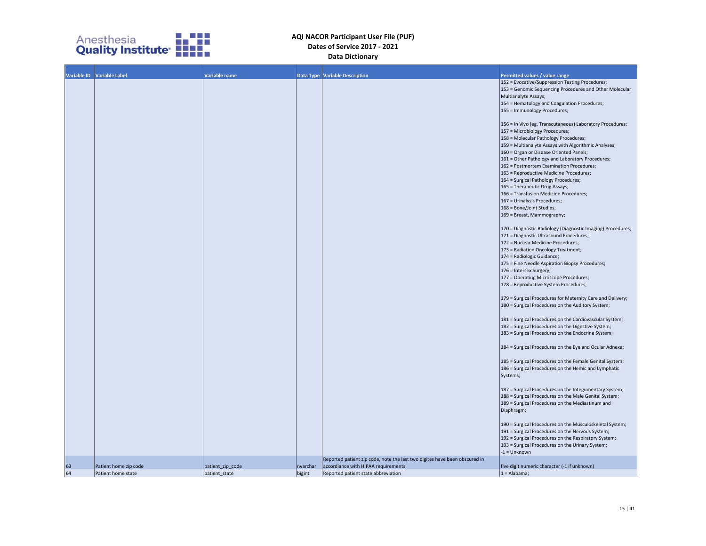

|    | Variable ID Variable Label | Variable name    |          | <b>Data Type Variable Description</b>                                      | Permitted values / value range                              |
|----|----------------------------|------------------|----------|----------------------------------------------------------------------------|-------------------------------------------------------------|
|    |                            |                  |          |                                                                            | 152 = Evocative/Suppression Testing Procedures;             |
|    |                            |                  |          |                                                                            | 153 = Genomic Sequencing Procedures and Other Molecular     |
|    |                            |                  |          |                                                                            | Multianalyte Assays;                                        |
|    |                            |                  |          |                                                                            | 154 = Hematology and Coagulation Procedures;                |
|    |                            |                  |          |                                                                            | 155 = Immunology Procedures;                                |
|    |                            |                  |          |                                                                            | 156 = In Vivo (eg, Transcutaneous) Laboratory Procedures;   |
|    |                            |                  |          |                                                                            | 157 = Microbiology Procedures;                              |
|    |                            |                  |          |                                                                            | 158 = Molecular Pathology Procedures;                       |
|    |                            |                  |          |                                                                            | 159 = Multianalyte Assays with Algorithmic Analyses;        |
|    |                            |                  |          |                                                                            | 160 = Organ or Disease Oriented Panels;                     |
|    |                            |                  |          |                                                                            | 161 = Other Pathology and Laboratory Procedures;            |
|    |                            |                  |          |                                                                            | 162 = Postmortem Examination Procedures;                    |
|    |                            |                  |          |                                                                            | 163 = Reproductive Medicine Procedures;                     |
|    |                            |                  |          |                                                                            | 164 = Surgical Pathology Procedures;                        |
|    |                            |                  |          |                                                                            | 165 = Therapeutic Drug Assays;                              |
|    |                            |                  |          |                                                                            | 166 = Transfusion Medicine Procedures;                      |
|    |                            |                  |          |                                                                            | 167 = Urinalysis Procedures;                                |
|    |                            |                  |          |                                                                            | 168 = Bone/Joint Studies;                                   |
|    |                            |                  |          |                                                                            | 169 = Breast, Mammography;                                  |
|    |                            |                  |          |                                                                            |                                                             |
|    |                            |                  |          |                                                                            | 170 = Diagnostic Radiology (Diagnostic Imaging) Procedures; |
|    |                            |                  |          |                                                                            | 171 = Diagnostic Ultrasound Procedures;                     |
|    |                            |                  |          |                                                                            | 172 = Nuclear Medicine Procedures;                          |
|    |                            |                  |          |                                                                            | 173 = Radiation Oncology Treatment;                         |
|    |                            |                  |          |                                                                            | 174 = Radiologic Guidance;                                  |
|    |                            |                  |          |                                                                            | 175 = Fine Needle Aspiration Biopsy Procedures;             |
|    |                            |                  |          |                                                                            | 176 = Intersex Surgery;                                     |
|    |                            |                  |          |                                                                            | 177 = Operating Microscope Procedures;                      |
|    |                            |                  |          |                                                                            | 178 = Reproductive System Procedures;                       |
|    |                            |                  |          |                                                                            |                                                             |
|    |                            |                  |          |                                                                            | 179 = Surgical Procedures for Maternity Care and Delivery;  |
|    |                            |                  |          |                                                                            | 180 = Surgical Procedures on the Auditory System;           |
|    |                            |                  |          |                                                                            | 181 = Surgical Procedures on the Cardiovascular System;     |
|    |                            |                  |          |                                                                            | 182 = Surgical Procedures on the Digestive System;          |
|    |                            |                  |          |                                                                            | 183 = Surgical Procedures on the Endocrine System;          |
|    |                            |                  |          |                                                                            |                                                             |
|    |                            |                  |          |                                                                            | 184 = Surgical Procedures on the Eye and Ocular Adnexa;     |
|    |                            |                  |          |                                                                            | 185 = Surgical Procedures on the Female Genital System;     |
|    |                            |                  |          |                                                                            | 186 = Surgical Procedures on the Hemic and Lymphatic        |
|    |                            |                  |          |                                                                            | Systems;                                                    |
|    |                            |                  |          |                                                                            |                                                             |
|    |                            |                  |          |                                                                            | 187 = Surgical Procedures on the Integumentary System;      |
|    |                            |                  |          |                                                                            | 188 = Surgical Procedures on the Male Genital System;       |
|    |                            |                  |          |                                                                            | 189 = Surgical Procedures on the Mediastinum and            |
|    |                            |                  |          |                                                                            | Diaphragm;                                                  |
|    |                            |                  |          |                                                                            | 190 = Surgical Procedures on the Musculoskeletal System;    |
|    |                            |                  |          |                                                                            | 191 = Surgical Procedures on the Nervous System;            |
|    |                            |                  |          |                                                                            | 192 = Surgical Procedures on the Respiratory System;        |
|    |                            |                  |          |                                                                            | 193 = Surgical Procedures on the Urinary System;            |
|    |                            |                  |          |                                                                            | $-1 =$ Unknown                                              |
|    |                            |                  |          | Reported patient zip code, note the last two digites have been obscured in |                                                             |
| 63 | Patient home zip code      | patient_zip_code | nvarchar | accordiance with HIPAA requirements                                        | five digit numeric character (-1 if unknown)                |
| 64 | Patient home state         | patient state    | bigint   | Reported patient state abbreviation                                        | $1 = \text{Alabama}$ ;                                      |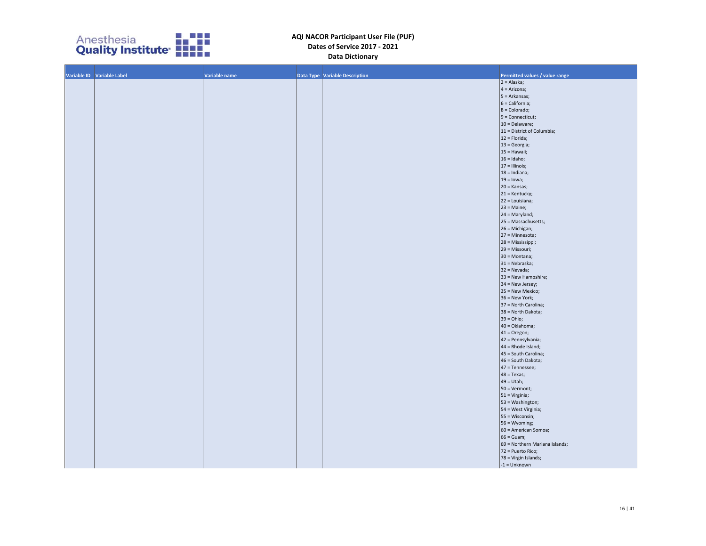

| Variable ID Variable Label | Variable name | Data Type Variable Description | Permitted values / value range |
|----------------------------|---------------|--------------------------------|--------------------------------|
|                            |               |                                | $2 = Alaska;$                  |
|                            |               |                                | $4 = Arizona;$                 |
|                            |               |                                | $5 = Arkansas;$                |
|                            |               |                                | $6 = California;$              |
|                            |               |                                | $8 = Colorado;$                |
|                            |               |                                | $9 =$ Connecticut;             |
|                            |               |                                | 10 = Delaware;                 |
|                            |               |                                | 11 = District of Columbia;     |
|                            |               |                                | $12 = Florida;$                |
|                            |               |                                | 13 = Georgia;                  |
|                            |               |                                | $15 =$ Hawaii;                 |
|                            |               |                                | $16 =$ Idaho;                  |
|                            |               |                                | $17 =$ Illinois;               |
|                            |               |                                | $18 = Indiana;$                |
|                            |               |                                | $19 =$ lowa;                   |
|                            |               |                                | $20 =$ Kansas;                 |
|                            |               |                                | $21 =$ Kentucky;               |
|                            |               |                                | 22 = Louisiana;                |
|                            |               |                                | $23$ = Maine;                  |
|                            |               |                                | $24 =$ Maryland;               |
|                            |               |                                | 25 = Massachusetts;            |
|                            |               |                                | 26 = Michigan;                 |
|                            |               |                                | 27 = Minnesota;                |
|                            |               |                                | 28 = Mississippi;              |
|                            |               |                                |                                |
|                            |               |                                | 29 = Missouri;                 |
|                            |               |                                | 30 = Montana;                  |
|                            |               |                                | 31 = Nebraska;                 |
|                            |               |                                | $32$ = Nevada;                 |
|                            |               |                                | $33$ = New Hampshire;          |
|                            |               |                                | 34 = New Jersey;               |
|                            |               |                                | 35 = New Mexico;               |
|                            |               |                                | 36 = New York;                 |
|                            |               |                                | 37 = North Carolina;           |
|                            |               |                                | 38 = North Dakota;             |
|                            |               |                                | $39 = Ohio;$                   |
|                            |               |                                | 40 = Oklahoma;                 |
|                            |               |                                | $41 = Oregon;$                 |
|                            |               |                                | 42 = Pennsylvania;             |
|                            |               |                                | $44$ = Rhode Island;           |
|                            |               |                                | 45 = South Carolina;           |
|                            |               |                                | 46 = South Dakota;             |
|                            |               |                                | 47 = Tennessee;                |
|                            |               |                                | $48 = Texas;$                  |
|                            |               |                                | $49 = Utah;$                   |
|                            |               |                                | 50 = Vermont;                  |
|                            |               |                                | $51 = Virginia;$               |
|                            |               |                                | 53 = Washington;               |
|                            |               |                                | 54 = West Virginia;            |
|                            |               |                                | 55 = Wisconsin;                |
|                            |               |                                | 56 = Wyoming;                  |
|                            |               |                                | 60 = American Somoa;           |
|                            |               |                                |                                |
|                            |               |                                | $66 =$ Guam;                   |
|                            |               |                                | 69 = Northern Mariana Islands; |
|                            |               |                                | 72 = Puerto Rico;              |
|                            |               |                                | 78 = Virgin Islands;           |
|                            |               |                                | $-1 =$ Unknown                 |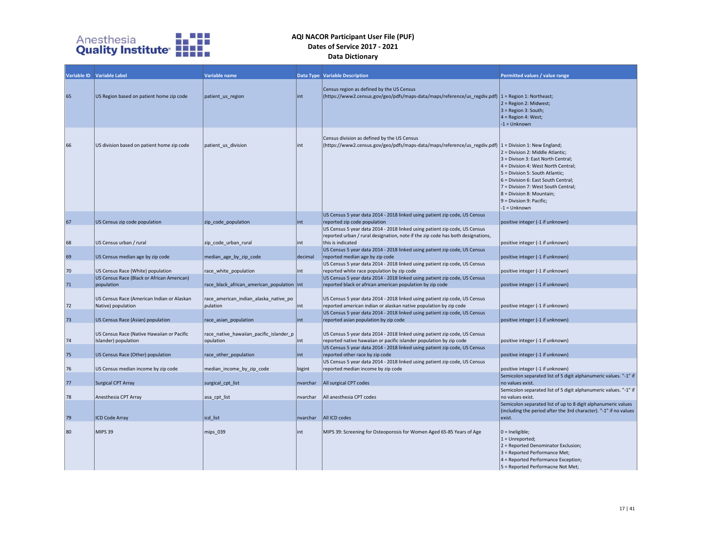

|    | Variable ID Variable Label                                         | Variable name                                        |          | <b>Data Type Variable Description</b>                                                                                                                                              | Permitted values / value range                                                                                                                                                                                                                                                                                  |
|----|--------------------------------------------------------------------|------------------------------------------------------|----------|------------------------------------------------------------------------------------------------------------------------------------------------------------------------------------|-----------------------------------------------------------------------------------------------------------------------------------------------------------------------------------------------------------------------------------------------------------------------------------------------------------------|
| 65 | US Region based on patient home zip code                           | patient_us_region                                    | lint     | Census region as defined by the US Census<br>(https://www2.census.gov/geo/pdfs/maps-data/maps/reference/us_regdiv.pdf)  1 = Region 1: Northeast;                                   | 2 = Region 2: Midwest;<br>$3$ = Region 3: South;<br>$4 = Region 4: West;$<br>$-1 =$ Unknown                                                                                                                                                                                                                     |
| 66 | US division based on patient home zip code                         | patient_us_division                                  | lint     | Census division as defined by the US Census<br>(https://www2.census.gov/geo/pdfs/maps-data/maps/reference/us_regdiv.pdf)  1 = Division 1: New England;                             | 2 = Division 2: Middle Atlantic;<br>$3$ = Divison 3: East North Central;<br>4 = Division 4: West North Central;<br>5 = Division 5: South Atlantic;<br>6 = Division 6: East South Central;<br>7 = Division 7: West South Central;<br>$8 = Division 8: Mountain;$<br>$9 = Division 9: Pacific;$<br>$-1 =$ Unknown |
|    |                                                                    |                                                      |          | US Census 5 year data 2014 - 2018 linked using patient zip code, US Census                                                                                                         |                                                                                                                                                                                                                                                                                                                 |
| 67 | US Census zip code population                                      | zip code population                                  | lint     | reported zip code population                                                                                                                                                       | positive integer (-1 if unknown)                                                                                                                                                                                                                                                                                |
| 68 | US Census urban / rural                                            | zip code urban rural                                 | int      | US Census 5 year data 2014 - 2018 linked using patient zip code, US Census<br>reported urban / rural designation, note if the zip code has both designations,<br>this is indicated | positive integer (-1 if unknown)                                                                                                                                                                                                                                                                                |
| 69 | US Census median age by zip code                                   | median_age_by_zip_code                               | decimal  | US Census 5 year data 2014 - 2018 linked using patient zip code, US Census<br>reported median age by zip code                                                                      | positive integer (-1 if unknown)                                                                                                                                                                                                                                                                                |
| 70 | US Census Race (White) population                                  | race white population                                | int      | US Census 5 year data 2014 - 2018 linked using patient zip code, US Census<br>reported white race population by zip code                                                           | positive integer (-1 if unknown)                                                                                                                                                                                                                                                                                |
| 71 | US Census Race (Black or African American)<br>population           | race black african american population int           |          | US Census 5 year data 2014 - 2018 linked using patient zip code, US Census<br>reported black or african american population by zip code                                            | positive integer (-1 if unknown)                                                                                                                                                                                                                                                                                |
| 72 | US Census Race (American Indian or Alaskan<br>Native) population   | race american indian alaska native po<br>pulation    | int      | US Census 5 year data 2014 - 2018 linked using patient zip code, US Census<br>reported american indian or alaskan native population by zip code                                    | positive integer (-1 if unknown)                                                                                                                                                                                                                                                                                |
| 73 | US Census Race (Asian) population                                  | race asian population                                | int      | US Census 5 year data 2014 - 2018 linked using patient zip code, US Census<br>reported asian population by zip code                                                                | positive integer (-1 if unknown)                                                                                                                                                                                                                                                                                |
| 74 | US Census Race (Native Hawaiian or Pacific<br>Islander) population | race_native_hawaiian_pacific_islander_p<br>opulation | int      | US Census 5 year data 2014 - 2018 linked using patient zip code, US Census<br>reported native hawaiian or pacific islander population by zip code                                  | positive integer (-1 if unknown)                                                                                                                                                                                                                                                                                |
|    |                                                                    |                                                      |          | US Census 5 year data 2014 - 2018 linked using patient zip code, US Census                                                                                                         |                                                                                                                                                                                                                                                                                                                 |
| 75 | US Census Race (Other) population                                  | race other population                                | int      | reported other race by zip code<br>US Census 5 year data 2014 - 2018 linked using patient zip code, US Census                                                                      | positive integer (-1 if unknown)                                                                                                                                                                                                                                                                                |
| 76 | US Census median income by zip code                                | median_income_by_zip_code                            | bigint   | reported median income by zip code                                                                                                                                                 | positive integer (-1 if unknown)                                                                                                                                                                                                                                                                                |
| 77 | <b>Surgical CPT Array</b>                                          | surgical cpt list                                    | nvarchar | All surgical CPT codes                                                                                                                                                             | Semicolon separated list of 5 digit alphanumeric values. "-1" if<br>no values exist.                                                                                                                                                                                                                            |
|    |                                                                    |                                                      |          |                                                                                                                                                                                    | Semicolon separated list of 5 digit alphanumeric values. "-1" if                                                                                                                                                                                                                                                |
| 78 | Anesthesia CPT Array                                               | asa_cpt_list                                         | nvarchar | All anesthesia CPT codes                                                                                                                                                           | no values exist.<br>Semicolon separated list of up to 8 digit alphanumeric values                                                                                                                                                                                                                               |
| 79 | <b>ICD Code Array</b>                                              | icd list                                             | nvarchar | All ICD codes                                                                                                                                                                      | (including the period after the 3rd character). "-1" if no values<br>exist.                                                                                                                                                                                                                                     |
| 80 | <b>MIPS 39</b>                                                     | mips 039                                             | int      | MIPS 39: Screening for Osteoporosis for Women Aged 65-85 Years of Age                                                                                                              | $ 0 =$ Ineligible;<br>$1 =$ Unreported;<br>2 = Reported Denominator Exclusion;<br>3 = Reported Performance Met;<br>4 = Reported Performance Exception;<br>5 = Reported Performacne Not Met;                                                                                                                     |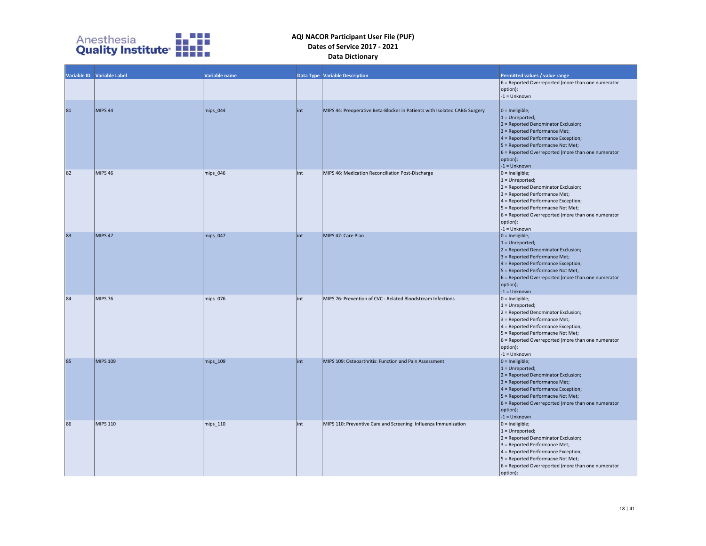

|    | Variable ID Variable Label | Variable name |      | <b>Data Type Variable Description</b>                                     | Permitted values / value range<br>$6$ = Reported Overreported (more than one numerator<br>option);<br>$-1 =$ Unknown                                                                                                                                                                  |
|----|----------------------------|---------------|------|---------------------------------------------------------------------------|---------------------------------------------------------------------------------------------------------------------------------------------------------------------------------------------------------------------------------------------------------------------------------------|
| 81 | MIPS 44                    | mips 044      | lint | MIPS 44: Preoperative Beta-Blocker in Patients with Isolated CABG Surgery | $ 0 =$ Ineligible;<br>$1 =$ Unreported;<br>$2$ = Reported Denominator Exclusion;<br>3 = Reported Performance Met;<br>$4$ = Reported Performance Exception;<br>5 = Reported Performacne Not Met;<br>$6$ = Reported Overreported (more than one numerator<br>option);<br>$-1 =$ Unknown |
| 82 | <b>MIPS 46</b>             | mips 046      | int  | MIPS 46: Medication Reconciliation Post-Discharge                         | $0 =$ Ineligible;<br>$1 =$ Unreported;<br>2 = Reported Denominator Exclusion;<br>3 = Reported Performance Met;<br>4 = Reported Performance Exception;<br>5 = Reported Performacne Not Met;<br>$6$ = Reported Overreported (more than one numerator<br>option);<br>$-1 =$ Unknown      |
| 83 | MIPS <sub>47</sub>         | mips 047      | lint | MIPS 47: Care Plan                                                        | $ 0 =$ Ineligible;<br>$1 =$ Unreported;<br>$2$ = Reported Denominator Exclusion;<br>3 = Reported Performance Met;<br>$4$ = Reported Performance Exception;<br>5 = Reported Performacne Not Met;<br>$6$ = Reported Overreported (more than one numerator<br>option);<br>$-1 =$ Unknown |
| 84 | <b>MIPS 76</b>             | mips 076      | int  | MIPS 76: Prevention of CVC - Related Bloodstream Infections               | $0 =$ Ineligible;<br>$1 =$ Unreported;<br>2 = Reported Denominator Exclusion;<br>3 = Reported Performance Met;<br>$4$ = Reported Performance Exception;<br>5 = Reported Performacne Not Met;<br>$6$ = Reported Overreported (more than one numerator<br>option);<br>$-1 =$ Unknown    |
| 85 | <b>MIPS 109</b>            | mips_109      | lint | MIPS 109: Osteoarthritis: Function and Pain Assessment                    | $ 0 =$ Ineligible;<br>$1 =$ Unreported;<br>$2$ = Reported Denominator Exclusion;<br>3 = Reported Performance Met;<br>$4$ = Reported Performance Exception;<br>5 = Reported Performacne Not Met;<br>$6$ = Reported Overreported (more than one numerator<br>option);<br>$-1 = Unknown$ |
| 86 | <b>MIPS 110</b>            | mips_110      | int  | MIPS 110: Preventive Care and Screening: Influenza Immunization           | $ 0 =$ Ineligible;<br>$1 =$ Unreported;<br>2 = Reported Denominator Exclusion;<br>3 = Reported Performance Met;<br>$4$ = Reported Performance Exception;<br>5 = Reported Performacne Not Met;<br>$6$ = Reported Overreported (more than one numerator<br>option);                     |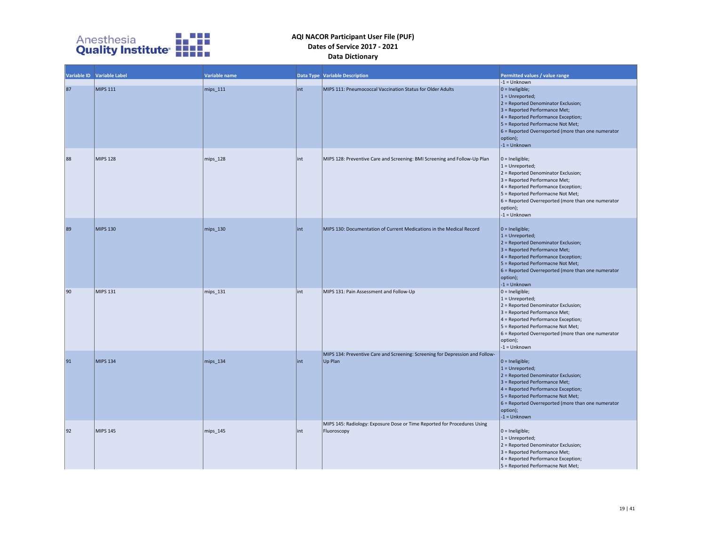

|    | Variable ID Variable Label | Variable name |      | Data Type Variable Description                                                           | <b>Permitted values / value range</b>                                                                                                                                                                                                                                                               |
|----|----------------------------|---------------|------|------------------------------------------------------------------------------------------|-----------------------------------------------------------------------------------------------------------------------------------------------------------------------------------------------------------------------------------------------------------------------------------------------------|
| 87 | MIPS 111                   | mips_111      | int  | MIPS 111: Pneumococcal Vaccination Status for Older Adults                               | $-1 =$ Unknown<br>$ 0 =$ Ineligible;<br>$1 =$ Unreported;<br>$2$ = Reported Denominator Exclusion;<br>$3$ = Reported Performance Met;<br>4 = Reported Performance Exception;<br>5 = Reported Performacne Not Met;<br>$6$ = Reported Overreported (more than one numerator<br>option);               |
| 88 | <b>MIPS 128</b>            | mips_128      | lint | MIPS 128: Preventive Care and Screening: BMI Screening and Follow-Up Plan                | $-1 =$ Unknown<br>$ 0 =$ Ineligible;<br>$1 =$ Unreported;<br>$2$ = Reported Denominator Exclusion;<br>3 = Reported Performance Met;<br>4 = Reported Performance Exception;<br>5 = Reported Performacne Not Met;<br>6 = Reported Overreported (more than one numerator<br>option);<br>$-1 =$ Unknown |
| 89 | <b>MIPS 130</b>            | mips_130      | lint | MIPS 130: Documentation of Current Medications in the Medical Record                     | $ 0 =$ Ineligible;<br>$1 =$ Unreported;<br>$2$ = Reported Denominator Exclusion;<br>$3$ = Reported Performance Met;<br>$4$ = Reported Performance Exception;<br>5 = Reported Performacne Not Met;<br>6 = Reported Overreported (more than one numerator<br>option);<br>$-1 =$ Unknown               |
| 90 | MIPS 131                   | mips_131      | lint | MIPS 131: Pain Assessment and Follow-Up                                                  | $0 =$ Ineligible;<br>$1 =$ Unreported;<br>2 = Reported Denominator Exclusion;<br>$3$ = Reported Performance Met;<br>4 = Reported Performance Exception;<br>5 = Reported Performacne Not Met;<br>6 = Reported Overreported (more than one numerator<br>option);<br>$-1 =$ Unknown                    |
| 91 | <b>MIPS 134</b>            | mips_134      | lint | MIPS 134: Preventive Care and Screening: Screening for Depression and Follow-<br>Up Plan | $ 0 =$ Ineligible;<br>$1 =$ Unreported;<br>2 = Reported Denominator Exclusion;<br>$3$ = Reported Performance Met;<br>4 = Reported Performance Exception;<br>5 = Reported Performacne Not Met;<br>$6$ = Reported Overreported (more than one numerator<br>option);<br>$-1 =$ Unknown                 |
| 92 | MIPS 145                   | mips_145      | lint | MIPS 145: Radiology: Exposure Dose or Time Reported for Procedures Using<br>Fluoroscopy  | $0 =$ Ineligible;<br>$1 =$ Unreported;<br>2 = Reported Denominator Exclusion;<br>3 = Reported Performance Met;<br>$4$ = Reported Performance Exception;<br>5 = Reported Performacne Not Met;                                                                                                        |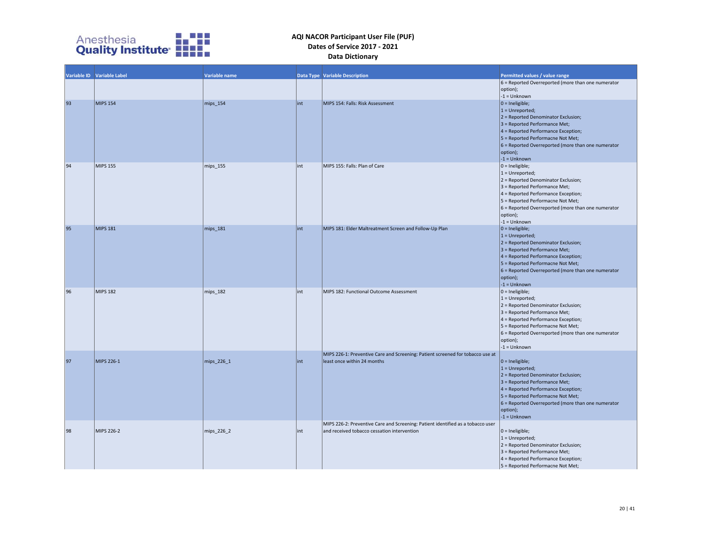

|    | Variable ID Variable Label | Variable name |     | <b>Data Type Variable Description</b>                                           | Permitted values / value range                       |
|----|----------------------------|---------------|-----|---------------------------------------------------------------------------------|------------------------------------------------------|
|    |                            |               |     |                                                                                 | $6$ = Reported Overreported (more than one numerator |
|    |                            |               |     |                                                                                 | option);                                             |
|    |                            |               |     |                                                                                 | $-1 =$ Unknown                                       |
| 93 | <b>MIPS 154</b>            | mips_154      | int | MIPS 154: Falls: Risk Assessment                                                | $ 0 =$ Ineligible;                                   |
|    |                            |               |     |                                                                                 | $1 =$ Unreported;                                    |
|    |                            |               |     |                                                                                 | $2$ = Reported Denominator Exclusion;                |
|    |                            |               |     |                                                                                 | $3$ = Reported Performance Met;                      |
|    |                            |               |     |                                                                                 | $4$ = Reported Performance Exception;                |
|    |                            |               |     |                                                                                 | 5 = Reported Performacne Not Met;                    |
|    |                            |               |     |                                                                                 | $6$ = Reported Overreported (more than one numerator |
|    |                            |               |     |                                                                                 | option);                                             |
|    |                            |               |     |                                                                                 | $-1 =$ Unknown                                       |
| 94 | <b>MIPS 155</b>            | mips 155      | int | MIPS 155: Falls: Plan of Care                                                   | $ 0 =$ Ineligible;                                   |
|    |                            |               |     |                                                                                 | $1 =$ Unreported;                                    |
|    |                            |               |     |                                                                                 | 2 = Reported Denominator Exclusion;                  |
|    |                            |               |     |                                                                                 | 3 = Reported Performance Met;                        |
|    |                            |               |     |                                                                                 | 4 = Reported Performance Exception;                  |
|    |                            |               |     |                                                                                 | 5 = Reported Performacne Not Met;                    |
|    |                            |               |     |                                                                                 | $6$ = Reported Overreported (more than one numerator |
|    |                            |               |     |                                                                                 | option);                                             |
|    |                            |               |     |                                                                                 | $-1 =$ Unknown                                       |
| 95 | <b>MIPS 181</b>            | mips_181      | int | MIPS 181: Elder Maltreatment Screen and Follow-Up Plan                          | $ 0 =$ Ineligible;                                   |
|    |                            |               |     |                                                                                 | $1 =$ Unreported;                                    |
|    |                            |               |     |                                                                                 | $2$ = Reported Denominator Exclusion;                |
|    |                            |               |     |                                                                                 | $3$ = Reported Performance Met;                      |
|    |                            |               |     |                                                                                 | 4 = Reported Performance Exception;                  |
|    |                            |               |     |                                                                                 | $5$ = Reported Performacne Not Met;                  |
|    |                            |               |     |                                                                                 | $6$ = Reported Overreported (more than one numerator |
|    |                            |               |     |                                                                                 | option);                                             |
|    |                            |               |     |                                                                                 | $-1 =$ Unknown                                       |
| 96 | <b>MIPS 182</b>            | mips_182      | int | MIPS 182: Functional Outcome Assessment                                         | $0 =$ Ineligible;                                    |
|    |                            |               |     |                                                                                 | $1 =$ Unreported;                                    |
|    |                            |               |     |                                                                                 | 2 = Reported Denominator Exclusion;                  |
|    |                            |               |     |                                                                                 | $3$ = Reported Performance Met;                      |
|    |                            |               |     |                                                                                 | 4 = Reported Performance Exception;                  |
|    |                            |               |     |                                                                                 | 5 = Reported Performacne Not Met;                    |
|    |                            |               |     |                                                                                 | $6$ = Reported Overreported (more than one numerator |
|    |                            |               |     |                                                                                 | option);                                             |
|    |                            |               |     |                                                                                 | $-1 =$ Unknown                                       |
|    |                            |               |     | MIPS 226-1: Preventive Care and Screening: Patient screened for tobacco use at  |                                                      |
| 97 | MIPS 226-1                 | mips_226_1    | int | least once within 24 months                                                     | $ 0 =$ Ineligible;                                   |
|    |                            |               |     |                                                                                 | $1 =$ Unreported;                                    |
|    |                            |               |     |                                                                                 | $2$ = Reported Denominator Exclusion;                |
|    |                            |               |     |                                                                                 | $3$ = Reported Performance Met;                      |
|    |                            |               |     |                                                                                 | $4$ = Reported Performance Exception;                |
|    |                            |               |     |                                                                                 | 5 = Reported Performacne Not Met;                    |
|    |                            |               |     |                                                                                 |                                                      |
|    |                            |               |     |                                                                                 | $6$ = Reported Overreported (more than one numerator |
|    |                            |               |     |                                                                                 | option);                                             |
|    |                            |               |     |                                                                                 | $-1 =$ Unknown                                       |
|    |                            |               |     | MIPS 226-2: Preventive Care and Screening: Patient identified as a tobacco user |                                                      |
| 98 | MIPS 226-2                 | mips_226_2    | int | and received tobacco cessation intervention                                     | $ 0 =$ Ineligible;                                   |
|    |                            |               |     |                                                                                 | $1 =$ Unreported;                                    |
|    |                            |               |     |                                                                                 | 2 = Reported Denominator Exclusion;                  |
|    |                            |               |     |                                                                                 | $3$ = Reported Performance Met;                      |
|    |                            |               |     |                                                                                 | 4 = Reported Performance Exception;                  |
|    |                            |               |     |                                                                                 | 5 = Reported Performacne Not Met;                    |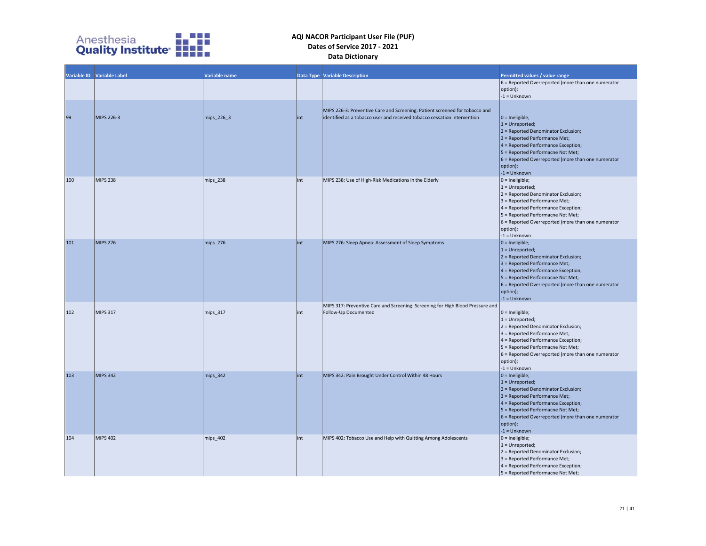

|     | Variable ID Variable Label | Variable name |      | <b>Data Type Variable Description</b>                                                                                                                    | Permitted values / value range                                                                                                                                                                                                                                                            |
|-----|----------------------------|---------------|------|----------------------------------------------------------------------------------------------------------------------------------------------------------|-------------------------------------------------------------------------------------------------------------------------------------------------------------------------------------------------------------------------------------------------------------------------------------------|
|     |                            |               |      |                                                                                                                                                          | $6$ = Reported Overreported (more than one numerator<br>option);<br>$-1 =$ Unknown                                                                                                                                                                                                        |
| 99  | MIPS 226-3                 | mips_226_3    | lint | MIPS 226-3: Preventive Care and Screening: Patient screened for tobacco and<br>lidentified as a tobacco user and received tobacco cessation intervention | $ 0 =$ Ineligible;<br>$1 =$ Unreported;<br>$2$ = Reported Denominator Exclusion;<br>$3$ = Reported Performance Met;<br>$4$ = Reported Performance Exception;<br>$5$ = Reported Performacne Not Met;<br>$6$ = Reported Overreported (more than one numerator<br>option);<br>$-1 =$ Unknown |
| 100 | <b>MIPS 238</b>            | mips_238      | lint | MIPS 238: Use of High-Risk Medications in the Elderly                                                                                                    | $0 =$ Ineligible;<br>$1 =$ Unreported;<br>2 = Reported Denominator Exclusion;<br>$3$ = Reported Performance Met;<br>4 = Reported Performance Exception;<br>5 = Reported Performacne Not Met;<br>6 = Reported Overreported (more than one numerator<br>option);<br>$-1 =$ Unknown          |
| 101 | <b>MIPS 276</b>            | mips_276      | int  | MIPS 276: Sleep Apnea: Assessment of Sleep Symptoms                                                                                                      | $ 0 =$ Ineligible;<br>$1 =$ Unreported;<br>$2$ = Reported Denominator Exclusion;<br>$3$ = Reported Performance Met;<br>$4$ = Reported Performance Exception;<br>5 = Reported Performacne Not Met;<br>$6$ = Reported Overreported (more than one numerator<br>option);<br>$-1 =$ Unknown   |
| 102 | MIPS 317                   | mips_317      | int  | MIPS 317: Preventive Care and Screening: Screening for High Blood Pressure and<br>Follow-Up Documented                                                   | $0 =$ Ineligible;<br>$1 =$ Unreported;<br>2 = Reported Denominator Exclusion;<br>$3$ = Reported Performance Met;<br>4 = Reported Performance Exception;<br>5 = Reported Performacne Not Met;<br>6 = Reported Overreported (more than one numerator<br>option);<br>$-1 =$ Unknown          |
| 103 | <b>MIPS 342</b>            | mips_342      | lint | MIPS 342: Pain Brought Under Control Within 48 Hours                                                                                                     | $ 0 =$ Ineligible;<br>$1 =$ Unreported;<br>$2$ = Reported Denominator Exclusion;<br>$3$ = Reported Performance Met;<br>$4$ = Reported Performance Exception;<br>5 = Reported Performacne Not Met;<br>$6$ = Reported Overreported (more than one numerator<br>option);<br>$-1 =$ Unknown   |
| 104 | <b>MIPS 402</b>            | mips_402      | lint | MIPS 402: Tobacco Use and Help with Quitting Among Adolescents                                                                                           | $0 =$ Ineligible;<br>$1 =$ Unreported;<br>2 = Reported Denominator Exclusion;<br>3 = Reported Performance Met;<br>4 = Reported Performance Exception;<br>5 = Reported Performacne Not Met;                                                                                                |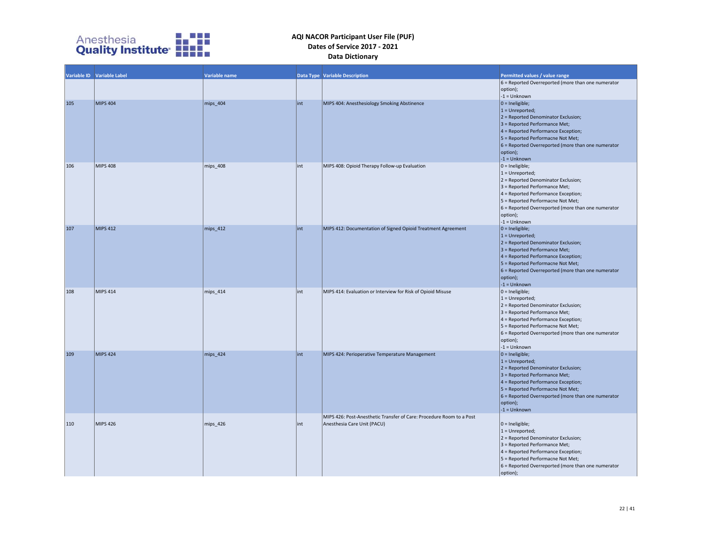

|     | Variable ID Variable Label | Variable name |      | <b>Data Type Variable Description</b>                                                               | Permitted values / value range<br>$6$ = Reported Overreported (more than one numerator<br>option);<br>$-1 =$ Unknown                                                                                                                                                                  |
|-----|----------------------------|---------------|------|-----------------------------------------------------------------------------------------------------|---------------------------------------------------------------------------------------------------------------------------------------------------------------------------------------------------------------------------------------------------------------------------------------|
| 105 | MIPS 404                   | mips_404      | lint | MIPS 404: Anesthesiology Smoking Abstinence                                                         | $ 0 =$ Ineligible;<br>$1 =$ Unreported;<br>$2$ = Reported Denominator Exclusion;<br>3 = Reported Performance Met;<br>$4$ = Reported Performance Exception;<br>5 = Reported Performacne Not Met;<br>$6$ = Reported Overreported (more than one numerator<br>option);<br>$-1 =$ Unknown |
| 106 | <b>MIPS 408</b>            | mips_408      | int  | MIPS 408: Opioid Therapy Follow-up Evaluation                                                       | $ 0 =$ Ineligible;<br>$1 =$ Unreported;<br>2 = Reported Denominator Exclusion;<br>3 = Reported Performance Met;<br>4 = Reported Performance Exception;<br>5 = Reported Performacne Not Met;<br>$6$ = Reported Overreported (more than one numerator<br>option);<br>$-1 =$ Unknown     |
| 107 | <b>MIPS 412</b>            | mips 412      | lint | MIPS 412: Documentation of Signed Opioid Treatment Agreement                                        | $ 0 =$ Ineligible;<br>$1 =$ Unreported;<br>2 = Reported Denominator Exclusion;<br>3 = Reported Performance Met;<br>$4$ = Reported Performance Exception;<br>5 = Reported Performacne Not Met;<br>$6$ = Reported Overreported (more than one numerator<br>option);<br>$-1 =$ Unknown   |
| 108 | MIPS 414                   | mips_414      | int  | MIPS 414: Evaluation or Interview for Risk of Opioid Misuse                                         | $ 0 =$ Ineligible;<br>$1 =$ Unreported;<br>2 = Reported Denominator Exclusion;<br>3 = Reported Performance Met;<br>4 = Reported Performance Exception;<br>5 = Reported Performacne Not Met;<br>$6$ = Reported Overreported (more than one numerator<br>option);<br>$-1 =$ Unknown     |
| 109 | MIPS 424                   | mips_424      | lint | MIPS 424: Perioperative Temperature Management                                                      | $ 0 =$ Ineligible;<br>$1 =$ Unreported;<br>$2$ = Reported Denominator Exclusion;<br>3 = Reported Performance Met;<br>$4$ = Reported Performance Exception;<br>5 = Reported Performacne Not Met;<br>$6$ = Reported Overreported (more than one numerator<br>option);<br>$-1 =$ Unknown |
| 110 | MIPS 426                   | mips 426      | int  | MIPS 426: Post-Anesthetic Transfer of Care: Procedure Room to a Post<br>Anesthesia Care Unit (PACU) | $ 0 =$ Ineligible;<br>$1 =$ Unreported;<br>2 = Reported Denominator Exclusion;<br>3 = Reported Performance Met;<br>4 = Reported Performance Exception;<br>5 = Reported Performacne Not Met;<br>$6$ = Reported Overreported (more than one numerator<br>option);                       |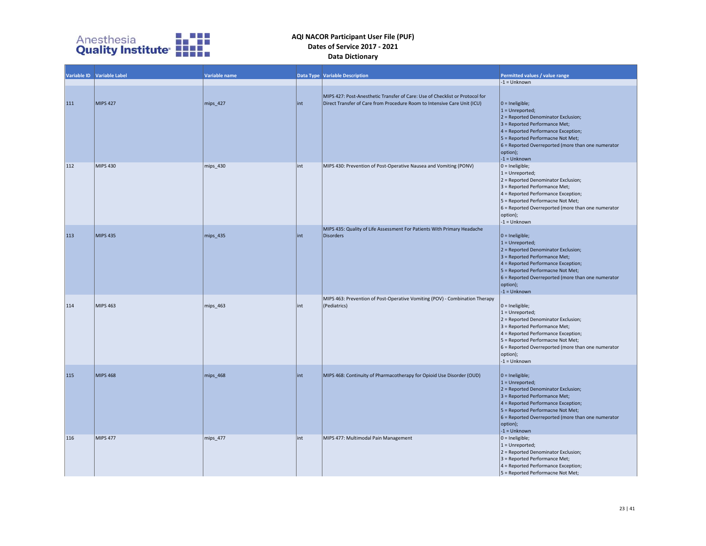

|     | Variable ID Variable Label | Variable name |     | <b>Data Type Variable Description</b>                                                                                                                    | Permitted values / value range                                                                                                                                                                                                                                                     |
|-----|----------------------------|---------------|-----|----------------------------------------------------------------------------------------------------------------------------------------------------------|------------------------------------------------------------------------------------------------------------------------------------------------------------------------------------------------------------------------------------------------------------------------------------|
|     |                            |               |     |                                                                                                                                                          | $-1 =$ Unknown                                                                                                                                                                                                                                                                     |
| 111 | <b>MIPS 427</b>            | mips_427      | int | MIPS 427: Post-Anesthetic Transfer of Care: Use of Checklist or Protocol for<br>Direct Transfer of Care from Procedure Room to Intensive Care Unit (ICU) | $0 =$ Ineligible;<br>$1 =$ Unreported;<br>$2$ = Reported Denominator Exclusion;<br>3 = Reported Performance Met;<br>4 = Reported Performance Exception;<br>5 = Reported Performacne Not Met;<br>$6$ = Reported Overreported (more than one numerator<br>option);<br>$-1 =$ Unknown |
| 112 | <b>MIPS 430</b>            | mips_430      | int | MIPS 430: Prevention of Post-Operative Nausea and Vomiting (PONV)                                                                                        | $0 =$ Ineligible;<br>$1 =$ Unreported;<br>2 = Reported Denominator Exclusion;<br>3 = Reported Performance Met;<br>4 = Reported Performance Exception;<br>5 = Reported Performacne Not Met;<br>6 = Reported Overreported (more than one numerator<br>option);<br>$-1 =$ Unknown     |
| 113 | <b>MIPS 435</b>            | mips_435      | int | MIPS 435: Quality of Life Assessment For Patients With Primary Headache<br><b>Disorders</b>                                                              | $0 =$ Ineligible;<br>$1 =$ Unreported;<br>2 = Reported Denominator Exclusion;<br>3 = Reported Performance Met;<br>4 = Reported Performance Exception;<br>5 = Reported Performacne Not Met;<br>$6$ = Reported Overreported (more than one numerator<br>option);<br>$-1 =$ Unknown   |
| 114 | <b>MIPS 463</b>            | mips 463      | int | MIPS 463: Prevention of Post-Operative Vomiting (POV) - Combination Therapy<br>(Pediatrics)                                                              | $0 =$ Ineligible;<br>$1 =$ Unreported;<br>2 = Reported Denominator Exclusion;<br>3 = Reported Performance Met;<br>4 = Reported Performance Exception;<br>5 = Reported Performacne Not Met;<br>6 = Reported Overreported (more than one numerator<br>option);<br>$-1 =$ Unknown     |
| 115 | <b>MIPS 468</b>            | mips_468      | int | MIPS 468: Continuity of Pharmacotherapy for Opioid Use Disorder (OUD)                                                                                    | $0 =$ Ineligible;<br>$1 =$ Unreported;<br>$2$ = Reported Denominator Exclusion;<br>3 = Reported Performance Met;<br>4 = Reported Performance Exception;<br>5 = Reported Performacne Not Met;<br>$6$ = Reported Overreported (more than one numerator<br>option);<br>$-1 =$ Unknown |
| 116 | <b>MIPS 477</b>            | mips_477      | int | MIPS 477: Multimodal Pain Management                                                                                                                     | $0 =$ Ineligible;<br>$1 =$ Unreported;<br>2 = Reported Denominator Exclusion;<br>3 = Reported Performance Met;<br>4 = Reported Performance Exception;<br>5 = Reported Performacne Not Met;                                                                                         |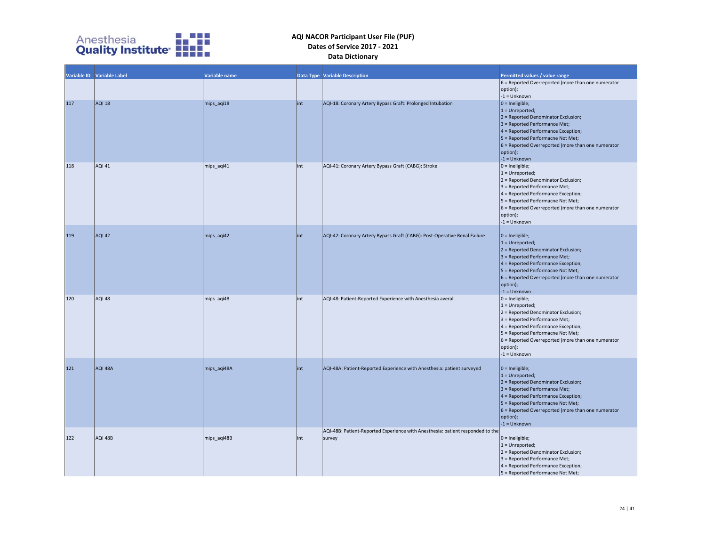

|     | Variable ID Variable Label | Variable name |      | <b>Data Type Variable Description</b>                                                    | Permitted values / value range<br>6 = Reported Overreported (more than one numerator<br>option);<br>$-1 =$ Unknown                                                                                                                                                                        |
|-----|----------------------------|---------------|------|------------------------------------------------------------------------------------------|-------------------------------------------------------------------------------------------------------------------------------------------------------------------------------------------------------------------------------------------------------------------------------------------|
| 117 | <b>AQI 18</b>              | mips_aqi18    | lint | AQI-18: Coronary Artery Bypass Graft: Prolonged Intubation                               | $ 0 =$ Ineligible;<br>$1 =$ Unreported;<br>$2$ = Reported Denominator Exclusion;<br>$3$ = Reported Performance Met;<br>$4$ = Reported Performance Exception;<br>$5$ = Reported Performacne Not Met;<br>$6$ = Reported Overreported (more than one numerator<br>option);<br>$-1 =$ Unknown |
| 118 | <b>AQI 41</b>              | mips_aqi41    | int  | AQI-41: Coronary Artery Bypass Graft (CABG): Stroke                                      | $0 =$ Ineligible;<br>$1 =$ Unreported;<br>2 = Reported Denominator Exclusion;<br>3 = Reported Performance Met;<br>4 = Reported Performance Exception;<br>5 = Reported Performacne Not Met;<br>$6$ = Reported Overreported (more than one numerator<br>option);<br>$-1 =$ Unknown          |
| 119 | <b>AQI 42</b>              | mips_aqi42    | lint | AQI-42: Coronary Artery Bypass Graft (CABG): Post-Operative Renal Failure                | $ 0 =$ Ineligible;<br>$1 =$ Unreported;<br>$2$ = Reported Denominator Exclusion;<br>$3$ = Reported Performance Met;<br>4 = Reported Performance Exception;<br>5 = Reported Performacne Not Met;<br>$6$ = Reported Overreported (more than one numerator<br>option);<br>$-1 =$ Unknown     |
| 120 | AQI 48                     | mips_aqi48    | int  | AQI-48: Patient-Reported Experience with Anesthesia averall                              | $ 0 =$ Ineligible;<br>$1 =$ Unreported;<br>2 = Reported Denominator Exclusion;<br>3 = Reported Performance Met;<br>$4$ = Reported Performance Exception;<br>5 = Reported Performacne Not Met;<br>$6$ = Reported Overreported (more than one numerator<br>option);<br>$-1 =$ Unknown       |
| 121 | AQI 48A                    | mips_aqi48A   | lint | AQI-48A: Patient-Reported Experience with Anesthesia: patient surveyed                   | $ 0 =$ Ineligible;<br>$1 =$ Unreported;<br>$2$ = Reported Denominator Exclusion;<br>3 = Reported Performance Met;<br>4 = Reported Performance Exception;<br>5 = Reported Performacne Not Met;<br>6 = Reported Overreported (more than one numerator<br>option);<br>$-1 =$ Unknown         |
| 122 | AQI 48B                    | mips_aqi48B   | lint | AQI-48B: Patient-Reported Experience with Anesthesia: patient responded to the<br>survey | $0 =$ Ineligible;<br>$1 =$ Unreported;<br>2 = Reported Denominator Exclusion;<br>3 = Reported Performance Met;<br>4 = Reported Performance Exception;<br>5 = Reported Performacne Not Met;                                                                                                |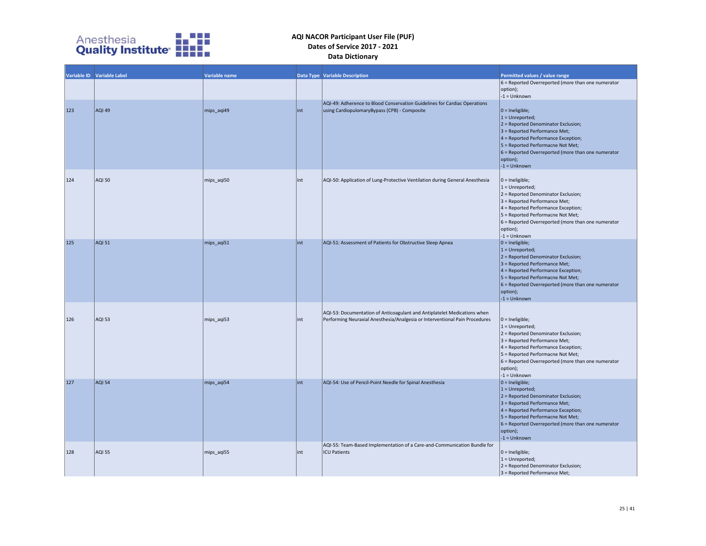

|     | Variable ID Variable Label | Variable name |      | <b>Data Type Variable Description</b>                                                                                                                   | Permitted values / value range                                                                                                                                                                                                                                                     |
|-----|----------------------------|---------------|------|---------------------------------------------------------------------------------------------------------------------------------------------------------|------------------------------------------------------------------------------------------------------------------------------------------------------------------------------------------------------------------------------------------------------------------------------------|
|     |                            |               |      |                                                                                                                                                         | 6 = Reported Overreported (more than one numerator<br>option);<br>$-1 =$ Unknown                                                                                                                                                                                                   |
| 123 | AQI 49                     | mips aqi49    | int  | AQI-49: Adherence to Blood Conservation Guidelines for Cardiac Operations<br>using CardiopulomaryBypass (CPB) - Composite                               | $0 =$ Ineligible;<br>$1 =$ Unreported;<br>$2$ = Reported Denominator Exclusion;<br>3 = Reported Performance Met;<br>4 = Reported Performance Exception;<br>5 = Reported Performacne Not Met;<br>$6$ = Reported Overreported (more than one numerator<br>option);<br>$-1 =$ Unknown |
| 124 | <b>AQI 50</b>              | mips_aqi50    | int  | AQI-50: Application of Lung-Protective Ventilation during General Anesthesia                                                                            | $ 0 =$ Ineligible;<br>$1 =$ Unreported;<br>2 = Reported Denominator Exclusion;<br>3 = Reported Performance Met;<br>4 = Reported Performance Exception;<br>5 = Reported Performacne Not Met;<br>6 = Reported Overreported (more than one numerator<br>option);<br>$-1 =$ Unknown    |
| 125 | <b>AQI 51</b>              | mips_aqi51    | lint | AQI-51: Assessment of Patients for Obstructive Sleep Apnea                                                                                              | $0 =$ Ineligible;<br>$1 =$ Unreported;<br>$2$ = Reported Denominator Exclusion;<br>3 = Reported Performance Met;<br>4 = Reported Performance Exception;<br>5 = Reported Performacne Not Met;<br>$6$ = Reported Overreported (more than one numerator<br>option);<br>$-1 =$ Unknown |
| 126 | <b>AQI 53</b>              | mips aqi53    | int  | AQI-53: Documentation of Anticoagulant and Antiplatelet Medications when<br>Performing Neuraxial Anesthesia/Analgesia or Interventional Pain Procedures | $ 0 =$ Ineligible;<br>$1 =$ Unreported;<br>2 = Reported Denominator Exclusion;<br>3 = Reported Performance Met;<br>4 = Reported Performance Exception;<br>5 = Reported Performacne Not Met;<br>6 = Reported Overreported (more than one numerator<br>option);<br>$-1 =$ Unknown    |
| 127 | <b>AQI 54</b>              | mips aqi54    | lint | AQI-54: Use of Pencil-Point Needle for Spinal Anesthesia                                                                                                | $0 =$ Ineligible;<br>$1 =$ Unreported;<br>2 = Reported Denominator Exclusion;<br>3 = Reported Performance Met;<br>$4$ = Reported Performance Exception;<br>5 = Reported Performacne Not Met;<br>6 = Reported Overreported (more than one numerator<br>option);<br>$-1 =$ Unknown   |
| 128 | <b>AQI 55</b>              | mips_aqi55    | lint | AQI-55: Team-Based Implementation of a Care-and-Communication Bundle for<br><b>ICU Patients</b>                                                         | $0 =$ Ineligible;<br>$1 =$ Unreported;<br>2 = Reported Denominator Exclusion;<br>3 = Reported Performance Met;                                                                                                                                                                     |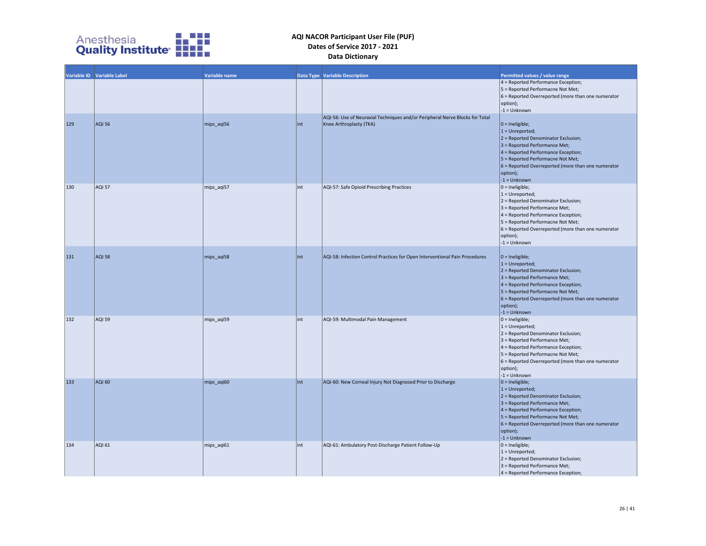

|     | Variable ID Variable Label | <b>Variable name</b> |     | Data Type Variable Description                                                                          | Permitted values / value range                                                                                                                                                                                                                                                        |
|-----|----------------------------|----------------------|-----|---------------------------------------------------------------------------------------------------------|---------------------------------------------------------------------------------------------------------------------------------------------------------------------------------------------------------------------------------------------------------------------------------------|
|     |                            |                      |     |                                                                                                         | 4 = Reported Performance Exception;<br>5 = Reported Performacne Not Met;<br>6 = Reported Overreported (more than one numerator<br>option);<br>$-1 =$ Unknown                                                                                                                          |
| 129 | <b>AQI 56</b>              | mips_aqi56           | int | AQI-56: Use of Neuraxial Techniques and/or Peripheral Nerve Blocks for Total<br>Knee Arthroplasty (TKA) | $0 =$ Ineligible;<br>$1 =$ Unreported;<br>$2$ = Reported Denominator Exclusion;<br>3 = Reported Performance Met;<br>$4$ = Reported Performance Exception;<br>5 = Reported Performacne Not Met;<br>$6$ = Reported Overreported (more than one numerator<br>option);<br>$-1 =$ Unknown  |
| 130 | <b>AQI 57</b>              | mips_aqi57           | int | AQI-57: Safe Opioid Prescribing Practices                                                               | $0 =$ Ineligible;<br>$1 =$ Unreported;<br>$2$ = Reported Denominator Exclusion;<br>3 = Reported Performance Met;<br>4 = Reported Performance Exception;<br>5 = Reported Performacne Not Met;<br>$6$ = Reported Overreported (more than one numerator<br>option);<br>$-1 =$ Unknown    |
| 131 | <b>AQI 58</b>              | mips_aqi58           | int | AQI-58: Infection Control Practices for Open Interventional Pain Procedures                             | $ 0 =$ Ineligible;<br>$1 =$ Unreported;<br>$2$ = Reported Denominator Exclusion;<br>3 = Reported Performance Met;<br>$4$ = Reported Performance Exception;<br>5 = Reported Performacne Not Met;<br>$6$ = Reported Overreported (more than one numerator<br>option);<br>$-1 =$ Unknown |
| 132 | <b>AQI 59</b>              | mips_aqi59           | int | AQI-59: Multimodal Pain Management                                                                      | $0 =$ Ineligible;<br>$1 =$ Unreported;<br>2 = Reported Denominator Exclusion;<br>3 = Reported Performance Met;<br>4 = Reported Performance Exception;<br>5 = Reported Performacne Not Met;<br>6 = Reported Overreported (more than one numerator<br>option);<br>$-1 =$ Unknown        |
| 133 | AQI 60                     | mips_aqi60           | int | AQI-60: New Corneal Injury Not Diagnosed Prior to Discharge                                             | $0 =$ Ineligible;<br>$1 =$ Unreported;<br>$2$ = Reported Denominator Exclusion;<br>3 = Reported Performance Met;<br>4 = Reported Performance Exception;<br>5 = Reported Performacne Not Met;<br>$6$ = Reported Overreported (more than one numerator<br>option);<br>$-1 =$ Unknown    |
| 134 | AQI 61                     | mips_aqi61           | int | AQI-61: Ambulatory Post-Discharge Patient Follow-Up                                                     | $0 =$ Ineligible;<br>$1 =$ Unreported;<br>2 = Reported Denominator Exclusion;<br>3 = Reported Performance Met;<br>4 = Reported Performance Exception;                                                                                                                                 |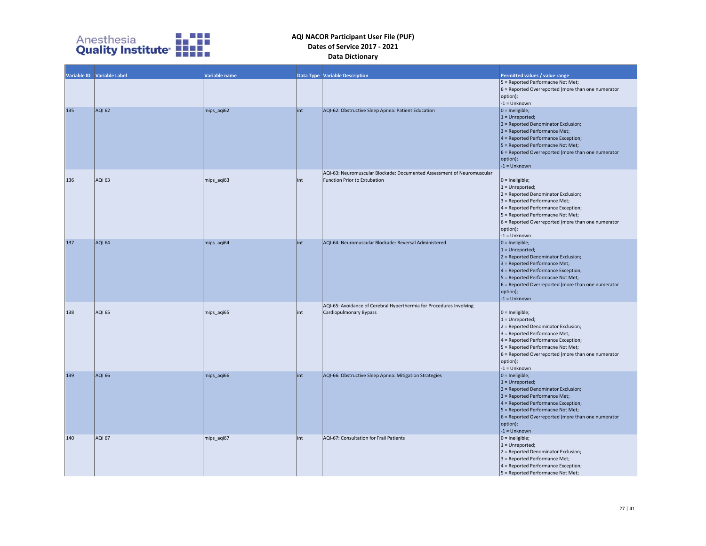

|     | Variable ID Variable Label | Variable name |      |                                                                        |                                                                                         |
|-----|----------------------------|---------------|------|------------------------------------------------------------------------|-----------------------------------------------------------------------------------------|
|     |                            |               |      | <b>Data Type Variable Description</b>                                  | Permitted values / value range<br>5 = Reported Performacne Not Met;                     |
|     |                            |               |      |                                                                        | 6 = Reported Overreported (more than one numerator<br>option);                          |
| 135 | <b>AQI 62</b>              | mips_aqi62    | lint | AQI-62: Obstructive Sleep Apnea: Patient Education                     | $-1 =$ Unknown<br>$0 =$ Ineligible;                                                     |
|     |                            |               |      |                                                                        | $1 =$ Unreported;<br>$2$ = Reported Denominator Exclusion;                              |
|     |                            |               |      |                                                                        | $3$ = Reported Performance Met;                                                         |
|     |                            |               |      |                                                                        | $4$ = Reported Performance Exception;<br>5 = Reported Performacne Not Met;              |
|     |                            |               |      |                                                                        | $6$ = Reported Overreported (more than one numerator                                    |
|     |                            |               |      |                                                                        | option);                                                                                |
|     |                            |               |      | AQI-63: Neuromuscular Blockade: Documented Assessment of Neuromuscular | $-1 =$ Unknown                                                                          |
| 136 | <b>AQI 63</b>              | mips_aqi63    | lint | Function Prior to Extubation                                           | $0 =$ Ineligible;                                                                       |
|     |                            |               |      |                                                                        | $1 =$ Unreported;                                                                       |
|     |                            |               |      |                                                                        | $2$ = Reported Denominator Exclusion;<br>$3$ = Reported Performance Met;                |
|     |                            |               |      |                                                                        | 4 = Reported Performance Exception;                                                     |
|     |                            |               |      |                                                                        | 5 = Reported Performacne Not Met;<br>6 = Reported Overreported (more than one numerator |
|     |                            |               |      |                                                                        | option);                                                                                |
|     |                            |               |      |                                                                        | $-1 =$ Unknown                                                                          |
| 137 | AQI 64                     | mips_aqi64    | lint | AQI-64: Neuromuscular Blockade: Reversal Administered                  | $0 =$ Ineligible;<br>$1 =$ Unreported;                                                  |
|     |                            |               |      |                                                                        | $2$ = Reported Denominator Exclusion;                                                   |
|     |                            |               |      |                                                                        | 3 = Reported Performance Met;                                                           |
|     |                            |               |      |                                                                        | $4$ = Reported Performance Exception;<br>5 = Reported Performacne Not Met;              |
|     |                            |               |      |                                                                        | $6$ = Reported Overreported (more than one numerator                                    |
|     |                            |               |      |                                                                        | option);<br>$-1 =$ Unknown                                                              |
|     |                            |               |      | AQI-65: Avoidance of Cerebral Hyperthermia for Procedures Involving    |                                                                                         |
| 138 | <b>AQI 65</b>              | mips_aqi65    | lint | Cardiopulmonary Bypass                                                 | $0 =$ Ineligible;                                                                       |
|     |                            |               |      |                                                                        | $1 =$ Unreported;<br>2 = Reported Denominator Exclusion;                                |
|     |                            |               |      |                                                                        | 3 = Reported Performance Met;                                                           |
|     |                            |               |      |                                                                        | 4 = Reported Performance Exception;<br>5 = Reported Performacne Not Met;                |
|     |                            |               |      |                                                                        | 6 = Reported Overreported (more than one numerator                                      |
|     |                            |               |      |                                                                        | option);                                                                                |
| 139 | <b>AQI 66</b>              | mips_aqi66    | lint | AQI-66: Obstructive Sleep Apnea: Mitigation Strategies                 | $-1 =$ Unknown<br>$ 0 =$ Ineligible;                                                    |
|     |                            |               |      |                                                                        | $1 =$ Unreported;                                                                       |
|     |                            |               |      |                                                                        | $2$ = Reported Denominator Exclusion;<br>$3$ = Reported Performance Met;                |
|     |                            |               |      |                                                                        | $4$ = Reported Performance Exception;                                                   |
|     |                            |               |      |                                                                        | 5 = Reported Performacne Not Met;                                                       |
|     |                            |               |      |                                                                        | 6 = Reported Overreported (more than one numerator<br>option);                          |
|     |                            |               |      |                                                                        | $-1 =$ Unknown                                                                          |
| 140 | AQI 67                     | mips_aqi67    | lint | AQI-67: Consultation for Frail Patients                                | $0 =$ Ineligible;<br>$1 =$ Unreported;                                                  |
|     |                            |               |      |                                                                        | 2 = Reported Denominator Exclusion;                                                     |
|     |                            |               |      |                                                                        | 3 = Reported Performance Met;                                                           |
|     |                            |               |      |                                                                        | 4 = Reported Performance Exception;<br>5 = Reported Performacne Not Met;                |
|     |                            |               |      |                                                                        |                                                                                         |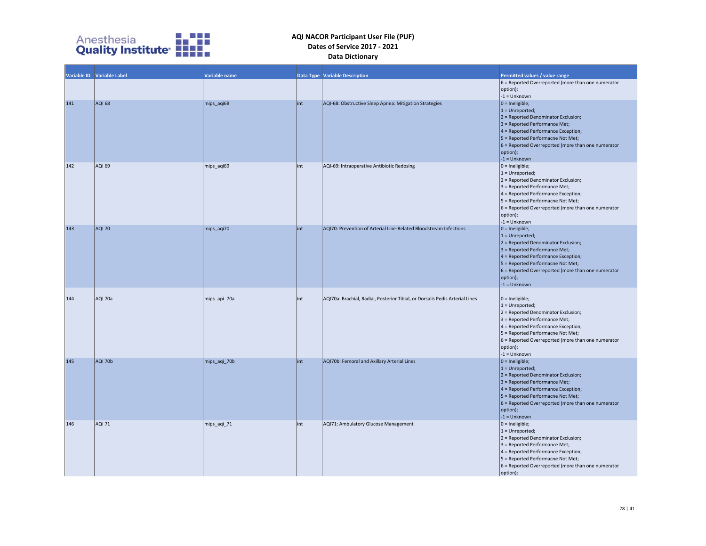

|     | Variable ID Variable Label | Variable name |      | <b>Data Type Variable Description</b>                                        | Permitted values / value range<br>6 = Reported Overreported (more than one numerator |
|-----|----------------------------|---------------|------|------------------------------------------------------------------------------|--------------------------------------------------------------------------------------|
|     |                            |               |      |                                                                              | option);                                                                             |
|     |                            |               |      |                                                                              | $-1 =$ Unknown                                                                       |
| 141 | <b>AQI 68</b>              | mips agi68    | lint | AQI-68: Obstructive Sleep Apnea: Mitigation Strategies                       | $ 0 =$ Ineligible;                                                                   |
|     |                            |               |      |                                                                              | $1 =$ Unreported;                                                                    |
|     |                            |               |      |                                                                              | $2$ = Reported Denominator Exclusion;                                                |
|     |                            |               |      |                                                                              | $3$ = Reported Performance Met;                                                      |
|     |                            |               |      |                                                                              | $4$ = Reported Performance Exception;                                                |
|     |                            |               |      |                                                                              | 5 = Reported Performacne Not Met;                                                    |
|     |                            |               |      |                                                                              | 6 = Reported Overreported (more than one numerator                                   |
|     |                            |               |      |                                                                              | option);                                                                             |
|     |                            |               |      |                                                                              | $-1 =$ Unknown                                                                       |
| 142 | AQI 69                     | mips_aqi69    | lint | AQI-69: Intraoperative Antibiotic Redosing                                   | $0 =$ Ineligible;                                                                    |
|     |                            |               |      |                                                                              | $1 =$ Unreported;                                                                    |
|     |                            |               |      |                                                                              | $2$ = Reported Denominator Exclusion;<br>3 = Reported Performance Met;               |
|     |                            |               |      |                                                                              | $4$ = Reported Performance Exception;                                                |
|     |                            |               |      |                                                                              | 5 = Reported Performacne Not Met;                                                    |
|     |                            |               |      |                                                                              | $6$ = Reported Overreported (more than one numerator                                 |
|     |                            |               |      |                                                                              | option);                                                                             |
|     |                            |               |      |                                                                              | $-1 =$ Unknown                                                                       |
| 143 | <b>AQI 70</b>              | mips_aqi70    | lint | AQI70: Prevention of Arterial Line-Related Bloodstream Infections            | $ 0 =$ Ineligible;                                                                   |
|     |                            |               |      |                                                                              | $1 =$ Unreported;                                                                    |
|     |                            |               |      |                                                                              | $2$ = Reported Denominator Exclusion;                                                |
|     |                            |               |      |                                                                              | $3$ = Reported Performance Met;                                                      |
|     |                            |               |      |                                                                              | $4$ = Reported Performance Exception;<br>5 = Reported Performacne Not Met;           |
|     |                            |               |      |                                                                              | $6$ = Reported Overreported (more than one numerator                                 |
|     |                            |               |      |                                                                              | option);                                                                             |
|     |                            |               |      |                                                                              | $-1 =$ Unknown                                                                       |
|     |                            |               |      |                                                                              |                                                                                      |
| 144 | AQI 70a                    | mips_api_70a  | lint | AQI70a: Brachial, Radial, Posterior Tibial, or Dorsalis Pedis Arterial Lines | $0 =$ Ineligible;                                                                    |
|     |                            |               |      |                                                                              | $1 =$ Unreported;                                                                    |
|     |                            |               |      |                                                                              | 2 = Reported Denominator Exclusion;                                                  |
|     |                            |               |      |                                                                              | $3$ = Reported Performance Met;                                                      |
|     |                            |               |      |                                                                              | $4$ = Reported Performance Exception;                                                |
|     |                            |               |      |                                                                              | 5 = Reported Performacne Not Met;                                                    |
|     |                            |               |      |                                                                              | 6 = Reported Overreported (more than one numerator<br>option);                       |
|     |                            |               |      |                                                                              | $-1 =$ Unknown                                                                       |
| 145 | AQI 70b                    | mips_aqi_70b  | lint | AQI70b: Femoral and Axillary Arterial Lines                                  | $0 =$ Ineligible;                                                                    |
|     |                            |               |      |                                                                              | $1 =$ Unreported;                                                                    |
|     |                            |               |      |                                                                              | $2$ = Reported Denominator Exclusion;                                                |
|     |                            |               |      |                                                                              | $3$ = Reported Performance Met;                                                      |
|     |                            |               |      |                                                                              | 4 = Reported Performance Exception;                                                  |
|     |                            |               |      |                                                                              | 5 = Reported Performacne Not Met;                                                    |
|     |                            |               |      |                                                                              | $6$ = Reported Overreported (more than one numerator                                 |
|     |                            |               |      |                                                                              | option);<br>$-1 =$ Unknown                                                           |
| 146 | <b>AQI 71</b>              | mips_aqi_71   | lint | AQI71: Ambulatory Glucose Management                                         | $0 =$ Ineligible;                                                                    |
|     |                            |               |      |                                                                              | $1 =$ Unreported;                                                                    |
|     |                            |               |      |                                                                              | 2 = Reported Denominator Exclusion;                                                  |
|     |                            |               |      |                                                                              | 3 = Reported Performance Met;                                                        |
|     |                            |               |      |                                                                              | 4 = Reported Performance Exception;                                                  |
|     |                            |               |      |                                                                              | 5 = Reported Performacne Not Met;                                                    |
|     |                            |               |      |                                                                              | 6 = Reported Overreported (more than one numerator                                   |
|     |                            |               |      |                                                                              | option);                                                                             |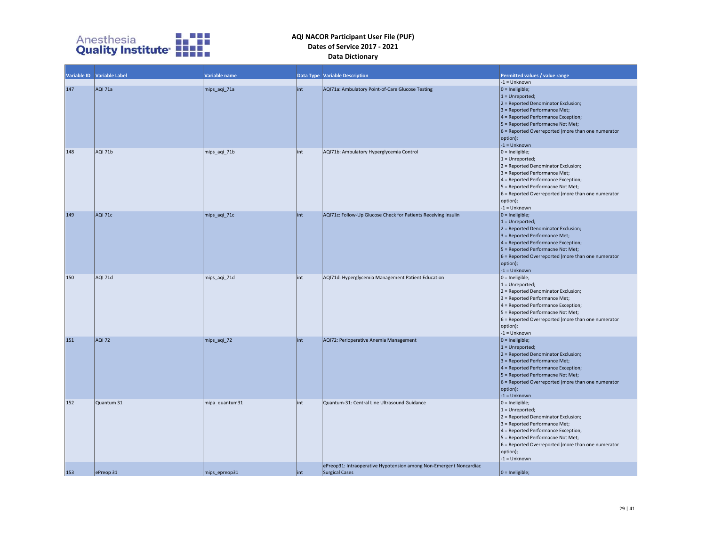

|     | Variable ID Variable Label | Variable name  |      | Data Type Variable Description                                                       | Permitted values / value range                                                                                                                                                                                                                                                 |
|-----|----------------------------|----------------|------|--------------------------------------------------------------------------------------|--------------------------------------------------------------------------------------------------------------------------------------------------------------------------------------------------------------------------------------------------------------------------------|
|     |                            |                |      |                                                                                      | $-1 =$ Unknown                                                                                                                                                                                                                                                                 |
| 147 | AQI 71a                    | mips_aqi_71a   | int  | AQI71a: Ambulatory Point-of-Care Glucose Testing                                     | $0 =$ Ineligible;<br>$1 =$ Unreported;<br>2 = Reported Denominator Exclusion;<br>3 = Reported Performance Met;<br>4 = Reported Performance Exception;<br>5 = Reported Performacne Not Met;<br>6 = Reported Overreported (more than one numerator<br>option);<br>$-1 =$ Unknown |
| 148 | AQI 71b                    | mips_aqi_71b   | int  | AQI71b: Ambulatory Hyperglycemia Control                                             | $0 =$ Ineligible;<br>$1 =$ Unreported;<br>2 = Reported Denominator Exclusion;<br>3 = Reported Performance Met;<br>4 = Reported Performance Exception;<br>5 = Reported Performacne Not Met;<br>6 = Reported Overreported (more than one numerator<br>option);<br>$-1 =$ Unknown |
| 149 | AQI 71c                    | mips_aqi_71c   | int  | AQI71c: Follow-Up Glucose Check for Patients Receiving Insulin                       | $0 =$ Ineligible;<br>$1 =$ Unreported;<br>2 = Reported Denominator Exclusion;<br>3 = Reported Performance Met;<br>4 = Reported Performance Exception;<br>5 = Reported Performacne Not Met;<br>6 = Reported Overreported (more than one numerator<br>option);<br>$-1 =$ Unknown |
| 150 | AQI 71d                    | mips_aqi_71d   | int  | AQI71d: Hyperglycemia Management Patient Education                                   | $0 =$ Ineligible;<br>$1 =$ Unreported;<br>2 = Reported Denominator Exclusion;<br>3 = Reported Performance Met;<br>4 = Reported Performance Exception;<br>5 = Reported Performacne Not Met;<br>6 = Reported Overreported (more than one numerator<br>option);<br>$-1 =$ Unknown |
| 151 | <b>AQI 72</b>              | mips_aqi_72    | lint | AQI72: Perioperative Anemia Management                                               | $0 =$ Ineligible;<br>$1 =$ Unreported;<br>2 = Reported Denominator Exclusion;<br>3 = Reported Performance Met;<br>4 = Reported Performance Exception;<br>5 = Reported Performacne Not Met;<br>6 = Reported Overreported (more than one numerator<br>option);<br>$-1 =$ Unknown |
| 152 | Quantum 31                 | mipa quantum31 | int  | Quantum-31: Central Line Ultrasound Guidance                                         | $0 =$ Ineligible;<br>$1 =$ Unreported;<br>2 = Reported Denominator Exclusion;<br>3 = Reported Performance Met;<br>4 = Reported Performance Exception;<br>5 = Reported Performacne Not Met;<br>6 = Reported Overreported (more than one numerator<br>option);<br>$-1 =$ Unknown |
| 153 | ePreop 31                  | mips_epreop31  | lint | ePreop31: Intraoperative Hypotension among Non-Emergent Noncardiac<br>Surgical Cases | $0 =$ Ineligible;                                                                                                                                                                                                                                                              |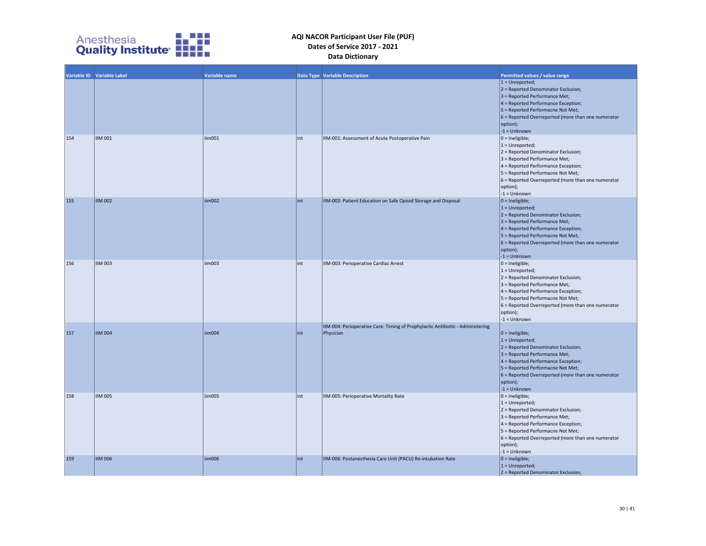

|     | Variable ID Variable Label | Variable name |      | Data Type   Variable Description                                                            | Permitted values / value range                                                                                                                                                                                                                                                 |
|-----|----------------------------|---------------|------|---------------------------------------------------------------------------------------------|--------------------------------------------------------------------------------------------------------------------------------------------------------------------------------------------------------------------------------------------------------------------------------|
|     |                            |               |      |                                                                                             | $1 =$ Unreported;<br>2 = Reported Denominator Exclusion;<br>3 = Reported Performance Met;<br>4 = Reported Performance Exception;<br>5 = Reported Performacne Not Met;<br>6 = Reported Overreported (more than one numerator<br>option);<br>$-1 =$ Unknown                      |
| 154 | <b>IIM 001</b>             | iim001        | lint | IIM-001: Assessment of Acute Postoperative Pain                                             | $0 =$ Ineligible;<br>$1 =$ Unreported;<br>2 = Reported Denominator Exclusion;<br>3 = Reported Performance Met;<br>4 = Reported Performance Exception;<br>5 = Reported Performacne Not Met;<br>6 = Reported Overreported (more than one numerator<br>option);<br>$-1 =$ Unknown |
| 155 | <b>IIM 002</b>             | iim002        | lint | IIM-002: Patient Education on Safe Opioid Storage and Disposal                              | $0 =$ Ineligible;<br>$1 =$ Unreported;<br>2 = Reported Denominator Exclusion;<br>3 = Reported Performance Met;<br>4 = Reported Performance Exception;<br>5 = Reported Performacne Not Met;<br>6 = Reported Overreported (more than one numerator<br>option);<br>$-1 =$ Unknown |
| 156 | <b>IIM 003</b>             | iim003        | int  | IIM-003: Perioperative Cardiac Arrest                                                       | $0 =$ Ineligible;<br>$1 =$ Unreported;<br>2 = Reported Denominator Exclusion;<br>3 = Reported Performance Met;<br>4 = Reported Performance Exception;<br>5 = Reported Performacne Not Met;<br>6 = Reported Overreported (more than one numerator<br>option);<br>$-1 =$ Unknown |
| 157 | <b>IIM 004</b>             | iim004        | lint | IIM-004: Perioperative Care: Timing of Prophylactic Antibiotic - Administering<br>Physician | $0 =$ Ineligible;<br>$1 =$ Unreported;<br>2 = Reported Denominator Exclusion;<br>3 = Reported Performance Met;<br>4 = Reported Performance Exception;<br>5 = Reported Performacne Not Met;<br>6 = Reported Overreported (more than one numerator<br>option);<br>$-1 =$ Unknown |
| 158 | <b>IIM 005</b>             | iim005        | lint | IIM-005: Perioperative Mortality Rate                                                       | $0 =$ Ineligible;<br>$1 =$ Unreported;<br>2 = Reported Denominator Exclusion;<br>3 = Reported Performance Met;<br>4 = Reported Performance Exception;<br>5 = Reported Performacne Not Met;<br>6 = Reported Overreported (more than one numerator<br>option);<br>$-1 =$ Unknown |
| 159 | <b>IIM 006</b>             | iim006        | lint | IIM-006: Postanesthesia Care Unit (PACU) Re-intubation Rate                                 | $0 =$ Ineligible;<br>$1 =$ Unreported;<br>$2$ = Reported Denominator Exclusion;                                                                                                                                                                                                |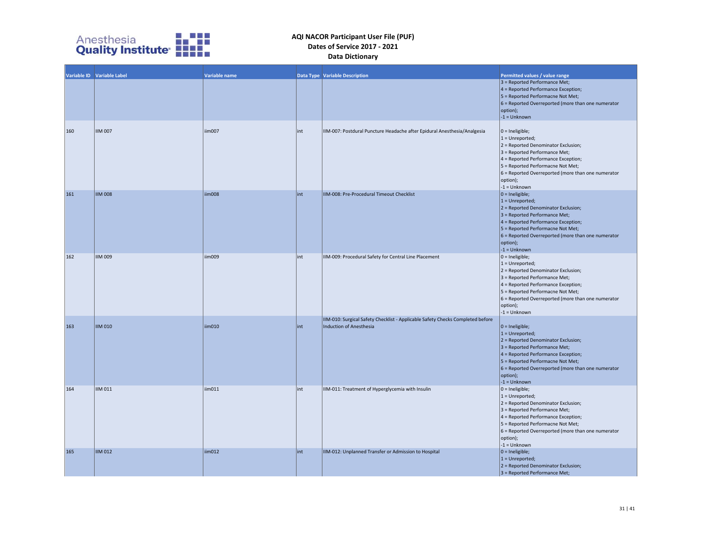

|     | Variable ID Variable Label |               |     |                                                                                                                  |                                                                                                                                                                                                                                                                                |
|-----|----------------------------|---------------|-----|------------------------------------------------------------------------------------------------------------------|--------------------------------------------------------------------------------------------------------------------------------------------------------------------------------------------------------------------------------------------------------------------------------|
|     |                            | Variable name |     | Data Type Variable Description                                                                                   | Permitted values / value range<br>3 = Reported Performance Met;<br>4 = Reported Performance Exception;<br>5 = Reported Performacne Not Met;<br>6 = Reported Overreported (more than one numerator<br>option);<br>$-1 =$ Unknown                                                |
| 160 | <b>IIM 007</b>             | liim007       | int | IIM-007: Postdural Puncture Headache after Epidural Anesthesia/Analgesia                                         | $0 =$ Ineligible;<br>$1 =$ Unreported;<br>2 = Reported Denominator Exclusion;<br>3 = Reported Performance Met;<br>4 = Reported Performance Exception;<br>5 = Reported Performacne Not Met;<br>6 = Reported Overreported (more than one numerator<br>option);<br>$-1 =$ Unknown |
| 161 | <b>IIM 008</b>             | iim008        | int | IIM-008: Pre-Procedural Timeout Checklist                                                                        | $0 =$ Ineligible;<br>$1 =$ Unreported;<br>2 = Reported Denominator Exclusion;<br>3 = Reported Performance Met;<br>4 = Reported Performance Exception;<br>5 = Reported Performacne Not Met;<br>6 = Reported Overreported (more than one numerator<br>option);<br>$-1 =$ Unknown |
| 162 | <b>IIM 009</b>             | iim009        | int | IIM-009: Procedural Safety for Central Line Placement                                                            | $0 =$ Ineligible;<br>$1 =$ Unreported;<br>2 = Reported Denominator Exclusion;<br>3 = Reported Performance Met;<br>4 = Reported Performance Exception;<br>5 = Reported Performacne Not Met;<br>6 = Reported Overreported (more than one numerator<br>option);<br>$-1 =$ Unknown |
| 163 | <b>IIM 010</b>             | iim010        | int | IIM-010: Surgical Safety Checklist - Applicable Safety Checks Completed before<br><b>Induction of Anesthesia</b> | $0 =$ Ineligible;<br>$1 =$ Unreported;<br>2 = Reported Denominator Exclusion;<br>3 = Reported Performance Met;<br>4 = Reported Performance Exception;<br>5 = Reported Performacne Not Met;<br>6 = Reported Overreported (more than one numerator<br>option);<br>$-1 =$ Unknown |
| 164 | <b>IIM 011</b>             | iim011        | int | IIM-011: Treatment of Hyperglycemia with Insulin                                                                 | $0 =$ Ineligible;<br>$1 =$ Unreported;<br>2 = Reported Denominator Exclusion;<br>3 = Reported Performance Met;<br>4 = Reported Performance Exception;<br>5 = Reported Performacne Not Met;<br>6 = Reported Overreported (more than one numerator<br>option);<br>$-1 =$ Unknown |
| 165 | <b>IIM 012</b>             | iim012        | int | IIM-012: Unplanned Transfer or Admission to Hospital                                                             | $0 =$ Ineligible;<br>$1 =$ Unreported;<br>2 = Reported Denominator Exclusion;<br>3 = Reported Performance Met;                                                                                                                                                                 |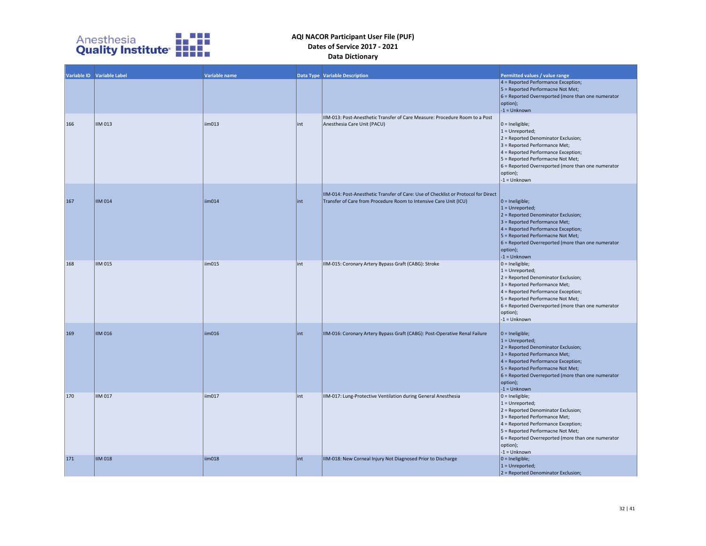

|     | Variable ID Variable Label | <b>Variable name</b> |      | <b>Data Type Variable Description</b>                                                                                                                   | Permitted values / value range                                                                                                                                                                                                                                                        |
|-----|----------------------------|----------------------|------|---------------------------------------------------------------------------------------------------------------------------------------------------------|---------------------------------------------------------------------------------------------------------------------------------------------------------------------------------------------------------------------------------------------------------------------------------------|
|     |                            |                      |      |                                                                                                                                                         | $4$ = Reported Performance Exception;<br>5 = Reported Performacne Not Met;<br>$6$ = Reported Overreported (more than one numerator<br>option);<br>$-1 =$ Unknown                                                                                                                      |
| 166 | <b>IIM 013</b>             | iim013               | int  | IIM-013: Post-Anesthetic Transfer of Care Measure: Procedure Room to a Post<br>Anesthesia Care Unit (PACU)                                              | $ 0 =$ Ineligible;<br>$1 =$ Unreported;<br>2 = Reported Denominator Exclusion;<br>3 = Reported Performance Met;<br>4 = Reported Performance Exception;<br>5 = Reported Performacne Not Met;<br>$6$ = Reported Overreported (more than one numerator<br>option);<br>$-1 =$ Unknown     |
| 167 | <b>IIM 014</b>             | iim014               | int  | IIM-014: Post-Anesthetic Transfer of Care: Use of Checklist or Protocol for Direct<br>Transfer of Care from Procedure Room to Intensive Care Unit (ICU) | $ 0 =$ Ineligible;<br>$1 =$ Unreported;<br>$2$ = Reported Denominator Exclusion;<br>3 = Reported Performance Met;<br>$4$ = Reported Performance Exception;<br>5 = Reported Performacne Not Met;<br>$6$ = Reported Overreported (more than one numerator<br>option);<br>$-1 =$ Unknown |
| 168 | <b>IIM 015</b>             | iim015               | int  | IIM-015: Coronary Artery Bypass Graft (CABG): Stroke                                                                                                    | $ 0 =$ Ineligible;<br>$1 =$ Unreported;<br>2 = Reported Denominator Exclusion;<br>3 = Reported Performance Met;<br>4 = Reported Performance Exception;<br>5 = Reported Performacne Not Met;<br>$6$ = Reported Overreported (more than one numerator<br>option);<br>$-1 =$ Unknown     |
| 169 | <b>IIM 016</b>             | iim016               | int  | IIM-016: Coronary Artery Bypass Graft (CABG): Post-Operative Renal Failure                                                                              | $0 =$ Ineligible;<br>$1 =$ Unreported;<br>$2$ = Reported Denominator Exclusion;<br>3 = Reported Performance Met;<br>4 = Reported Performance Exception;<br>5 = Reported Performacne Not Met;<br>$6$ = Reported Overreported (more than one numerator<br>option);<br>$-1 =$ Unknown    |
| 170 | <b>IIM 017</b>             | iim017               | int  | IIM-017: Lung-Protective Ventilation during General Anesthesia                                                                                          | $0 =$ Ineligible;<br>$1 =$ Unreported;<br>2 = Reported Denominator Exclusion;<br>3 = Reported Performance Met;<br>4 = Reported Performance Exception;<br>5 = Reported Performacne Not Met;<br>$6$ = Reported Overreported (more than one numerator<br>option);<br>$-1 =$ Unknown      |
| 171 | <b>IIM 018</b>             | iim018               | lint | IIM-018: New Corneal Injury Not Diagnosed Prior to Discharge                                                                                            | $ 0 =$ Ineligible;<br>$1 =$ Unreported;<br>$2$ = Reported Denominator Exclusion;                                                                                                                                                                                                      |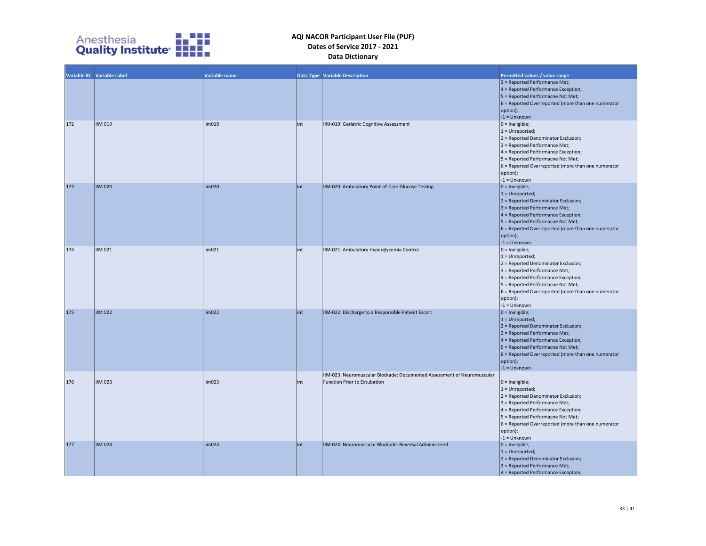

|     | Variable ID Variable Label | Variable name |      | <b>Data Type Variable Description</b>                                                                   | Permitted values / value range<br>3 = Reported Performance Met;<br>4 = Reported Performance Exception;<br>5 = Reported Performacne Not Met;<br>6 = Reported Overreported (more than one numerator<br>option);<br>$-1 =$ Unknown                                                |
|-----|----------------------------|---------------|------|---------------------------------------------------------------------------------------------------------|--------------------------------------------------------------------------------------------------------------------------------------------------------------------------------------------------------------------------------------------------------------------------------|
| 172 | <b>IIM 019</b>             | iim019        | int  | IIM-019: Geriatric Cognitive Assessment                                                                 | $0 =$ Ineligible;<br>$1 =$ Unreported;<br>2 = Reported Denominator Exclusion;<br>3 = Reported Performance Met;<br>4 = Reported Performance Exception;<br>5 = Reported Performacne Not Met;<br>6 = Reported Overreported (more than one numerator<br>option);<br>$-1 =$ Unknown |
| 173 | <b>IIM 020</b>             | iim020        | int  | IIM-020: Ambulatory Point-of-Care Glucose Testing                                                       | $0 =$ Ineligible;<br>$1 =$ Unreported;<br>2 = Reported Denominator Exclusion;<br>3 = Reported Performance Met;<br>4 = Reported Performance Exception;<br>5 = Reported Performacne Not Met;<br>6 = Reported Overreported (more than one numerator<br>option);<br>$-1 =$ Unknown |
| 174 | IIM 021                    | iim021        | int  | IIM-021: Ambulatory Hyperglycemia Control                                                               | $0 =$ Ineligible;<br>$1 =$ Unreported;<br>2 = Reported Denominator Exclusion;<br>3 = Reported Performance Met;<br>4 = Reported Performance Exception;<br>5 = Reported Performacne Not Met;<br>6 = Reported Overreported (more than one numerator<br>option);<br>$-1 =$ Unknown |
| 175 | <b>IIM 022</b>             | iim022        | lint | IIM-022: Discharge to a Responsible Patient Escort                                                      | $0 =$ Ineligible;<br>$1 =$ Unreported;<br>2 = Reported Denominator Exclusion;<br>3 = Reported Performance Met;<br>4 = Reported Performance Exception;<br>5 = Reported Performacne Not Met;<br>6 = Reported Overreported (more than one numerator<br>option);<br>$-1 =$ Unknown |
| 176 | <b>IIM 023</b>             | $\lim_{23}$   | lint | IIM-023: Neuromuscular Blockade: Documented Assessment of Neuromuscular<br>Function Prior to Extubation | $0 =$ Ineligible;<br>$1 =$ Unreported;<br>2 = Reported Denominator Exclusion;<br>3 = Reported Performance Met;<br>4 = Reported Performance Exception;<br>5 = Reported Performacne Not Met;<br>6 = Reported Overreported (more than one numerator<br>option);<br>$-1 =$ Unknown |
| 177 | <b>IIM 024</b>             | iim024        | lint | IIM-024: Neuromuscular Blockade: Reversal Administered                                                  | $0 =$ Ineligible;<br>$1 =$ Unreported;<br>2 = Reported Denominator Exclusion;<br>3 = Reported Performance Met;<br>4 = Reported Performance Exception;                                                                                                                          |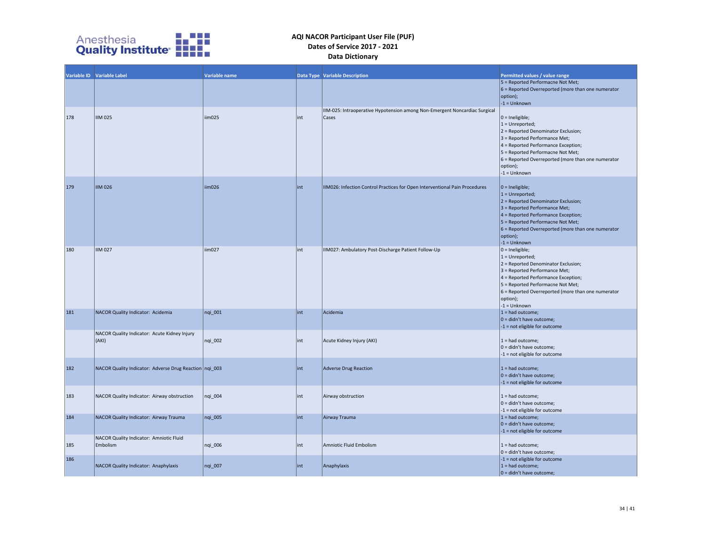

|     | Variable ID Variable Label                             | Variable name |      | <b>Data Type Variable Description</b>                                               | Permitted values / value range                                                                                                                                                                                                                                                        |
|-----|--------------------------------------------------------|---------------|------|-------------------------------------------------------------------------------------|---------------------------------------------------------------------------------------------------------------------------------------------------------------------------------------------------------------------------------------------------------------------------------------|
|     |                                                        |               |      |                                                                                     | 5 = Reported Performacne Not Met;<br>$6$ = Reported Overreported (more than one numerator<br>option);<br>$-1 =$ Unknown                                                                                                                                                               |
| 178 | <b>IIM 025</b>                                         | iim025        | lint | IIM-025: Intraoperative Hypotension among Non-Emergent Noncardiac Surgical<br>Cases | $ 0 =$ Ineligible;<br>$1 =$ Unreported;<br>$2$ = Reported Denominator Exclusion;<br>3 = Reported Performance Met;<br>4 = Reported Performance Exception;<br>5 = Reported Performacne Not Met;<br>$6$ = Reported Overreported (more than one numerator<br>option);<br>$-1 =$ Unknown   |
| 179 | <b>IIM 026</b>                                         | iim026        | lint | IIM026: Infection Control Practices for Open Interventional Pain Procedures         | $ 0 =$ Ineligible;<br>$1 =$ Unreported;<br>$2$ = Reported Denominator Exclusion;<br>$3$ = Reported Performance Met;<br>4 = Reported Performance Exception;<br>5 = Reported Performacne Not Met;<br>$6$ = Reported Overreported (more than one numerator<br>option);<br>$-1 =$ Unknown |
| 180 | <b>IIM 027</b>                                         | iim027        | lint | IIM027: Ambulatory Post-Discharge Patient Follow-Up                                 | $0 =$ Ineligible;<br>$1 =$ Unreported;<br>2 = Reported Denominator Exclusion;<br>3 = Reported Performance Met;<br>4 = Reported Performance Exception;<br>5 = Reported Performacne Not Met;<br>6 = Reported Overreported (more than one numerator<br>option);<br>$-1 =$ Unknown        |
| 181 | NACOR Quality Indicator: Acidemia                      | nqi_001       | lint | Acidemia                                                                            | $1 =$ had outcome;<br>$ 0 =$ didn't have outcome;<br>$-1$ = not eligible for outcome                                                                                                                                                                                                  |
|     | NACOR Quality Indicator: Acute Kidney Injury<br>(AKI)  | nqi_002       | lint | Acute Kidney Injury (AKI)                                                           | $1 =$ had outcome;<br>$ 0 =$ didn't have outcome;<br>-1 = not eligible for outcome                                                                                                                                                                                                    |
| 182 | NACOR Quality Indicator: Adverse Drug Reaction nqi_003 |               | lint | Adverse Drug Reaction                                                               | $1 =$ had outcome;<br>$ 0 =$ didn't have outcome;<br>$-1$ = not eligible for outcome                                                                                                                                                                                                  |
| 183 | NACOR Quality Indicator: Airway obstruction            | nqi_004       | lint | Airway obstruction                                                                  | $1 = had outcome;$<br>$ 0 =$ didn't have outcome;<br>$-1$ = not eligible for outcome                                                                                                                                                                                                  |
| 184 | NACOR Quality Indicator: Airway Trauma                 | nqi 005       | lint | Airway Trauma                                                                       | $1 =$ had outcome;<br>$ 0 =$ didn't have outcome;<br>$-1$ = not eligible for outcome                                                                                                                                                                                                  |
| 185 | NACOR Quality Indicator: Amniotic Fluid<br>Embolism    | ngi 006       | lint | Amniotic Fluid Embolism                                                             | $1 = had outcome;$<br>$ 0 =$ didn't have outcome;                                                                                                                                                                                                                                     |
| 186 | NACOR Quality Indicator: Anaphylaxis                   | nqi_007       | int  | Anaphylaxis                                                                         | $-1$ = not eligible for outcome<br>$1 =$ had outcome;<br>$ 0 =$ didn't have outcome;                                                                                                                                                                                                  |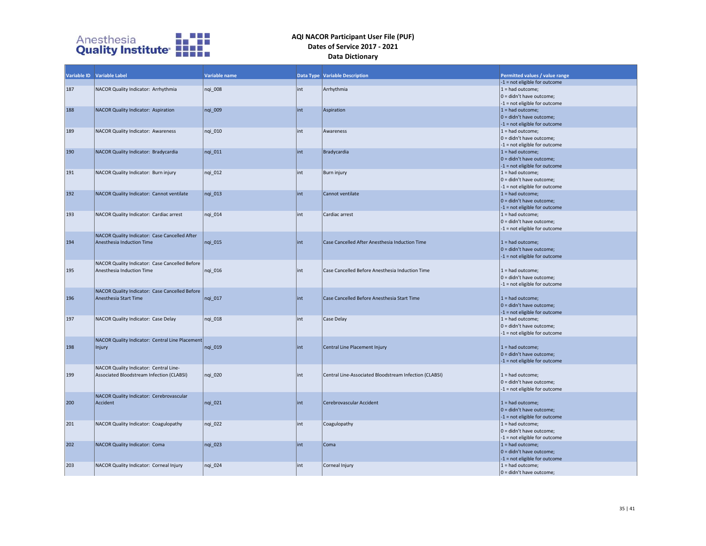

|     | Variable ID Variable Label                      | Variable name |      | <b>Data Type Variable Description</b>                  | Permitted values / value range<br>-1 = not eligible for outcome |
|-----|-------------------------------------------------|---------------|------|--------------------------------------------------------|-----------------------------------------------------------------|
| 187 | NACOR Quality Indicator: Arrhythmia             | nqi_008       | int  | Arrhythmia                                             | $1 =$ had outcome;                                              |
|     |                                                 |               |      |                                                        | $ 0 =$ didn't have outcome;                                     |
|     |                                                 |               |      |                                                        | $-1$ = not eligible for outcome                                 |
| 188 | NACOR Quality Indicator: Aspiration             | ngi 009       | lint | Aspiration                                             | $1 =$ had outcome;                                              |
|     |                                                 |               |      |                                                        | $ 0 =$ didn't have outcome;                                     |
|     |                                                 |               |      |                                                        | $-1$ = not eligible for outcome                                 |
| 189 | NACOR Quality Indicator: Awareness              | ngi 010       | int  | Awareness                                              | $1 =$ had outcome;                                              |
|     |                                                 |               |      |                                                        | $ 0 =$ didn't have outcome;                                     |
|     |                                                 |               |      |                                                        | $-1$ = not eligible for outcome                                 |
| 190 | NACOR Quality Indicator: Bradycardia            | ngi 011       | lint | Bradycardia                                            | $1 =$ had outcome;                                              |
|     |                                                 |               |      |                                                        | $ 0 =$ didn't have outcome;                                     |
|     |                                                 |               |      |                                                        | $-1$ = not eligible for outcome                                 |
| 191 | NACOR Quality Indicator: Burn injury            | nqi_012       | int  | Burn injury                                            | $1 =$ had outcome;                                              |
|     |                                                 |               |      |                                                        | $ 0 =$ didn't have outcome;                                     |
| 192 |                                                 |               | int  | Cannot ventilate                                       | $-1$ = not eligible for outcome                                 |
|     | NACOR Quality Indicator: Cannot ventilate       | nqi_013       |      |                                                        | $1 = had outcome;$<br>$ 0 =$ didn't have outcome;               |
|     |                                                 |               |      |                                                        | $-1$ = not eligible for outcome                                 |
| 193 | NACOR Quality Indicator: Cardiac arrest         | ngi 014       | int  | Cardiac arrest                                         | $1 =$ had outcome;                                              |
|     |                                                 |               |      |                                                        | $ 0 =$ didn't have outcome;                                     |
|     |                                                 |               |      |                                                        | -1 = not eligible for outcome                                   |
|     | NACOR Quality Indicator: Case Cancelled After   |               |      |                                                        |                                                                 |
| 194 | Anesthesia Induction Time                       | ngi 015       | lint | Case Cancelled After Anesthesia Induction Time         | $1 =$ had outcome;                                              |
|     |                                                 |               |      |                                                        | $ 0 =$ didn't have outcome;                                     |
|     |                                                 |               |      |                                                        | $-1$ = not eligible for outcome                                 |
|     | NACOR Quality Indicator: Case Cancelled Before  |               |      |                                                        |                                                                 |
| 195 | Anesthesia Induction Time                       | nqi_016       | lint | Case Cancelled Before Anesthesia Induction Time        | $1 =$ had outcome;                                              |
|     |                                                 |               |      |                                                        | $ 0 =$ didn't have outcome;                                     |
|     |                                                 |               |      |                                                        | -1 = not eligible for outcome                                   |
|     | NACOR Quality Indicator: Case Cancelled Before  |               |      |                                                        |                                                                 |
| 196 | Anesthesia Start Time                           | nqi_017       | lint | Case Cancelled Before Anesthesia Start Time            | $1 = had outcome;$                                              |
|     |                                                 |               |      |                                                        | $ 0 =$ didn't have outcome;                                     |
|     |                                                 |               |      |                                                        | $-1$ = not eligible for outcome                                 |
| 197 | NACOR Quality Indicator: Case Delay             | ngi 018       | int  | Case Delay                                             | $1 =$ had outcome;                                              |
|     |                                                 |               |      |                                                        | 0 = didn't have outcome;                                        |
|     | NACOR Quality Indicator: Central Line Placement |               |      |                                                        | -1 = not eligible for outcome                                   |
| 198 | Injury                                          | nqi_019       | lint | Central Line Placement Injury                          | $1 =$ had outcome;                                              |
|     |                                                 |               |      |                                                        | $ 0 =$ didn't have outcome;                                     |
|     |                                                 |               |      |                                                        | $-1$ = not eligible for outcome                                 |
|     | NACOR Quality Indicator: Central Line-          |               |      |                                                        |                                                                 |
| 199 | Associated Bloodstream Infection (CLABSI)       | nqi_020       | int  | Central Line-Associated Bloodstream Infection (CLABSI) | $1 =$ had outcome;                                              |
|     |                                                 |               |      |                                                        | $ 0 =$ didn't have outcome;                                     |
|     |                                                 |               |      |                                                        | $-1$ = not eligible for outcome                                 |
|     | NACOR Quality Indicator: Cerebrovascular        |               |      |                                                        |                                                                 |
| 200 | Accident                                        | nqi_021       | lint | Cerebrovascular Accident                               | $1 =$ had outcome;                                              |
|     |                                                 |               |      |                                                        | $ 0 =$ didn't have outcome;                                     |
|     |                                                 |               |      |                                                        | $-1$ = not eligible for outcome                                 |
| 201 | NACOR Quality Indicator: Coagulopathy           | nqi_022       | int  | Coagulopathy                                           | $1 =$ had outcome;                                              |
|     |                                                 |               |      |                                                        | 0 = didn't have outcome;                                        |
|     |                                                 |               |      |                                                        | -1 = not eligible for outcome                                   |
| 202 | NACOR Quality Indicator: Coma                   | ngi 023       | lint | Coma                                                   | $1 =$ had outcome;                                              |
|     |                                                 |               |      |                                                        | $ 0 =$ didn't have outcome;                                     |
| 203 |                                                 | nqi_024       | lint |                                                        | $-1$ = not eligible for outcome<br>$1 =$ had outcome;           |
|     | NACOR Quality Indicator: Corneal Injury         |               |      | Corneal Injury                                         | $ 0 =$ didn't have outcome;                                     |
|     |                                                 |               |      |                                                        |                                                                 |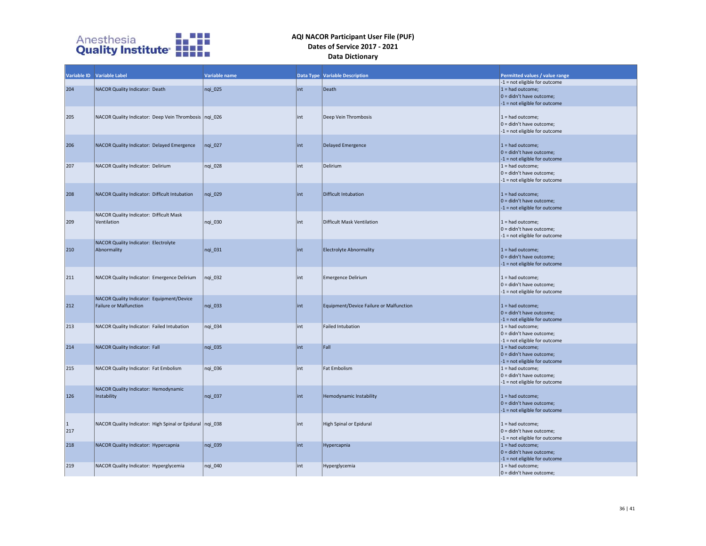

|           | Variable ID Variable Label                                 | Variable name |     | <b>Data Type Variable Description</b>   | Permitted values / value range                                 |
|-----------|------------------------------------------------------------|---------------|-----|-----------------------------------------|----------------------------------------------------------------|
|           |                                                            |               |     |                                         | -1 = not eligible for outcome                                  |
| 204       | NACOR Quality Indicator: Death                             | nqi_025       | int | Death                                   | $1 =$ had outcome;                                             |
|           |                                                            |               |     |                                         | $0 =$ didn't have outcome;                                     |
|           |                                                            |               |     |                                         | -1 = not eligible for outcome                                  |
|           |                                                            |               |     |                                         |                                                                |
| 205       | NACOR Quality Indicator: Deep Vein Thrombosis   nqi_026    |               | int | Deep Vein Thrombosis                    | $1 =$ had outcome;<br>0 = didn't have outcome;                 |
|           |                                                            |               |     |                                         | -1 = not eligible for outcome                                  |
|           |                                                            |               |     |                                         |                                                                |
| 206       | NACOR Quality Indicator: Delayed Emergence                 | nqi 027       | int | <b>Delayed Emergence</b>                | $1 =$ had outcome;                                             |
|           |                                                            |               |     |                                         | $0 =$ didn't have outcome;                                     |
|           |                                                            |               |     |                                         | -1 = not eligible for outcome                                  |
| 207       | NACOR Quality Indicator: Delirium                          | nqi_028       | int | Delirium                                | $1 =$ had outcome;                                             |
|           |                                                            |               |     |                                         | 0 = didn't have outcome;                                       |
|           |                                                            |               |     |                                         | -1 = not eligible for outcome                                  |
|           |                                                            |               |     |                                         |                                                                |
| 208       | NACOR Quality Indicator: Difficult Intubation              | nqi_029       | int | Difficult Intubation                    | $1 =$ had outcome;                                             |
|           |                                                            |               |     |                                         | $ 0 =$ didn't have outcome;<br>$-1$ = not eligible for outcome |
|           | NACOR Quality Indicator: Difficult Mask                    |               |     |                                         |                                                                |
| 209       | Ventilation                                                | nqi_030       | int | Difficult Mask Ventilation              | $1 =$ had outcome;                                             |
|           |                                                            |               |     |                                         | 0 = didn't have outcome;                                       |
|           |                                                            |               |     |                                         | $-1$ = not eligible for outcome                                |
|           | NACOR Quality Indicator: Electrolyte                       |               |     |                                         |                                                                |
| 210       | Abnormality                                                | nqi_031       | int | <b>Electrolyte Abnormality</b>          | $1 =$ had outcome;                                             |
|           |                                                            |               |     |                                         | $ 0 =$ didn't have outcome;                                    |
|           |                                                            |               |     |                                         | -1 = not eligible for outcome                                  |
|           |                                                            |               |     |                                         |                                                                |
| 211       | NACOR Quality Indicator: Emergence Delirium                | nqi_032       | int | <b>Emergence Delirium</b>               | $1 =$ had outcome;<br>$ 0 =$ didn't have outcome;              |
|           |                                                            |               |     |                                         | -1 = not eligible for outcome                                  |
|           | NACOR Quality Indicator: Equipment/Device                  |               |     |                                         |                                                                |
| 212       | <b>Failure or Malfunction</b>                              | nqi 033       | int | Equipment/Device Failure or Malfunction | $1 =$ had outcome;                                             |
|           |                                                            |               |     |                                         | $0 =$ didn't have outcome;                                     |
|           |                                                            |               |     |                                         | -1 = not eligible for outcome                                  |
| 213       | NACOR Quality Indicator: Failed Intubation                 | nqi_034       | int | <b>Failed Intubation</b>                | $1 =$ had outcome;                                             |
|           |                                                            |               |     |                                         | $0 =$ didn't have outcome;                                     |
|           |                                                            |               |     |                                         | -1 = not eligible for outcome                                  |
| 214       | NACOR Quality Indicator: Fall                              | nqi_035       | int | Fall                                    | $1 =$ had outcome;<br>$0 =$ didn't have outcome;               |
|           |                                                            |               |     |                                         | -1 = not eligible for outcome                                  |
| 215       | NACOR Quality Indicator: Fat Embolism                      | ngi 036       | int | Fat Embolism                            | $1 =$ had outcome;                                             |
|           |                                                            |               |     |                                         | $0 =$ didn't have outcome;                                     |
|           |                                                            |               |     |                                         | -1 = not eligible for outcome                                  |
|           | NACOR Quality Indicator: Hemodynamic                       |               |     |                                         |                                                                |
| 126       | Instability                                                | nqi 037       | int | Hemodynamic Instability                 | $1 =$ had outcome;                                             |
|           |                                                            |               |     |                                         | $ 0 =$ didn't have outcome;                                    |
|           |                                                            |               |     |                                         | -1 = not eligible for outcome                                  |
|           |                                                            |               |     |                                         |                                                                |
| $\vert$ 1 | NACOR Quality Indicator: High Spinal or Epidural   nqi_038 |               | int | High Spinal or Epidural                 | $1 =$ had outcome;<br>$0 =$ didn't have outcome;               |
| 217       |                                                            |               |     |                                         | -1 = not eligible for outcome                                  |
| 218       | NACOR Quality Indicator: Hypercapnia                       | nqi_039       | int | Hypercapnia                             | $1 =$ had outcome;                                             |
|           |                                                            |               |     |                                         | $0 =$ didn't have outcome;                                     |
|           |                                                            |               |     |                                         | -1 = not eligible for outcome                                  |
| 219       | NACOR Quality Indicator: Hyperglycemia                     | nqi_040       | int | Hyperglycemia                           | $1 =$ had outcome;                                             |
|           |                                                            |               |     |                                         | $ 0 =$ didn't have outcome;                                    |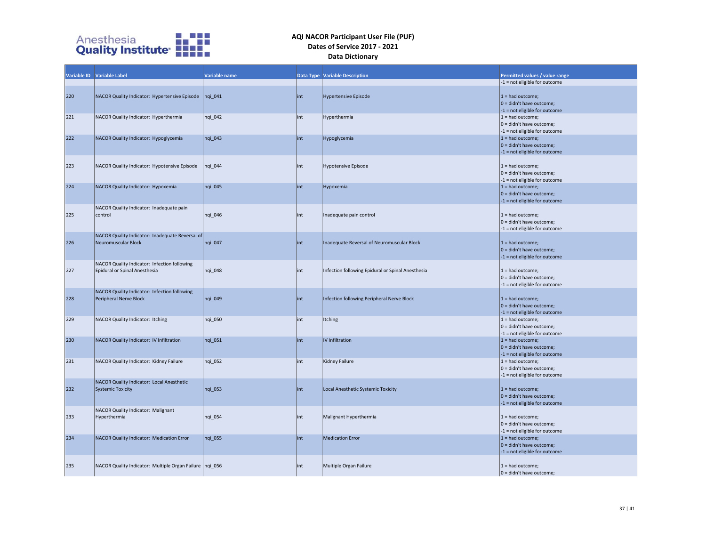

|     | Variable ID Variable Label                                | Variable name |     | <b>Data Type Variable Description</b>             | Permitted values / value range  |
|-----|-----------------------------------------------------------|---------------|-----|---------------------------------------------------|---------------------------------|
|     |                                                           |               |     |                                                   | -1 = not eligible for outcome   |
|     |                                                           |               |     |                                                   |                                 |
| 220 | NACOR Quality Indicator: Hypertensive Episode             | $nqi_041$     | int | <b>Hypertensive Episode</b>                       | $1 =$ had outcome;              |
|     |                                                           |               |     |                                                   | $ 0 =$ didn't have outcome;     |
|     |                                                           |               |     |                                                   | -1 = not eligible for outcome   |
| 221 | NACOR Quality Indicator: Hyperthermia                     | nqi_042       | int | Hyperthermia                                      | $1 =$ had outcome;              |
|     |                                                           |               |     |                                                   | 0 = didn't have outcome;        |
|     |                                                           |               |     |                                                   | $-1$ = not eligible for outcome |
| 222 | NACOR Quality Indicator: Hypoglycemia                     | $nqi$ 043     | int | Hypoglycemia                                      | $1 =$ had outcome;              |
|     |                                                           |               |     |                                                   | $0 =$ didn't have outcome;      |
|     |                                                           |               |     |                                                   | -1 = not eligible for outcome   |
|     |                                                           |               |     |                                                   |                                 |
| 223 | NACOR Quality Indicator: Hypotensive Episode              | nqi 044       | int | <b>Hypotensive Episode</b>                        | $1 =$ had outcome;              |
|     |                                                           |               |     |                                                   | 0 = didn't have outcome;        |
|     |                                                           |               |     |                                                   | -1 = not eligible for outcome   |
| 224 | NACOR Quality Indicator: Hypoxemia                        | nqi 045       | int | Hypoxemia                                         | $1 =$ had outcome;              |
|     |                                                           |               |     |                                                   | $ 0 =$ didn't have outcome;     |
|     |                                                           |               |     |                                                   | -1 = not eligible for outcome   |
|     | NACOR Quality Indicator: Inadequate pain                  |               |     |                                                   |                                 |
| 225 | control                                                   | nqi 046       | int | Inadequate pain control                           | $1 =$ had outcome;              |
|     |                                                           |               |     |                                                   | $0 =$ didn't have outcome;      |
|     |                                                           |               |     |                                                   | -1 = not eligible for outcome   |
|     | NACOR Quality Indicator: Inadequate Reversal of           |               |     |                                                   |                                 |
| 226 | Neuromuscular Block                                       | nqi_047       | int | Inadequate Reversal of Neuromuscular Block        | $1 =$ had outcome;              |
|     |                                                           |               |     |                                                   | $0 =$ didn't have outcome;      |
|     |                                                           |               |     |                                                   | $-1$ = not eligible for outcome |
|     | NACOR Quality Indicator: Infection following              |               |     |                                                   |                                 |
| 227 | Epidural or Spinal Anesthesia                             | nqi_048       | int | Infection following Epidural or Spinal Anesthesia | $1 =$ had outcome;              |
|     |                                                           |               |     |                                                   | 0 = didn't have outcome;        |
|     |                                                           |               |     |                                                   | -1 = not eligible for outcome   |
|     | NACOR Quality Indicator: Infection following              |               |     |                                                   |                                 |
| 228 | Peripheral Nerve Block                                    | ngi 049       | int | Infection following Peripheral Nerve Block        | $1 =$ had outcome;              |
|     |                                                           |               |     |                                                   | $ 0 =$ didn't have outcome;     |
|     |                                                           |               |     |                                                   | -1 = not eligible for outcome   |
| 229 | NACOR Quality Indicator: Itching                          | nqi_050       | int | Itching                                           | $1 =$ had outcome;              |
|     |                                                           |               |     |                                                   | $0 =$ didn't have outcome;      |
|     |                                                           |               |     |                                                   | -1 = not eligible for outcome   |
| 230 | NACOR Quality Indicator: IV Infiltration                  | nqi 051       | int | IV Infiltration                                   | $1 =$ had outcome;              |
|     |                                                           |               |     |                                                   | $0 =$ didn't have outcome;      |
|     |                                                           |               |     |                                                   | -1 = not eligible for outcome   |
| 231 | NACOR Quality Indicator: Kidney Failure                   | ngi 052       | int | Kidney Failure                                    | $1 =$ had outcome;              |
|     |                                                           |               |     |                                                   | $0 =$ didn't have outcome;      |
|     |                                                           |               |     |                                                   | -1 = not eligible for outcome   |
|     | NACOR Quality Indicator: Local Anesthetic                 |               |     |                                                   |                                 |
| 232 | <b>Systemic Toxicity</b>                                  | ngi 053       | int | Local Anesthetic Systemic Toxicity                | $1 =$ had outcome;              |
|     |                                                           |               |     |                                                   | $ 0 =$ didn't have outcome;     |
|     |                                                           |               |     |                                                   | -1 = not eligible for outcome   |
|     | NACOR Quality Indicator: Malignant                        |               |     |                                                   |                                 |
| 233 | Hyperthermia                                              | nqi_054       | int | Malignant Hyperthermia                            | $1 =$ had outcome;              |
|     |                                                           |               |     |                                                   | $0 =$ didn't have outcome;      |
|     |                                                           |               |     |                                                   | -1 = not eligible for outcome   |
| 234 | NACOR Quality Indicator: Medication Error                 | nqi_055       | int | <b>Medication Error</b>                           | $1 =$ had outcome;              |
|     |                                                           |               |     |                                                   | $ 0 =$ didn't have outcome;     |
|     |                                                           |               |     |                                                   | -1 = not eligible for outcome   |
|     |                                                           |               |     |                                                   |                                 |
| 235 | NACOR Quality Indicator: Multiple Organ Failure   ngi 056 |               | int | Multiple Organ Failure                            | $1 = had outcome;$              |
|     |                                                           |               |     |                                                   | $ 0 =$ didn't have outcome;     |
|     |                                                           |               |     |                                                   |                                 |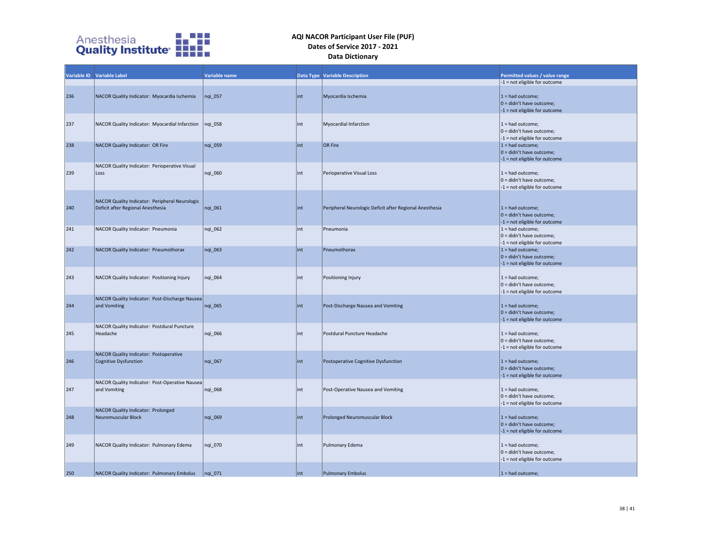

|     | Variable ID Variable Label                                                          | Variable name |      | <b>Data Type Variable Description</b>                   | Permitted values / value range                                                      |
|-----|-------------------------------------------------------------------------------------|---------------|------|---------------------------------------------------------|-------------------------------------------------------------------------------------|
|     |                                                                                     |               |      |                                                         | -1 = not eligible for outcome                                                       |
| 236 | NACOR Quality Indicator: Myocardia Ischemia                                         | nqi 057       | int  | Myocardia Ischemia                                      | $1 =$ had outcome;<br>$0 =$ didn't have outcome;<br>-1 = not eligible for outcome   |
| 237 | NACOR Quality Indicator: Myocardial Infarction                                      | nqi 058       | lint | Myocardial Infarction                                   | $1 =$ had outcome;<br>0 = didn't have outcome;<br>-1 = not eligible for outcome     |
| 238 | NACOR Quality Indicator: OR Fire                                                    | nqi_059       | int  | OR Fire                                                 | $1 =$ had outcome;<br>$ 0 =$ didn't have outcome;<br>-1 = not eligible for outcome  |
| 239 | NACOR Quality Indicator: Perioperative Visual<br>Loss                               | ngi 060       | int  | Perioperative Visual Loss                               | $1 =$ had outcome;<br>$ 0 =$ didn't have outcome;<br>-1 = not eligible for outcome  |
| 240 | NACOR Quality Indicator: Peripheral Neurologic<br>Deficit after Regional Anesthesia | nqi_061       | int  | Peripheral Neurologic Deficit after Regional Anesthesia | $1 =$ had outcome;<br>$0 =$ didn't have outcome;<br>-1 = not eligible for outcome   |
| 241 | NACOR Quality Indicator: Pneumonia                                                  | nqi_062       | int  | Pneumonia                                               | $1 =$ had outcome;<br>0 = didn't have outcome;<br>-1 = not eligible for outcome     |
| 242 | NACOR Quality Indicator: Pneumothorax                                               | nqi_063       | int  | Pneumothorax                                            | $1 =$ had outcome;<br>$ 0 =$ didn't have outcome;<br>-1 = not eligible for outcome  |
| 243 | NACOR Quality Indicator: Positioning Injury                                         | nqi 064       | int  | Positioning Injury                                      | $1 =$ had outcome;<br>0 = didn't have outcome;<br>-1 = not eligible for outcome     |
| 244 | NACOR Quality Indicator: Post-Discharge Nausea<br>and Vomiting                      | nqi_065       | int  | Post-Discharge Nausea and Vomiting                      | $1 =$ had outcome;<br>$ 0 =$ didn't have outcome;<br>-1 = not eligible for outcome  |
| 245 | NACOR Quality Indicator: Postdural Puncture<br>Headache                             | nqi 066       | int  | Postdural Puncture Headache                             | $1 =$ had outcome;<br>0 = didn't have outcome;<br>-1 = not eligible for outcome     |
| 246 | NACOR Quality Indicator: Postoperative<br>Cognitive Dysfunction                     | nqi_067       | int  | Postoperative Cognitive Dysfunction                     | $1 = had outcome;$<br>$0 =$ didn't have outcome;<br>-1 = not eligible for outcome   |
| 247 | NACOR Quality Indicator: Post-Operative Nausea<br>and Vomiting                      | ngi 068       | int  | Post-Operative Nausea and Vomiting                      | $1 =$ had outcome;<br>$0 =$ didn't have outcome;<br>$-1$ = not eligible for outcome |
| 248 | NACOR Quality Indicator: Prolonged<br>Neuromuscular Block                           | nqi 069       | int  | Prolonged Neuromuscular Block                           | $1 = had outcome$ :<br>$0 =$ didn't have outcome;<br>-1 = not eligible for outcome  |
| 249 | NACOR Quality Indicator: Pulmonary Edema                                            | nqi_070       | int  | Pulmonary Edema                                         | $1 =$ had outcome;<br>$0 =$ didn't have outcome;<br>-1 = not eligible for outcome   |
| 250 | NACOR Quality Indicator: Pulmonary Embolus                                          | nqi 071       | int  | Pulmonary Embolus                                       | $1 =$ had outcome;                                                                  |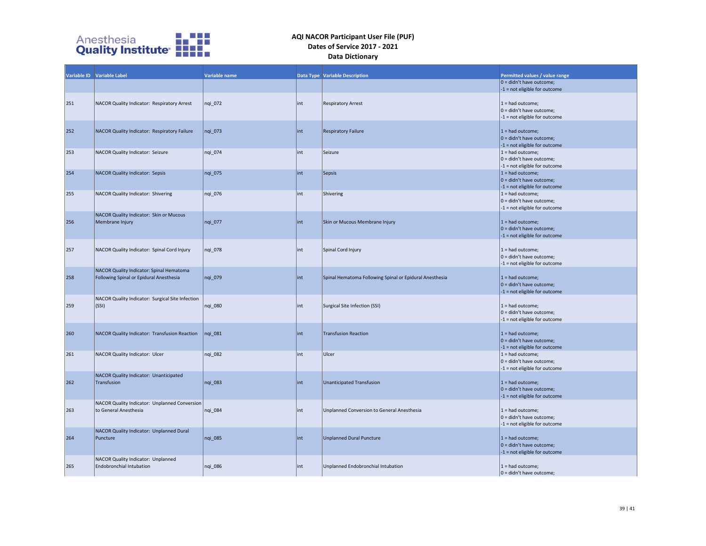

|     | Variable ID Variable Label                                                          | Variable name |      | <b>Data Type Variable Description</b>                   | Permitted values / value range                                                      |
|-----|-------------------------------------------------------------------------------------|---------------|------|---------------------------------------------------------|-------------------------------------------------------------------------------------|
|     |                                                                                     |               |      |                                                         | $0 =$ didn't have outcome;                                                          |
|     |                                                                                     |               |      |                                                         | -1 = not eligible for outcome                                                       |
| 251 | NACOR Quality Indicator: Respiratory Arrest                                         | nqi 072       | lint | <b>Respiratory Arrest</b>                               | $1 =$ had outcome;<br>0 = didn't have outcome;<br>-1 = not eligible for outcome     |
| 252 | NACOR Quality Indicator: Respiratory Failure                                        | nqi 073       | int  | <b>Respiratory Failure</b>                              | $1 =$ had outcome;<br>$0 =$ didn't have outcome;<br>-1 = not eligible for outcome   |
| 253 | NACOR Quality Indicator: Seizure                                                    | nqi_074       | int  | Seizure                                                 | $1 =$ had outcome;<br>$0 =$ didn't have outcome;<br>-1 = not eligible for outcome   |
| 254 | <b>NACOR Quality Indicator: Sepsis</b>                                              | nqi 075       | int  | Sepsis                                                  | $1 =$ had outcome;<br>$ 0 =$ didn't have outcome;<br>-1 = not eligible for outcome  |
| 255 | NACOR Quality Indicator: Shivering                                                  | nqi_076       | int  | Shivering                                               | $1 =$ had outcome;<br>0 = didn't have outcome;<br>-1 = not eligible for outcome     |
| 256 | NACOR Quality Indicator: Skin or Mucous<br>Membrane Injury                          | nqi_077       | int  | Skin or Mucous Membrane Injury                          | $1 =$ had outcome;<br>$ 0 =$ didn't have outcome;<br>-1 = not eligible for outcome  |
| 257 | NACOR Quality Indicator: Spinal Cord Injury                                         | nqi_078       | int  | Spinal Cord Injury                                      | $1 =$ had outcome;<br>$ 0 =$ didn't have outcome;<br>-1 = not eligible for outcome  |
| 258 | NACOR Quality Indicator: Spinal Hematoma<br>Following Spinal or Epidural Anesthesia | nqi_079       | int  | Spinal Hematoma Following Spinal or Epidural Anesthesia | $1 =$ had outcome;<br>$ 0 =$ didn't have outcome;<br>-1 = not eligible for outcome  |
| 259 | NACOR Quality Indicator: Surgical Site Infection<br>(SSI)                           | nqi_080       | int  | Surgical Site Infection (SSI)                           | $1 =$ had outcome;<br>0 = didn't have outcome;<br>-1 = not eligible for outcome     |
| 260 | NACOR Quality Indicator: Transfusion Reaction                                       | $nqi_081$     | int  | <b>Transfusion Reaction</b>                             | $1 = had outcome;$<br>$0 =$ didn't have outcome;<br>-1 = not eligible for outcome   |
| 261 | NACOR Quality Indicator: Ulcer                                                      | ngi 082       | int  | Ulcer                                                   | $1 =$ had outcome;<br>$0 =$ didn't have outcome;<br>-1 = not eligible for outcome   |
| 262 | NACOR Quality Indicator: Unanticipated<br>Transfusion                               | nqi_083       | int  | <b>Unanticipated Transfusion</b>                        | $1 =$ had outcome;<br>$0 =$ didn't have outcome;<br>-1 = not eligible for outcome   |
| 263 | NACOR Quality Indicator: Unplanned Conversion<br>to General Anesthesia              | ngi 084       | int  | Unplanned Conversion to General Anesthesia              | $1 =$ had outcome;<br>$0 =$ didn't have outcome;<br>-1 = not eligible for outcome   |
| 264 | NACOR Quality Indicator: Unplanned Dural<br>Puncture                                | nqi_085       | int  | <b>Unplanned Dural Puncture</b>                         | $1 =$ had outcome;<br>$0 =$ didn't have outcome;<br>$-1$ = not eligible for outcome |
| 265 | NACOR Quality Indicator: Unplanned<br><b>Endobronchial Intubation</b>               | ngi 086       | int  | Unplanned Endobronchial Intubation                      | $1 =$ had outcome;<br>$ 0 =$ didn't have outcome:                                   |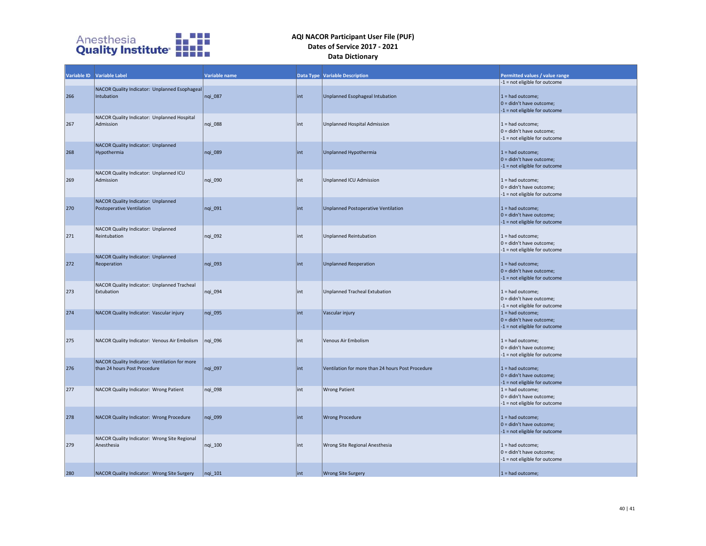

|     | Variable ID Variable Label                                                    | Variable name |      | <b>Data Type Variable Description</b>             | Permitted values / value range                                                                                     |
|-----|-------------------------------------------------------------------------------|---------------|------|---------------------------------------------------|--------------------------------------------------------------------------------------------------------------------|
| 266 | NACOR Quality Indicator: Unplanned Esophageal<br>Intubation                   | nqi_087       | lint | Unplanned Esophageal Intubation                   | -1 = not eligible for outcome<br>$1 =$ had outcome;<br>$0 =$ didn't have outcome;<br>-1 = not eligible for outcome |
| 267 | NACOR Quality Indicator: Unplanned Hospital<br>Admission                      | nqi_088       | lint | Unplanned Hospital Admission                      | $1 =$ had outcome;<br>$0 =$ didn't have outcome;<br>$-1$ = not eligible for outcome                                |
| 268 | NACOR Quality Indicator: Unplanned<br>Hypothermia                             | nqi_089       | int  | Unplanned Hypothermia                             | $1 = had outcome;$<br>$0 =$ didn't have outcome;<br>$-1$ = not eligible for outcome                                |
| 269 | NACOR Quality Indicator: Unplanned ICU<br>Admission                           | nqi 090       | lint | Unplanned ICU Admission                           | $1 =$ had outcome;<br>$0 =$ didn't have outcome;<br>$-1$ = not eligible for outcome                                |
| 270 | NACOR Quality Indicator: Unplanned<br>Postoperative Ventilation               | nqi_091       | lint | Unplanned Postoperative Ventilation               | $1 =$ had outcome;<br>$ 0 =$ didn't have outcome;<br>-1 = not eligible for outcome                                 |
| 271 | NACOR Quality Indicator: Unplanned<br>Reintubation                            | nqi 092       | int  | <b>Unplanned Reintubation</b>                     | $1 =$ had outcome;<br>0 = didn't have outcome;<br>-1 = not eligible for outcome                                    |
| 272 | NACOR Quality Indicator: Unplanned<br>Reoperation                             | nqi_093       | int  | <b>Unplanned Reoperation</b>                      | $1 =$ had outcome;<br>$ 0 =$ didn't have outcome;<br>-1 = not eligible for outcome                                 |
| 273 | NACOR Quality Indicator: Unplanned Tracheal<br>Extubation                     | nqi_094       | int  | <b>Unplanned Tracheal Extubation</b>              | $1 =$ had outcome;<br>$0 =$ didn't have outcome;<br>$-1$ = not eligible for outcome                                |
| 274 | NACOR Quality Indicator: Vascular injury                                      | nqi 095       | int  | Vascular injury                                   | $1 =$ had outcome;<br>$0 =$ didn't have outcome;<br>-1 = not eligible for outcome                                  |
| 275 | NACOR Quality Indicator: Venous Air Embolism                                  | nqi 096       | lint | <b>Venous Air Embolism</b>                        | $1 =$ had outcome;<br>$0 =$ didn't have outcome;<br>-1 = not eligible for outcome                                  |
| 276 | NACOR Quality Indicator: Ventilation for more<br>than 24 hours Post Procedure | nqi_097       | int  | Ventilation for more than 24 hours Post Procedure | $1 =$ had outcome;<br>$0 =$ didn't have outcome;<br>$-1$ = not eligible for outcome                                |
| 277 | NACOR Quality Indicator: Wrong Patient                                        | nqi_098       | int  | <b>Wrong Patient</b>                              | $1 =$ had outcome;<br>$0 =$ didn't have outcome;<br>-1 = not eligible for outcome                                  |
| 278 | NACOR Quality Indicator: Wrong Procedure                                      | nqi 099       | lint | <b>Wrong Procedure</b>                            | $1 =$ had outcome;<br>$0 =$ didn't have outcome;<br>-1 = not eligible for outcome                                  |
| 279 | NACOR Quality Indicator: Wrong Site Regional<br>Anesthesia                    | nqi_100       | int  | Wrong Site Regional Anesthesia                    | $1 =$ had outcome;<br>$0 =$ didn't have outcome;<br>-1 = not eligible for outcome                                  |
| 280 | NACOR Quality Indicator: Wrong Site Surgery                                   | $nqi$ 101     | int  | <b>Wrong Site Surgery</b>                         | $1 =$ had outcome;                                                                                                 |